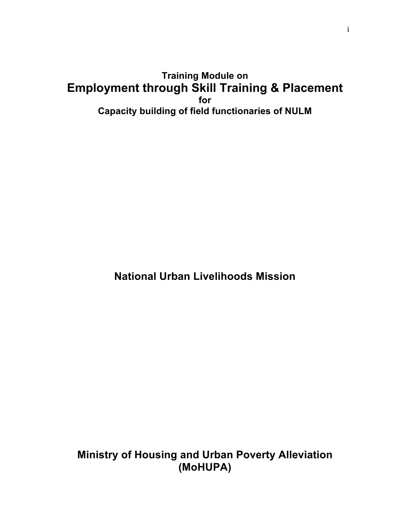# **Training Module on Employment through Skill Training & Placement for Capacity building of field functionaries of NULM**

**National Urban Livelihoods Mission**

**Ministry of Housing and Urban Poverty Alleviation (MoHUPA)**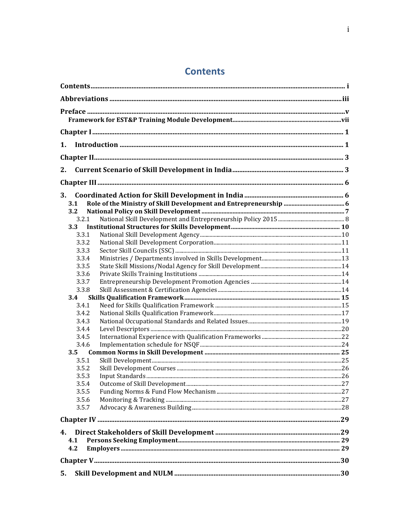# **Contents**

| $\mathbf{1}$ . |  |
|----------------|--|
|                |  |
|                |  |
| 2.             |  |
|                |  |
| 3.             |  |
| 3.1            |  |
| 3.2            |  |
| 3.2.1          |  |
| 3.3            |  |
| 3.3.1          |  |
| 3.3.2          |  |
| 3.3.3          |  |
| 3.3.4          |  |
| 3.3.5          |  |
| 3.3.6          |  |
| 3.3.7          |  |
| 3.3.8          |  |
| 3.4            |  |
| 3.4.1          |  |
| 3.4.2          |  |
| 3.4.3          |  |
| 3.4.4          |  |
| 3.4.5          |  |
| 3.4.6          |  |
| 3.5            |  |
| 3.5.1          |  |
| 3.5.2          |  |
| 3.5.3          |  |
| 3.5.4          |  |
| 3.5.5          |  |
| 3.5.6          |  |
| 3.5.7          |  |
|                |  |
| 4.             |  |
| 4.1            |  |
| 4.2            |  |
|                |  |
| 5.             |  |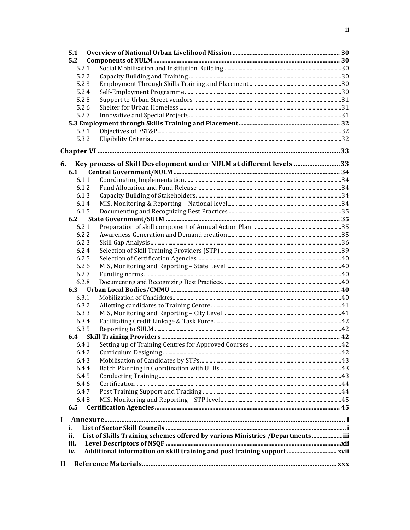| 5.1         |                                                                               |  |
|-------------|-------------------------------------------------------------------------------|--|
| 5.2         |                                                                               |  |
|             | 5.2.1                                                                         |  |
|             | 5.2.2                                                                         |  |
|             | 5.2.3                                                                         |  |
|             | 5.2.4                                                                         |  |
|             | 5.2.5                                                                         |  |
|             | 5.2.6                                                                         |  |
|             | 5.2.7                                                                         |  |
|             |                                                                               |  |
|             | 5.3.1                                                                         |  |
|             | 5.3.2                                                                         |  |
|             |                                                                               |  |
| 6.          | Key process of Skill Development under NULM at different levels 33            |  |
| 6.1         |                                                                               |  |
|             | 6.1.1                                                                         |  |
|             | 6.1.2                                                                         |  |
|             | 6.1.3                                                                         |  |
|             | 6.1.4                                                                         |  |
|             | 6.1.5                                                                         |  |
| 6.2         |                                                                               |  |
|             | 6.2.1                                                                         |  |
|             | 6.2.2                                                                         |  |
|             | 6.2.3                                                                         |  |
|             | 6.2.4                                                                         |  |
|             | 6.2.5                                                                         |  |
|             | 6.2.6                                                                         |  |
|             | 6.2.7                                                                         |  |
|             | 6.2.8                                                                         |  |
|             |                                                                               |  |
|             | 6.3.1                                                                         |  |
|             | 6.3.2                                                                         |  |
|             | 6.3.3                                                                         |  |
|             | 6.3.4                                                                         |  |
|             | 6.3.5                                                                         |  |
| 6.4         |                                                                               |  |
|             | 6.4.1                                                                         |  |
|             | 6.4.2                                                                         |  |
|             | 6.4.3                                                                         |  |
|             | 6.4.4                                                                         |  |
|             | 6.4.5                                                                         |  |
|             | 6.4.6                                                                         |  |
|             | 6.4.7                                                                         |  |
|             | 6.4.8                                                                         |  |
| 6.5         |                                                                               |  |
| $\mathbf I$ |                                                                               |  |
| i.          |                                                                               |  |
| ii.         | List of Skills Training schemes offered by various Ministries /Departmentsiii |  |
| iii.        |                                                                               |  |
| iv.         | Additional information on skill training and post training support xvii       |  |
|             |                                                                               |  |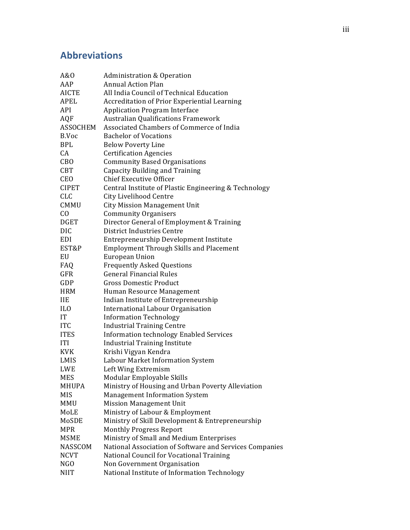# **Abbreviations**

| A&0             | <b>Administration &amp; Operation</b>                   |
|-----------------|---------------------------------------------------------|
| AAP             | <b>Annual Action Plan</b>                               |
| <b>AICTE</b>    | All India Council of Technical Education                |
| APEL            | <b>Accreditation of Prior Experiential Learning</b>     |
| API             | <b>Application Program Interface</b>                    |
| <b>AQF</b>      | <b>Australian Qualifications Framework</b>              |
| <b>ASSOCHEM</b> | Associated Chambers of Commerce of India                |
| B.Voc           | <b>Bachelor of Vocations</b>                            |
| <b>BPL</b>      | <b>Below Poverty Line</b>                               |
| CA              | <b>Certification Agencies</b>                           |
| CBO             | <b>Community Based Organisations</b>                    |
| <b>CBT</b>      | <b>Capacity Building and Training</b>                   |
| <b>CEO</b>      | <b>Chief Executive Officer</b>                          |
| <b>CIPET</b>    | Central Institute of Plastic Engineering & Technology   |
| <b>CLC</b>      | City Livelihood Centre                                  |
| CMMU            | <b>City Mission Management Unit</b>                     |
| C <sub>O</sub>  | <b>Community Organisers</b>                             |
| <b>DGET</b>     | Director General of Employment & Training               |
| <b>DIC</b>      | District Industries Centre                              |
| EDI             | Entrepreneurship Development Institute                  |
| EST&P           | <b>Employment Through Skills and Placement</b>          |
| EU              | European Union                                          |
| FAQ             | <b>Frequently Asked Questions</b>                       |
| <b>GFR</b>      | <b>General Financial Rules</b>                          |
| GDP             | <b>Gross Domestic Product</b>                           |
| <b>HRM</b>      | Human Resource Management                               |
| <b>IIE</b>      | Indian Institute of Entrepreneurship                    |
| IL <sub>0</sub> | International Labour Organisation                       |
| IT              | <b>Information Technology</b>                           |
| <b>ITC</b>      | <b>Industrial Training Centre</b>                       |
| <b>ITES</b>     | <b>Information technology Enabled Services</b>          |
| <b>ITI</b>      | <b>Industrial Training Institute</b>                    |
| <b>KVK</b>      | Krishi Vigyan Kendra                                    |
| LMIS            | Labour Market Information System                        |
| <b>LWE</b>      | Left Wing Extremism                                     |
| <b>MES</b>      | Modular Employable Skills                               |
| MHUPA           | Ministry of Housing and Urban Poverty Alleviation       |
| MIS             | <b>Management Information System</b>                    |
| MMU             | <b>Mission Management Unit</b>                          |
| MoLE            | Ministry of Labour & Employment                         |
| MoSDE           | Ministry of Skill Development & Entrepreneurship        |
| <b>MPR</b>      | <b>Monthly Progress Report</b>                          |
| <b>MSME</b>     | Ministry of Small and Medium Enterprises                |
| NASSCOM         | National Association of Software and Services Companies |
| <b>NCVT</b>     | National Council for Vocational Training                |
| NGO             | Non Government Organisation                             |
| <b>NIIT</b>     | National Institute of Information Technology            |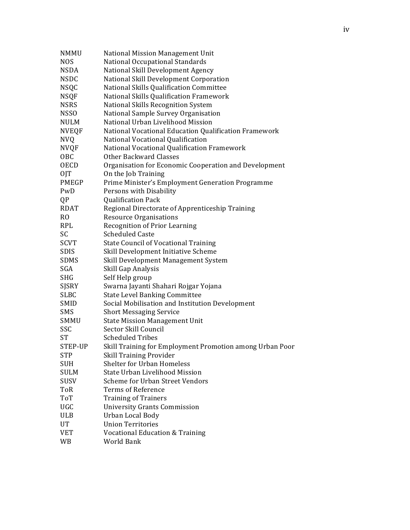| <b>NMMU</b>    | National Mission Management Unit                         |
|----------------|----------------------------------------------------------|
| <b>NOS</b>     | National Occupational Standards                          |
| <b>NSDA</b>    | National Skill Development Agency                        |
| <b>NSDC</b>    | National Skill Development Corporation                   |
| <b>NSQC</b>    | National Skills Qualification Committee                  |
| <b>NSQF</b>    | National Skills Qualification Framework                  |
| <b>NSRS</b>    | National Skills Recognition System                       |
| <b>NSSO</b>    | National Sample Survey Organisation                      |
| <b>NULM</b>    | National Urban Livelihood Mission                        |
| <b>NVEQF</b>   | National Vocational Education Qualification Framework    |
| <b>NVQ</b>     | National Vocational Qualification                        |
| <b>NVQF</b>    | National Vocational Qualification Framework              |
| OBC            | <b>Other Backward Classes</b>                            |
| <b>OECD</b>    | Organisation for Economic Cooperation and Development    |
| 0JT            | On the Job Training                                      |
| <b>PMEGP</b>   | Prime Minister's Employment Generation Programme         |
| PwD            | Persons with Disability                                  |
| QP             | <b>Qualification Pack</b>                                |
| <b>RDAT</b>    | Regional Directorate of Apprenticeship Training          |
| R <sub>O</sub> | <b>Resource Organisations</b>                            |
| <b>RPL</b>     | <b>Recognition of Prior Learning</b>                     |
| SC             | <b>Scheduled Caste</b>                                   |
| <b>SCVT</b>    | <b>State Council of Vocational Training</b>              |
| <b>SDIS</b>    | Skill Development Initiative Scheme                      |
| <b>SDMS</b>    | Skill Development Management System                      |
| SGA            | Skill Gap Analysis                                       |
| <b>SHG</b>     | Self Help group                                          |
| SJSRY          | Swarna Jayanti Shahari Rojgar Yojana                     |
| <b>SLBC</b>    | <b>State Level Banking Committee</b>                     |
| SMID           | Social Mobilisation and Institution Development          |
| <b>SMS</b>     | <b>Short Messaging Service</b>                           |
| SMMU           | <b>State Mission Management Unit</b>                     |
| SSC            | Sector Skill Council                                     |
| <b>ST</b>      | <b>Scheduled Tribes</b>                                  |
| STEP-UP        | Skill Training for Employment Promotion among Urban Poor |
| <b>STP</b>     | <b>Skill Training Provider</b>                           |
| <b>SUH</b>     | Shelter for Urban Homeless                               |
| <b>SULM</b>    | State Urban Livelihood Mission                           |
| <b>SUSV</b>    | Scheme for Urban Street Vendors                          |
| ToR            | <b>Terms of Reference</b>                                |
| ToT            | <b>Training of Trainers</b>                              |
| UGC            | <b>University Grants Commission</b>                      |
| <b>ULB</b>     | Urban Local Body                                         |
| UT             | <b>Union Territories</b>                                 |
| <b>VET</b>     | <b>Vocational Education &amp; Training</b>               |
| WB             | World Bank                                               |
|                |                                                          |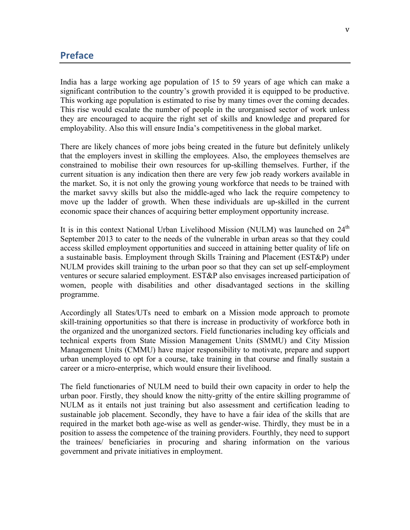## **Preface**

India has a large working age population of 15 to 59 years of age which can make a significant contribution to the country's growth provided it is equipped to be productive. This working age population is estimated to rise by many times over the coming decades. This rise would escalate the number of people in the urorganised sector of work unless they are encouraged to acquire the right set of skills and knowledge and prepared for employability. Also this will ensure India's competitiveness in the global market.

There are likely chances of more jobs being created in the future but definitely unlikely that the employers invest in skilling the employees. Also, the employees themselves are constrained to mobilise their own resources for up-skilling themselves. Further, if the current situation is any indication then there are very few job ready workers available in the market. So, it is not only the growing young workforce that needs to be trained with the market savvy skills but also the middle-aged who lack the require competency to move up the ladder of growth. When these individuals are up-skilled in the current economic space their chances of acquiring better employment opportunity increase.

It is in this context National Urban Livelihood Mission (NULM) was launched on  $24<sup>th</sup>$ September 2013 to cater to the needs of the vulnerable in urban areas so that they could access skilled employment opportunities and succeed in attaining better quality of life on a sustainable basis. Employment through Skills Training and Placement (EST&P) under NULM provides skill training to the urban poor so that they can set up self-employment ventures or secure salaried employment. EST&P also envisages increased participation of women, people with disabilities and other disadvantaged sections in the skilling programme.

Accordingly all States/UTs need to embark on a Mission mode approach to promote skill-training opportunities so that there is increase in productivity of workforce both in the organized and the unorganized sectors. Field functionaries including key officials and technical experts from State Mission Management Units (SMMU) and City Mission Management Units (CMMU) have major responsibility to motivate, prepare and support urban unemployed to opt for a course, take training in that course and finally sustain a career or a micro-enterprise, which would ensure their livelihood.

The field functionaries of NULM need to build their own capacity in order to help the urban poor. Firstly, they should know the nitty-gritty of the entire skilling programme of NULM as it entails not just training but also assessment and certification leading to sustainable job placement. Secondly, they have to have a fair idea of the skills that are required in the market both age-wise as well as gender-wise. Thirdly, they must be in a position to assess the competence of the training providers. Fourthly, they need to support the trainees/ beneficiaries in procuring and sharing information on the various government and private initiatives in employment.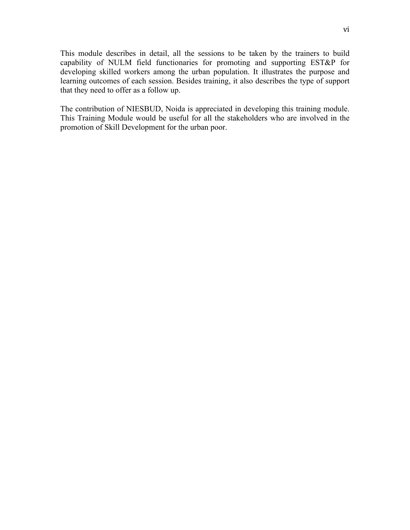This module describes in detail, all the sessions to be taken by the trainers to build capability of NULM field functionaries for promoting and supporting EST&P for developing skilled workers among the urban population. It illustrates the purpose and learning outcomes of each session. Besides training, it also describes the type of support that they need to offer as a follow up.

The contribution of NIESBUD, Noida is appreciated in developing this training module. This Training Module would be useful for all the stakeholders who are involved in the promotion of Skill Development for the urban poor.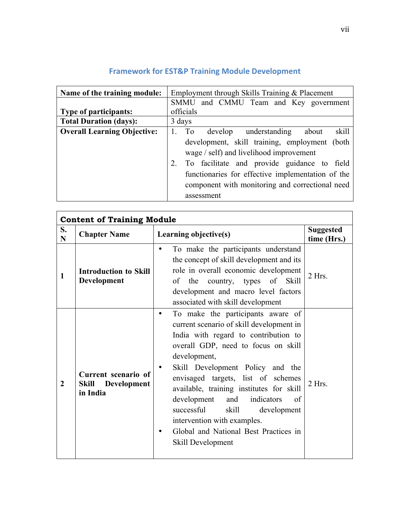| Name of the training module:       | Employment through Skills Training & Placement                                                                                                                                                                                                                        |  |  |
|------------------------------------|-----------------------------------------------------------------------------------------------------------------------------------------------------------------------------------------------------------------------------------------------------------------------|--|--|
|                                    | SMMU and CMMU Team and Key government                                                                                                                                                                                                                                 |  |  |
| <b>Type of participants:</b>       | officials                                                                                                                                                                                                                                                             |  |  |
| <b>Total Duration (days):</b>      | 3 days                                                                                                                                                                                                                                                                |  |  |
| <b>Overall Learning Objective:</b> | $1.$ To<br>develop understanding about<br>skill                                                                                                                                                                                                                       |  |  |
|                                    | development, skill training, employment (both<br>wage $/$ self) and livelihood improvement<br>2. To facilitate and provide guidance to<br>field<br>functionaries for effective implementation of the<br>component with monitoring and correctional need<br>assessment |  |  |

## **Framework for EST&P Training Module Development**

| S.<br>${\bf N}$ | <b>Content of Training Module</b><br><b>Chapter Name</b> | Learning objective(s)                                                                                                                                                                                                                                                                                                                                                                                                                                                                | <b>Suggested</b><br>time (Hrs.) |
|-----------------|----------------------------------------------------------|--------------------------------------------------------------------------------------------------------------------------------------------------------------------------------------------------------------------------------------------------------------------------------------------------------------------------------------------------------------------------------------------------------------------------------------------------------------------------------------|---------------------------------|
| 1               | <b>Introduction to Skill</b><br>Development              | To make the participants understand<br>$\bullet$<br>the concept of skill development and its<br>role in overall economic development<br>of the country, types of Skill<br>development and macro level factors<br>associated with skill development                                                                                                                                                                                                                                   | $2$ Hrs.                        |
| 2               | Current scenario of<br>Skill Development<br>in India     | To make the participants aware of<br>٠<br>current scenario of skill development in<br>India with regard to contribution to<br>overall GDP, need to focus on skill<br>development,<br>Skill Development Policy and the<br>envisaged targets, list of schemes<br>available, training institutes for skill<br>indicators<br>development<br>and<br>of<br>successful<br>skill<br>development<br>intervention with examples.<br>Global and National Best Practices in<br>Skill Development | $2$ Hrs.                        |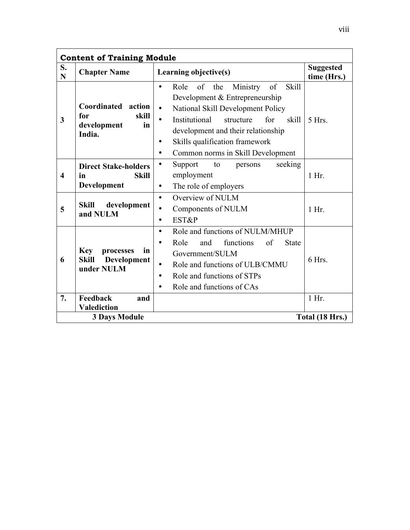| <b>Content of Training Module</b>       |                                                                     |                                                                                                                                                                                                                                                                                                                      |                                 |
|-----------------------------------------|---------------------------------------------------------------------|----------------------------------------------------------------------------------------------------------------------------------------------------------------------------------------------------------------------------------------------------------------------------------------------------------------------|---------------------------------|
| S.<br>N                                 | <b>Chapter Name</b>                                                 | Learning objective(s)                                                                                                                                                                                                                                                                                                | <b>Suggested</b><br>time (Hrs.) |
| $\mathbf{3}$                            | Coordinated action<br>skill<br>for<br>in<br>development<br>India.   | Ministry<br>of<br><b>Skill</b><br>Role<br>the<br>of<br>$\bullet$<br>Development & Entrepreneurship<br>National Skill Development Policy<br>$\bullet$<br>Institutional<br>for<br>structure<br>skill<br>development and their relationship<br>Skills qualification framework<br>٠<br>Common norms in Skill Development | $5$ Hrs.                        |
| $\overline{\mathbf{4}}$                 | <b>Direct Stake-holders</b><br><b>Skill</b><br>in<br>Development    | seeking<br>Support<br>to<br>persons<br>employment<br>The role of employers<br>$\bullet$                                                                                                                                                                                                                              | $1$ Hr.                         |
| 5                                       | <b>Skill</b><br>development<br>and NULM                             | Overview of NULM<br>$\bullet$<br>Components of NULM<br>$\bullet$<br>EST&P<br>$\bullet$                                                                                                                                                                                                                               | $1$ Hr.                         |
| 6                                       | <b>Key</b><br>in<br>processes<br>Development<br>Skill<br>under NULM | Role and functions of NULM/MHUP<br>$\bullet$<br>Role<br>functions<br>of<br><b>State</b><br>and<br>$\bullet$<br>Government/SULM<br>Role and functions of ULB/CMMU<br>$\bullet$<br>Role and functions of STPs<br>$\bullet$<br>Role and functions of CAs<br>$\bullet$                                                   | 6 Hrs.                          |
| 7.                                      | Feedback<br>and<br><b>Valediction</b>                               |                                                                                                                                                                                                                                                                                                                      | $1$ Hr.                         |
| <b>3 Days Module</b><br>Total (18 Hrs.) |                                                                     |                                                                                                                                                                                                                                                                                                                      |                                 |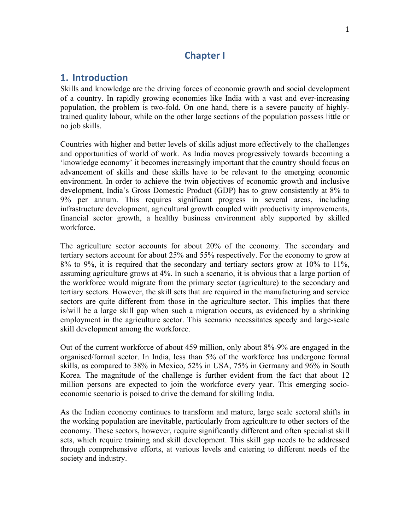## **Chapter I**

## **1. Introduction**

Skills and knowledge are the driving forces of economic growth and social development of a country. In rapidly growing economies like India with a vast and ever-increasing population, the problem is two-fold. On one hand, there is a severe paucity of highlytrained quality labour, while on the other large sections of the population possess little or no job skills.

Countries with higher and better levels of skills adjust more effectively to the challenges and opportunities of world of work. As India moves progressively towards becoming a 'knowledge economy' it becomes increasingly important that the country should focus on advancement of skills and these skills have to be relevant to the emerging economic environment. In order to achieve the twin objectives of economic growth and inclusive development, India's Gross Domestic Product (GDP) has to grow consistently at 8% to 9% per annum. This requires significant progress in several areas, including infrastructure development, agricultural growth coupled with productivity improvements, financial sector growth, a healthy business environment ably supported by skilled workforce.

The agriculture sector accounts for about 20% of the economy. The secondary and tertiary sectors account for about 25% and 55% respectively. For the economy to grow at 8% to 9%, it is required that the secondary and tertiary sectors grow at 10% to 11%, assuming agriculture grows at 4%. In such a scenario, it is obvious that a large portion of the workforce would migrate from the primary sector (agriculture) to the secondary and tertiary sectors. However, the skill sets that are required in the manufacturing and service sectors are quite different from those in the agriculture sector. This implies that there is/will be a large skill gap when such a migration occurs, as evidenced by a shrinking employment in the agriculture sector. This scenario necessitates speedy and large-scale skill development among the workforce.

Out of the current workforce of about 459 million, only about 8%-9% are engaged in the organised/formal sector. In India, less than 5% of the workforce has undergone formal skills, as compared to 38% in Mexico, 52% in USA, 75% in Germany and 96% in South Korea. The magnitude of the challenge is further evident from the fact that about 12 million persons are expected to join the workforce every year. This emerging socioeconomic scenario is poised to drive the demand for skilling India.

As the Indian economy continues to transform and mature, large scale sectoral shifts in the working population are inevitable, particularly from agriculture to other sectors of the economy. These sectors, however, require significantly different and often specialist skill sets, which require training and skill development. This skill gap needs to be addressed through comprehensive efforts, at various levels and catering to different needs of the society and industry.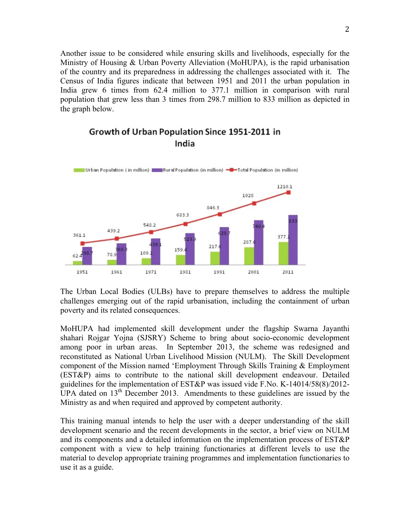Another issue to be considered while ensuring skills and livelihoods, especially for the Ministry of Housing & Urban Poverty Alleviation (MoHUPA), is the rapid urbanisation of the country and its preparedness in addressing the challenges associated with it. The Census of India figures indicate that between 1951 and 2011 the urban population in India grew 6 times from 62.4 million to 377.1 million in comparison with rural population that grew less than 3 times from 298.7 million to 833 million as depicted in the graph below.



## Growth of Urban Population Since 1951-2011 in India

The Urban Local Bodies (ULBs) have to prepare themselves to address the multiple challenges emerging out of the rapid urbanisation, including the containment of urban poverty and its related consequences.

MoHUPA had implemented skill development under the flagship Swarna Jayanthi shahari Rojgar Yojna (SJSRY) Scheme to bring about socio-economic development among poor in urban areas. In September 2013, the scheme was redesigned and reconstituted as National Urban Livelihood Mission (NULM). The Skill Development component of the Mission named 'Employment Through Skills Training & Employment (EST&P) aims to contribute to the national skill development endeavour. Detailed guidelines for the implementation of EST&P was issued vide F.No. K-14014/58(8)/2012- UPA dated on  $13<sup>th</sup>$  December 2013. Amendments to these guidelines are issued by the Ministry as and when required and approved by competent authority.

This training manual intends to help the user with a deeper understanding of the skill development scenario and the recent developments in the sector, a brief view on NULM and its components and a detailed information on the implementation process of EST&P component with a view to help training functionaries at different levels to use the material to develop appropriate training programmes and implementation functionaries to use it as a guide.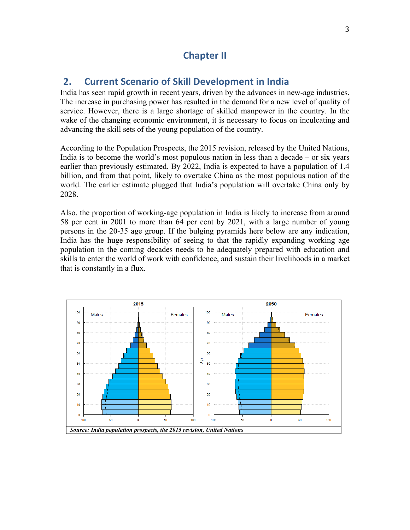## **Chapter II**

## **2. Current Scenario of Skill Development in India**

India has seen rapid growth in recent years, driven by the advances in new-age industries. The increase in purchasing power has resulted in the demand for a new level of quality of service. However, there is a large shortage of skilled manpower in the country. In the wake of the changing economic environment, it is necessary to focus on inculcating and advancing the skill sets of the young population of the country.

According to the Population Prospects, the 2015 revision, released by the United Nations, India is to become the world's most populous nation in less than a decade – or six years earlier than previously estimated. By 2022, India is expected to have a population of 1.4 billion, and from that point, likely to overtake China as the most populous nation of the world. The earlier estimate plugged that India's population will overtake China only by 2028.

Also, the proportion of working-age population in India is likely to increase from around 58 per cent in 2001 to more than 64 per cent by 2021, with a large number of young persons in the 20-35 age group. If the bulging pyramids here below are any indication, India has the huge responsibility of seeing to that the rapidly expanding working age population in the coming decades needs to be adequately prepared with education and skills to enter the world of work with confidence, and sustain their livelihoods in a market that is constantly in a flux.

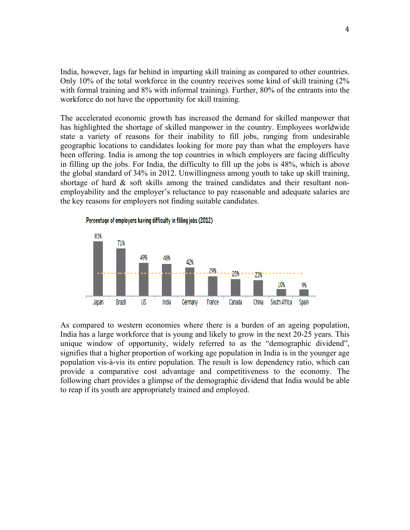India, however, lags far behind in imparting skill training as compared to other countries. Only 10% of the total workforce in the country receives some kind of skill training (2% with formal training and 8% with informal training). Further, 80% of the entrants into the workforce do not have the opportunity for skill training.

The accelerated economic growth has increased the demand for skilled manpower that has highlighted the shortage of skilled manpower in the country. Employees worldwide state a variety of reasons for their inability to fill jobs, ranging from undesirable geographic locations to candidates looking for more pay than what the employers have been offering. India is among the top countries in which employers are facing difficulty in filling up the jobs. For India, the difficulty to fill up the jobs is 48%, which is above the global standard of 34% in 2012. Unwillingness among youth to take up skill training, shortage of hard  $\&$  soft skills among the trained candidates and their resultant nonemployability and the employer's reluctance to pay reasonable and adequate salaries are the key reasons for employers not finding suitable candidates.



As compared to western economies where there is a burden of an ageing population, India has a large workforce that is young and likely to grow in the next 20-25 years. This unique window of opportunity, widely referred to as the "demographic dividend", signifies that a higher proportion of working age population in India is in the younger age population vis-à-vis its entire population. The result is low dependency ratio, which can provide a comparative cost advantage and competitiveness to the economy. The following chart provides a glimpse of the demographic dividend that India would be able to reap if its youth are appropriately trained and employed.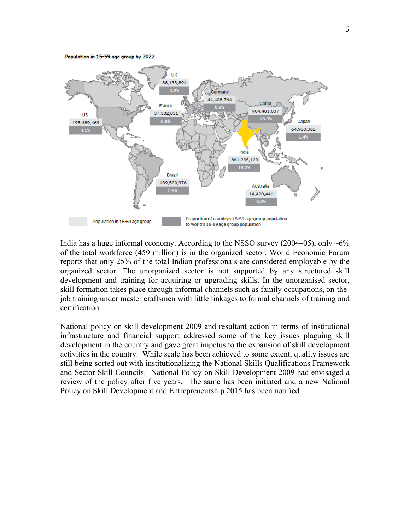Population in 15-59 age group by 2022



India has a huge informal economy. According to the NSSO survey (2004–05), only  $\sim 6\%$ of the total workforce (459 million) is in the organized sector. World Economic Forum reports that only 25% of the total Indian professionals are considered employable by the organized sector. The unorganized sector is not supported by any structured skill development and training for acquiring or upgrading skills. In the unorganised sector, skill formation takes place through informal channels such as family occupations, on-thejob training under master craftsmen with little linkages to formal channels of training and certification.

National policy on skill development 2009 and resultant action in terms of institutional infrastructure and financial support addressed some of the key issues plaguing skill development in the country and gave great impetus to the expansion of skill development activities in the country. While scale has been achieved to some extent, quality issues are still being sorted out with institutionalizing the National Skills Qualifications Framework and Sector Skill Councils. National Policy on Skill Development 2009 had envisaged a review of the policy after five years. The same has been initiated and a new National Policy on Skill Development and Entrepreneurship 2015 has been notified.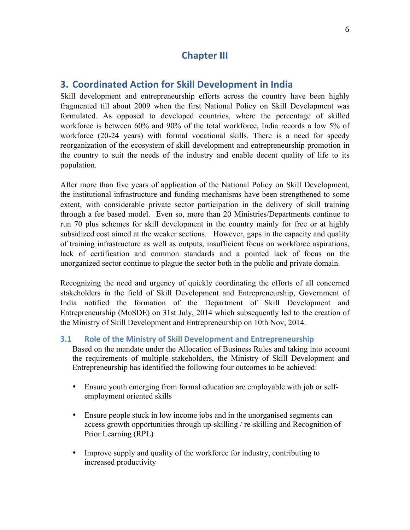## **Chapter III**

## **3. Coordinated Action for Skill Development in India**

Skill development and entrepreneurship efforts across the country have been highly fragmented till about 2009 when the first National Policy on Skill Development was formulated. As opposed to developed countries, where the percentage of skilled workforce is between 60% and 90% of the total workforce, India records a low 5% of workforce (20-24 years) with formal vocational skills. There is a need for speedy reorganization of the ecosystem of skill development and entrepreneurship promotion in the country to suit the needs of the industry and enable decent quality of life to its population.

After more than five years of application of the National Policy on Skill Development, the institutional infrastructure and funding mechanisms have been strengthened to some extent, with considerable private sector participation in the delivery of skill training through a fee based model. Even so, more than 20 Ministries/Departments continue to run 70 plus schemes for skill development in the country mainly for free or at highly subsidized cost aimed at the weaker sections. However, gaps in the capacity and quality of training infrastructure as well as outputs, insufficient focus on workforce aspirations, lack of certification and common standards and a pointed lack of focus on the unorganized sector continue to plague the sector both in the public and private domain.

Recognizing the need and urgency of quickly coordinating the efforts of all concerned stakeholders in the field of Skill Development and Entrepreneurship, Government of India notified the formation of the Department of Skill Development and Entrepreneurship (MoSDE) on 31st July, 2014 which subsequently led to the creation of the Ministry of Skill Development and Entrepreneurship on 10th Nov, 2014.

## **3.1 Role of the Ministry of Skill Development and Entrepreneurship**

Based on the mandate under the Allocation of Business Rules and taking into account the requirements of multiple stakeholders, the Ministry of Skill Development and Entrepreneurship has identified the following four outcomes to be achieved:

- Ensure youth emerging from formal education are employable with job or selfemployment oriented skills
- Ensure people stuck in low income jobs and in the unorganised segments can access growth opportunities through up-skilling / re-skilling and Recognition of Prior Learning (RPL)
- Improve supply and quality of the workforce for industry, contributing to increased productivity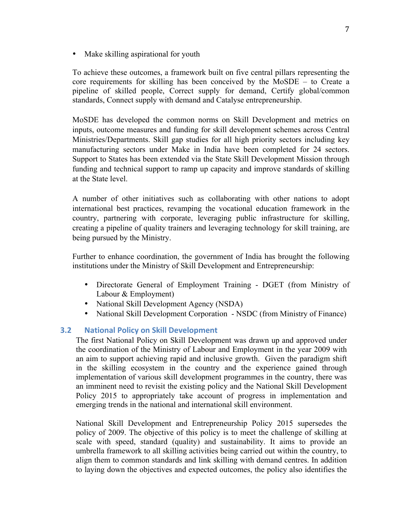• Make skilling aspirational for youth

To achieve these outcomes, a framework built on five central pillars representing the core requirements for skilling has been conceived by the MoSDE – to Create a pipeline of skilled people, Correct supply for demand, Certify global/common standards, Connect supply with demand and Catalyse entrepreneurship.

MoSDE has developed the common norms on Skill Development and metrics on inputs, outcome measures and funding for skill development schemes across Central Ministries/Departments. Skill gap studies for all high priority sectors including key manufacturing sectors under Make in India have been completed for 24 sectors. Support to States has been extended via the State Skill Development Mission through funding and technical support to ramp up capacity and improve standards of skilling at the State level.

A number of other initiatives such as collaborating with other nations to adopt international best practices, revamping the vocational education framework in the country, partnering with corporate, leveraging public infrastructure for skilling, creating a pipeline of quality trainers and leveraging technology for skill training, are being pursued by the Ministry.

Further to enhance coordination, the government of India has brought the following institutions under the Ministry of Skill Development and Entrepreneurship:

- Directorate General of Employment Training DGET (from Ministry of Labour & Employment)
- National Skill Development Agency (NSDA)
- National Skill Development Corporation NSDC (from Ministry of Finance)

## **3.2** National Policy on Skill Development

The first National Policy on Skill Development was drawn up and approved under the coordination of the Ministry of Labour and Employment in the year 2009 with an aim to support achieving rapid and inclusive growth. Given the paradigm shift in the skilling ecosystem in the country and the experience gained through implementation of various skill development programmes in the country, there was an imminent need to revisit the existing policy and the National Skill Development Policy 2015 to appropriately take account of progress in implementation and emerging trends in the national and international skill environment.

National Skill Development and Entrepreneurship Policy 2015 supersedes the policy of 2009. The objective of this policy is to meet the challenge of skilling at scale with speed, standard (quality) and sustainability. It aims to provide an umbrella framework to all skilling activities being carried out within the country, to align them to common standards and link skilling with demand centres. In addition to laying down the objectives and expected outcomes, the policy also identifies the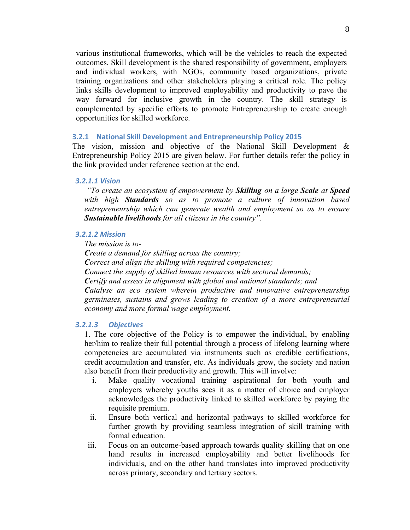various institutional frameworks, which will be the vehicles to reach the expected outcomes. Skill development is the shared responsibility of government, employers and individual workers, with NGOs, community based organizations, private training organizations and other stakeholders playing a critical role. The policy links skills development to improved employability and productivity to pave the way forward for inclusive growth in the country. The skill strategy is complemented by specific efforts to promote Entrepreneurship to create enough opportunities for skilled workforce.

#### **3.2.1** National Skill Development and Entrepreneurship Policy 2015

The vision, mission and objective of the National Skill Development & Entrepreneurship Policy 2015 are given below. For further details refer the policy in the link provided under reference section at the end.

#### *3.2.1.1 Vision*

*"To create an ecosystem of empowerment by Skilling on a large Scale at Speed with high Standards so as to promote a culture of innovation based entrepreneurship which can generate wealth and employment so as to ensure Sustainable livelihoods for all citizens in the country".*

#### *3.2.1.2 Mission*

*The mission is to-*

*Create a demand for skilling across the country; Correct and align the skilling with required competencies; Connect the supply of skilled human resources with sectoral demands; Certify and assess in alignment with global and national standards; and Catalyse an eco system wherein productive and innovative entrepreneurship germinates, sustains and grows leading to creation of a more entrepreneurial economy and more formal wage employment.*

#### *3.2.1.3 Objectives*

1. The core objective of the Policy is to empower the individual, by enabling her/him to realize their full potential through a process of lifelong learning where competencies are accumulated via instruments such as credible certifications, credit accumulation and transfer, etc. As individuals grow, the society and nation also benefit from their productivity and growth. This will involve:

- i. Make quality vocational training aspirational for both youth and employers whereby youths sees it as a matter of choice and employer acknowledges the productivity linked to skilled workforce by paying the requisite premium.
- ii. Ensure both vertical and horizontal pathways to skilled workforce for further growth by providing seamless integration of skill training with formal education.
- iii. Focus on an outcome-based approach towards quality skilling that on one hand results in increased employability and better livelihoods for individuals, and on the other hand translates into improved productivity across primary, secondary and tertiary sectors.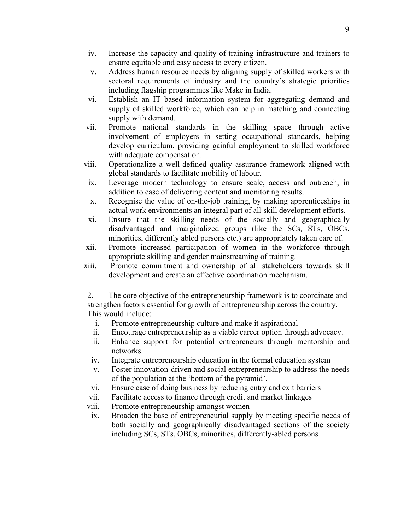- iv. Increase the capacity and quality of training infrastructure and trainers to ensure equitable and easy access to every citizen.
- v. Address human resource needs by aligning supply of skilled workers with sectoral requirements of industry and the country's strategic priorities including flagship programmes like Make in India.
- vi. Establish an IT based information system for aggregating demand and supply of skilled workforce, which can help in matching and connecting supply with demand.
- vii. Promote national standards in the skilling space through active involvement of employers in setting occupational standards, helping develop curriculum, providing gainful employment to skilled workforce with adequate compensation.
- viii. Operationalize a well-defined quality assurance framework aligned with global standards to facilitate mobility of labour.
	- ix. Leverage modern technology to ensure scale, access and outreach, in addition to ease of delivering content and monitoring results.
	- x. Recognise the value of on-the-job training, by making apprenticeships in actual work environments an integral part of all skill development efforts.
- xi. Ensure that the skilling needs of the socially and geographically disadvantaged and marginalized groups (like the SCs, STs, OBCs, minorities, differently abled persons etc.) are appropriately taken care of.
- xii. Promote increased participation of women in the workforce through appropriate skilling and gender mainstreaming of training.
- xiii. Promote commitment and ownership of all stakeholders towards skill development and create an effective coordination mechanism.

2. The core objective of the entrepreneurship framework is to coordinate and strengthen factors essential for growth of entrepreneurship across the country. This would include:

- i. Promote entrepreneurship culture and make it aspirational
- ii. Encourage entrepreneurship as a viable career option through advocacy.
- iii. Enhance support for potential entrepreneurs through mentorship and networks.
- iv. Integrate entrepreneurship education in the formal education system
- v. Foster innovation-driven and social entrepreneurship to address the needs of the population at the 'bottom of the pyramid'.
- vi. Ensure ease of doing business by reducing entry and exit barriers
- vii. Facilitate access to finance through credit and market linkages
- viii. Promote entrepreneurship amongst women
- ix. Broaden the base of entrepreneurial supply by meeting specific needs of both socially and geographically disadvantaged sections of the society including SCs, STs, OBCs, minorities, differently-abled persons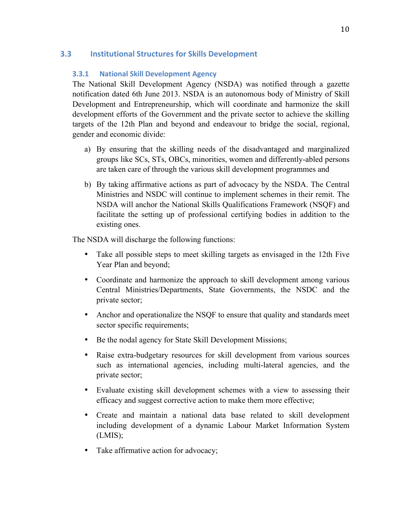## **3.3 Institutional Structures for Skills Development**

## **3.3.1 National Skill Development Agency**

The National Skill Development Agency (NSDA) was notified through a gazette notification dated 6th June 2013. NSDA is an autonomous body of Ministry of Skill Development and Entrepreneurship, which will coordinate and harmonize the skill development efforts of the Government and the private sector to achieve the skilling targets of the 12th Plan and beyond and endeavour to bridge the social, regional, gender and economic divide:

- a) By ensuring that the skilling needs of the disadvantaged and marginalized groups like SCs, STs, OBCs, minorities, women and differently-abled persons are taken care of through the various skill development programmes and
- b) By taking affirmative actions as part of advocacy by the NSDA. The Central Ministries and NSDC will continue to implement schemes in their remit. The NSDA will anchor the National Skills Qualifications Framework (NSQF) and facilitate the setting up of professional certifying bodies in addition to the existing ones.

The NSDA will discharge the following functions:

- Take all possible steps to meet skilling targets as envisaged in the 12th Five Year Plan and beyond;
- Coordinate and harmonize the approach to skill development among various Central Ministries/Departments, State Governments, the NSDC and the private sector;
- Anchor and operationalize the NSQF to ensure that quality and standards meet sector specific requirements;
- Be the nodal agency for State Skill Development Missions;
- Raise extra-budgetary resources for skill development from various sources such as international agencies, including multi-lateral agencies, and the private sector;
- Evaluate existing skill development schemes with a view to assessing their efficacy and suggest corrective action to make them more effective;
- Create and maintain a national data base related to skill development including development of a dynamic Labour Market Information System (LMIS);
- Take affirmative action for advocacy;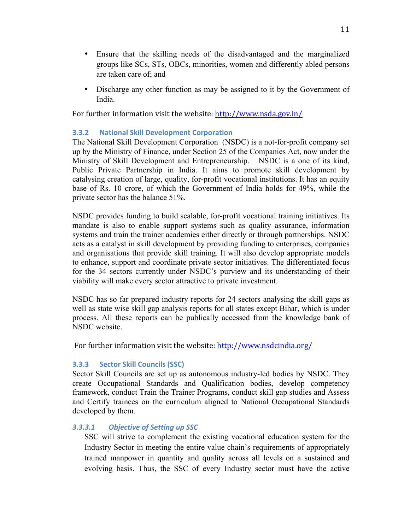- Ensure that the skilling needs of the disadvantaged and the marginalized groups like SCs, STs, OBCs, minorities, women and differently abled persons are taken care of; and
- Discharge any other function as may be assigned to it by the Government of India.

For further information visit the website: http://www.nsda.gov.in/

## **3.3.2 National Skill Development Corporation**

The National Skill Development Corporation (NSDC) is a not-for-profit company set up by the Ministry of Finance, under Section 25 of the Companies Act, now under the Ministry of Skill Development and Entrepreneurship. NSDC is a one of its kind, Public Private Partnership in India. It aims to promote skill development by catalysing creation of large, quality, for-profit vocational institutions. It has an equity base of Rs. 10 crore, of which the Government of India holds for 49%, while the private sector has the balance 51%.

NSDC provides funding to build scalable, for-profit vocational training initiatives. Its mandate is also to enable support systems such as quality assurance, information systems and train the trainer academies either directly or through partnerships. NSDC acts as a catalyst in skill development by providing funding to enterprises, companies and organisations that provide skill training. It will also develop appropriate models to enhance, support and coordinate private sector initiatives. The differentiated focus for the 34 sectors currently under NSDC's purview and its understanding of their viability will make every sector attractive to private investment.

NSDC has so far prepared industry reports for 24 sectors analysing the skill gaps as well as state wise skill gap analysis reports for all states except Bihar, which is under process. All these reports can be publically accessed from the knowledge bank of NSDC website.

For further information visit the website: http://www.nsdcindia.org/

## **3.3.3 Sector Skill Councils (SSC)**

Sector Skill Councils are set up as autonomous industry-led bodies by NSDC. They create Occupational Standards and Qualification bodies, develop competency framework, conduct Train the Trainer Programs, conduct skill gap studies and Assess and Certify trainees on the curriculum aligned to National Occupational Standards developed by them.

## **3.3.3.1 Objective of Setting up SSC**

SSC will strive to complement the existing vocational education system for the Industry Sector in meeting the entire value chain's requirements of appropriately trained manpower in quantity and quality across all levels on a sustained and evolving basis. Thus, the SSC of every Industry sector must have the active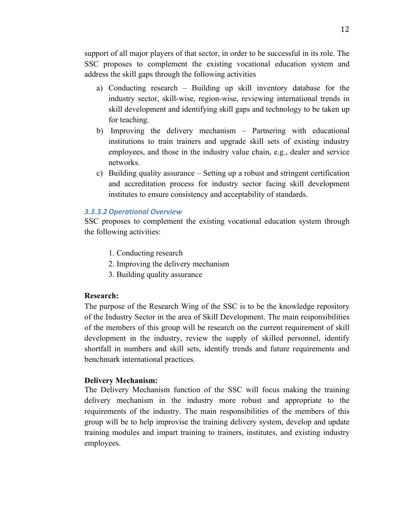support of all major players of that sector, in order to be successful in its role. The SSC proposes to complement the existing vocational education system and address the skill gaps through the following activities

- a) Conducting research Building up skill inventory database for the industry sector, skill-wise, region-wise, reviewing international trends in skill development and identifying skill gaps and technology to be taken up for teaching.
- b) Improving the delivery mechanism Partnering with educational institutions to train trainers and upgrade skill sets of existing industry employees, and those in the industry value chain, e.g., dealer and service networks.
- c) Building quality assurance Setting up a robust and stringent certification and accreditation process for industry sector facing skill development institutes to ensure consistency and acceptability of standards.

#### *3.3.3.2 Operational Overview*

SSC proposes to complement the existing vocational education system through the following activities:

- 1. Conducting research
- 2. Improving the delivery mechanism
- 3. Building quality assurance

#### **Research:**

The purpose of the Research Wing of the SSC is to be the knowledge repository of the Industry Sector in the area of Skill Development. The main responsibilities of the members of this group will be research on the current requirement of skill development in the industry, review the supply of skilled personnel, identify shortfall in numbers and skill sets, identify trends and future requirements and benchmark international practices.

#### **Delivery Mechanism:**

The Delivery Mechanism function of the SSC will focus making the training delivery mechanism in the industry more robust and appropriate to the requirements of the industry. The main responsibilities of the members of this group will be to help improvise the training delivery system, develop and update training modules and impart training to trainers, institutes, and existing industry employees.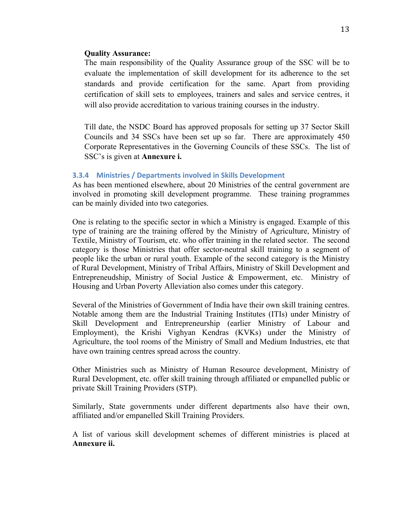#### **Quality Assurance:**

The main responsibility of the Quality Assurance group of the SSC will be to evaluate the implementation of skill development for its adherence to the set standards and provide certification for the same. Apart from providing certification of skill sets to employees, trainers and sales and service centres, it will also provide accreditation to various training courses in the industry.

Till date, the NSDC Board has approved proposals for setting up 37 Sector Skill Councils and 34 SSCs have been set up so far. There are approximately 450 Corporate Representatives in the Governing Councils of these SSCs. The list of SSC's is given at **Annexure i.**

#### **3.3.4 Ministries / Departments involved in Skills Development**

As has been mentioned elsewhere, about 20 Ministries of the central government are involved in promoting skill development programme. These training programmes can be mainly divided into two categories.

One is relating to the specific sector in which a Ministry is engaged. Example of this type of training are the training offered by the Ministry of Agriculture, Ministry of Textile, Ministry of Tourism, etc. who offer training in the related sector. The second category is those Ministries that offer sector-neutral skill training to a segment of people like the urban or rural youth. Example of the second category is the Ministry of Rural Development, Ministry of Tribal Affairs, Ministry of Skill Development and Entrepreneudship, Ministry of Social Justice & Empowerment, etc. Ministry of Housing and Urban Poverty Alleviation also comes under this category.

Several of the Ministries of Government of India have their own skill training centres. Notable among them are the Industrial Training Institutes (ITIs) under Ministry of Skill Development and Entrepreneurship (earlier Ministry of Labour and Employment), the Krishi Vighyan Kendras (KVKs) under the Ministry of Agriculture, the tool rooms of the Ministry of Small and Medium Industries, etc that have own training centres spread across the country.

Other Ministries such as Ministry of Human Resource development, Ministry of Rural Development, etc. offer skill training through affiliated or empanelled public or private Skill Training Providers (STP).

Similarly, State governments under different departments also have their own, affiliated and/or empanelled Skill Training Providers.

A list of various skill development schemes of different ministries is placed at **Annexure ii.**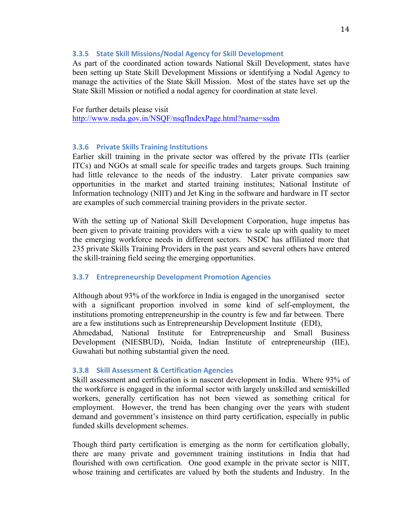### **3.3.5** State Skill Missions/Nodal Agency for Skill Development

As part of the coordinated action towards National Skill Development, states have been setting up State Skill Development Missions or identifying a Nodal Agency to manage the activities of the State Skill Mission. Most of the states have set up the State Skill Mission or notified a nodal agency for coordination at state level.

For further details please visit http://www.nsda.gov.in/NSQF/nsqfIndexPage.html?name=ssdm

### **3.3.6 Private Skills Training Institutions**

Earlier skill training in the private sector was offered by the private ITIs (earlier ITCs) and NGOs at small scale for specific trades and targets groups. Such training had little relevance to the needs of the industry. Later private companies saw opportunities in the market and started training institutes; National Institute of Information technology (NIIT) and Jet King in the software and hardware in IT sector are examples of such commercial training providers in the private sector.

With the setting up of National Skill Development Corporation, huge impetus has been given to private training providers with a view to scale up with quality to meet the emerging workforce needs in different sectors. NSDC has affiliated more that 235 private Skills Training Providers in the past years and several others have entered the skill-training field seeing the emerging opportunities.

#### **3.3.7 Entrepreneurship Development Promotion Agencies**

Although about 93% of the workforce in India is engaged in the unorganised sector with a significant proportion involved in some kind of self-employment, the institutions promoting entrepreneurship in the country is few and far between. There are a few institutions such as Entrepreneurship Development Institute (EDI), Ahmedabad, National Institute for Entrepreneurship and Small Business Development (NIESBUD), Noida, Indian Institute of entrepreneurship (IIE), Guwahati but nothing substantial given the need.

#### **3.3.8 Skill Assessment & Certification Agencies**

Skill assessment and certification is in nascent development in India. Where 93% of the workforce is engaged in the informal sector with largely unskilled and semiskilled workers, generally certification has not been viewed as something critical for employment. However, the trend has been changing over the years with student demand and government's insistence on third party certification, especially in public funded skills development schemes.

Though third party certification is emerging as the norm for certification globally, there are many private and government training institutions in India that had flourished with own certification. One good example in the private sector is NIIT, whose training and certificates are valued by both the students and Industry. In the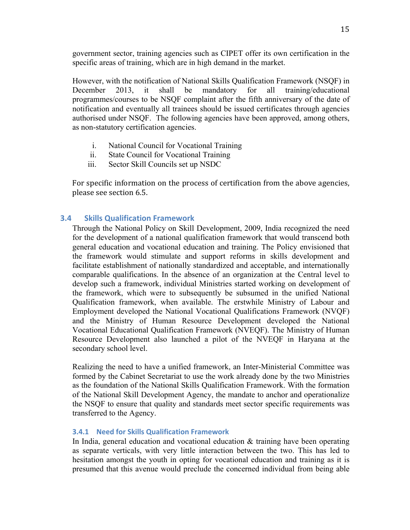government sector, training agencies such as CIPET offer its own certification in the specific areas of training, which are in high demand in the market.

However, with the notification of National Skills Qualification Framework (NSQF) in December 2013, it shall be mandatory for all training/educational programmes/courses to be NSQF complaint after the fifth anniversary of the date of notification and eventually all trainees should be issued certificates through agencies authorised under NSQF. The following agencies have been approved, among others, as non-statutory certification agencies.

- i. National Council for Vocational Training
- ii. State Council for Vocational Training
- iii. Sector Skill Councils set up NSDC

For specific information on the process of certification from the above agencies, please see section 6.5.

## **3.4 Skills Qualification Framework**

Through the National Policy on Skill Development, 2009, India recognized the need for the development of a national qualification framework that would transcend both general education and vocational education and training. The Policy envisioned that the framework would stimulate and support reforms in skills development and facilitate establishment of nationally standardized and acceptable, and internationally comparable qualifications. In the absence of an organization at the Central level to develop such a framework, individual Ministries started working on development of the framework, which were to subsequently be subsumed in the unified National Qualification framework, when available. The erstwhile Ministry of Labour and Employment developed the National Vocational Qualifications Framework (NVQF) and the Ministry of Human Resource Development developed the National Vocational Educational Qualification Framework (NVEQF). The Ministry of Human Resource Development also launched a pilot of the NVEQF in Haryana at the secondary school level.

Realizing the need to have a unified framework, an Inter-Ministerial Committee was formed by the Cabinet Secretariat to use the work already done by the two Ministries as the foundation of the National Skills Qualification Framework. With the formation of the National Skill Development Agency, the mandate to anchor and operationalize the NSQF to ensure that quality and standards meet sector specific requirements was transferred to the Agency.

#### **3.4.1 Need for Skills Qualification Framework**

In India, general education and vocational education & training have been operating as separate verticals, with very little interaction between the two. This has led to hesitation amongst the youth in opting for vocational education and training as it is presumed that this avenue would preclude the concerned individual from being able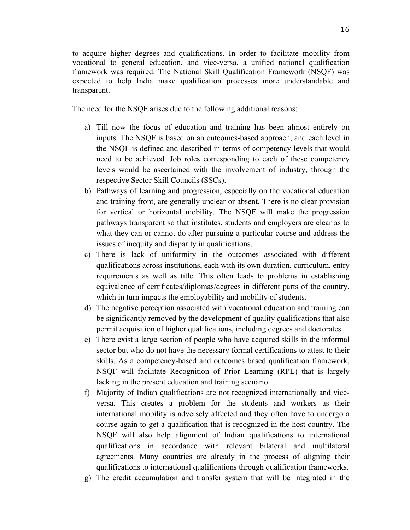to acquire higher degrees and qualifications. In order to facilitate mobility from vocational to general education, and vice-versa, a unified national qualification framework was required. The National Skill Qualification Framework (NSQF) was expected to help India make qualification processes more understandable and transparent.

The need for the NSQF arises due to the following additional reasons:

- a) Till now the focus of education and training has been almost entirely on inputs. The NSQF is based on an outcomes-based approach, and each level in the NSQF is defined and described in terms of competency levels that would need to be achieved. Job roles corresponding to each of these competency levels would be ascertained with the involvement of industry, through the respective Sector Skill Councils (SSCs).
- b) Pathways of learning and progression, especially on the vocational education and training front, are generally unclear or absent. There is no clear provision for vertical or horizontal mobility. The NSQF will make the progression pathways transparent so that institutes, students and employers are clear as to what they can or cannot do after pursuing a particular course and address the issues of inequity and disparity in qualifications.
- c) There is lack of uniformity in the outcomes associated with different qualifications across institutions, each with its own duration, curriculum, entry requirements as well as title. This often leads to problems in establishing equivalence of certificates/diplomas/degrees in different parts of the country, which in turn impacts the employability and mobility of students.
- d) The negative perception associated with vocational education and training can be significantly removed by the development of quality qualifications that also permit acquisition of higher qualifications, including degrees and doctorates.
- e) There exist a large section of people who have acquired skills in the informal sector but who do not have the necessary formal certifications to attest to their skills. As a competency-based and outcomes based qualification framework, NSQF will facilitate Recognition of Prior Learning (RPL) that is largely lacking in the present education and training scenario.
- f) Majority of Indian qualifications are not recognized internationally and viceversa. This creates a problem for the students and workers as their international mobility is adversely affected and they often have to undergo a course again to get a qualification that is recognized in the host country. The NSQF will also help alignment of Indian qualifications to international qualifications in accordance with relevant bilateral and multilateral agreements. Many countries are already in the process of aligning their qualifications to international qualifications through qualification frameworks.
- g) The credit accumulation and transfer system that will be integrated in the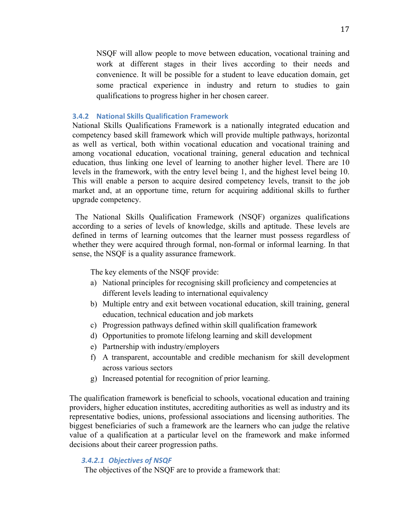NSQF will allow people to move between education, vocational training and work at different stages in their lives according to their needs and convenience. It will be possible for a student to leave education domain, get some practical experience in industry and return to studies to gain qualifications to progress higher in her chosen career.

#### **3.4.2 National Skills Qualification Framework**

National Skills Qualifications Framework is a nationally integrated education and competency based skill framework which will provide multiple pathways, horizontal as well as vertical, both within vocational education and vocational training and among vocational education, vocational training, general education and technical education, thus linking one level of learning to another higher level. There are 10 levels in the framework, with the entry level being 1, and the highest level being 10. This will enable a person to acquire desired competency levels, transit to the job market and, at an opportune time, return for acquiring additional skills to further upgrade competency.

The National Skills Qualification Framework (NSQF) organizes qualifications according to a series of levels of knowledge, skills and aptitude. These levels are defined in terms of learning outcomes that the learner must possess regardless of whether they were acquired through formal, non-formal or informal learning. In that sense, the NSQF is a quality assurance framework.

The key elements of the NSQF provide:

- a) National principles for recognising skill proficiency and competencies at different levels leading to international equivalency
- b) Multiple entry and exit between vocational education, skill training, general education, technical education and job markets
- c) Progression pathways defined within skill qualification framework
- d) Opportunities to promote lifelong learning and skill development
- e) Partnership with industry/employers
- f) A transparent, accountable and credible mechanism for skill development across various sectors
- g) Increased potential for recognition of prior learning.

The qualification framework is beneficial to schools, vocational education and training providers, higher education institutes, accrediting authorities as well as industry and its representative bodies, unions, professional associations and licensing authorities. The biggest beneficiaries of such a framework are the learners who can judge the relative value of a qualification at a particular level on the framework and make informed decisions about their career progression paths.

### *3.4.2.1 Objectives of NSQF*

The objectives of the NSQF are to provide a framework that: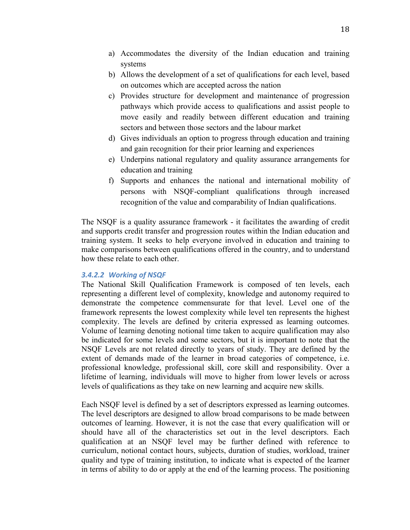- a) Accommodates the diversity of the Indian education and training systems
- b) Allows the development of a set of qualifications for each level, based on outcomes which are accepted across the nation
- c) Provides structure for development and maintenance of progression pathways which provide access to qualifications and assist people to move easily and readily between different education and training sectors and between those sectors and the labour market
- d) Gives individuals an option to progress through education and training and gain recognition for their prior learning and experiences
- e) Underpins national regulatory and quality assurance arrangements for education and training
- f) Supports and enhances the national and international mobility of persons with NSQF-compliant qualifications through increased recognition of the value and comparability of Indian qualifications.

The NSQF is a quality assurance framework - it facilitates the awarding of credit and supports credit transfer and progression routes within the Indian education and training system. It seeks to help everyone involved in education and training to make comparisons between qualifications offered in the country, and to understand how these relate to each other.

#### *3.4.2.2 Working of NSQF*

The National Skill Qualification Framework is composed of ten levels, each representing a different level of complexity, knowledge and autonomy required to demonstrate the competence commensurate for that level. Level one of the framework represents the lowest complexity while level ten represents the highest complexity. The levels are defined by criteria expressed as learning outcomes. Volume of learning denoting notional time taken to acquire qualification may also be indicated for some levels and some sectors, but it is important to note that the NSQF Levels are not related directly to years of study. They are defined by the extent of demands made of the learner in broad categories of competence, i.e. professional knowledge, professional skill, core skill and responsibility. Over a lifetime of learning, individuals will move to higher from lower levels or across levels of qualifications as they take on new learning and acquire new skills.

Each NSQF level is defined by a set of descriptors expressed as learning outcomes. The level descriptors are designed to allow broad comparisons to be made between outcomes of learning. However, it is not the case that every qualification will or should have all of the characteristics set out in the level descriptors. Each qualification at an NSQF level may be further defined with reference to curriculum, notional contact hours, subjects, duration of studies, workload, trainer quality and type of training institution, to indicate what is expected of the learner in terms of ability to do or apply at the end of the learning process. The positioning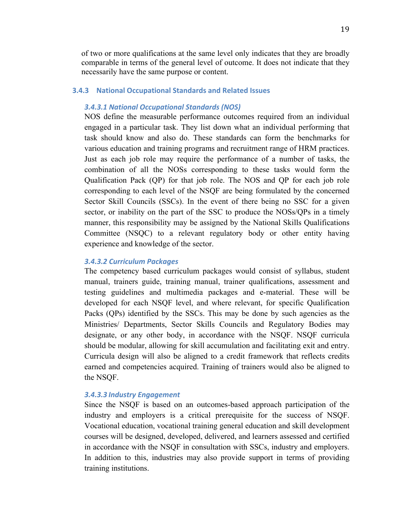of two or more qualifications at the same level only indicates that they are broadly comparable in terms of the general level of outcome. It does not indicate that they necessarily have the same purpose or content.

#### **3.4.3 National Occupational Standards and Related Issues**

## *3.4.3.1 National Occupational Standards (NOS)*

NOS define the measurable performance outcomes required from an individual engaged in a particular task. They list down what an individual performing that task should know and also do. These standards can form the benchmarks for various education and training programs and recruitment range of HRM practices. Just as each job role may require the performance of a number of tasks, the combination of all the NOSs corresponding to these tasks would form the Qualification Pack (QP) for that job role. The NOS and QP for each job role corresponding to each level of the NSQF are being formulated by the concerned Sector Skill Councils (SSCs). In the event of there being no SSC for a given sector, or inability on the part of the SSC to produce the NOSs/QPs in a timely manner, this responsibility may be assigned by the National Skills Qualifications Committee (NSQC) to a relevant regulatory body or other entity having experience and knowledge of the sector.

## *3.4.3.2 Curriculum Packages*

The competency based curriculum packages would consist of syllabus, student manual, trainers guide, training manual, trainer qualifications, assessment and testing guidelines and multimedia packages and e-material. These will be developed for each NSQF level, and where relevant, for specific Qualification Packs (QPs) identified by the SSCs. This may be done by such agencies as the Ministries/ Departments, Sector Skills Councils and Regulatory Bodies may designate, or any other body, in accordance with the NSQF. NSQF curricula should be modular, allowing for skill accumulation and facilitating exit and entry. Curricula design will also be aligned to a credit framework that reflects credits earned and competencies acquired. Training of trainers would also be aligned to the NSQF.

#### *3.4.3.3 Industry Engagement*

Since the NSQF is based on an outcomes-based approach participation of the industry and employers is a critical prerequisite for the success of NSQF. Vocational education, vocational training general education and skill development courses will be designed, developed, delivered, and learners assessed and certified in accordance with the NSQF in consultation with SSCs, industry and employers. In addition to this, industries may also provide support in terms of providing training institutions.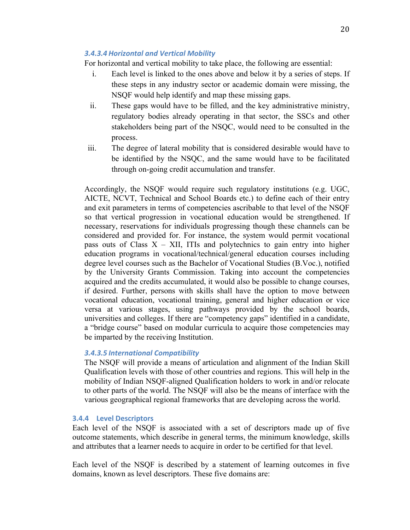### *3.4.3.4 Horizontal and Vertical Mobility*

For horizontal and vertical mobility to take place, the following are essential:

- i. Each level is linked to the ones above and below it by a series of steps. If these steps in any industry sector or academic domain were missing, the NSQF would help identify and map these missing gaps.
- ii. These gaps would have to be filled, and the key administrative ministry, regulatory bodies already operating in that sector, the SSCs and other stakeholders being part of the NSQC, would need to be consulted in the process.
- iii. The degree of lateral mobility that is considered desirable would have to be identified by the NSQC, and the same would have to be facilitated through on-going credit accumulation and transfer.

Accordingly, the NSQF would require such regulatory institutions (e.g. UGC, AICTE, NCVT, Technical and School Boards etc.) to define each of their entry and exit parameters in terms of competencies ascribable to that level of the NSQF so that vertical progression in vocational education would be strengthened. If necessary, reservations for individuals progressing though these channels can be considered and provided for. For instance, the system would permit vocational pass outs of Class  $X - XII$ , ITIs and polytechnics to gain entry into higher education programs in vocational/technical/general education courses including degree level courses such as the Bachelor of Vocational Studies (B.Voc.), notified by the University Grants Commission. Taking into account the competencies acquired and the credits accumulated, it would also be possible to change courses, if desired. Further, persons with skills shall have the option to move between vocational education, vocational training, general and higher education or vice versa at various stages, using pathways provided by the school boards, universities and colleges. If there are "competency gaps" identified in a candidate, a "bridge course" based on modular curricula to acquire those competencies may be imparted by the receiving Institution.

## *3.4.3.5 International Compatibility*

The NSQF will provide a means of articulation and alignment of the Indian Skill Qualification levels with those of other countries and regions. This will help in the mobility of Indian NSQF-aligned Qualification holders to work in and/or relocate to other parts of the world. The NSQF will also be the means of interface with the various geographical regional frameworks that are developing across the world.

#### **3.4.4 Level Descriptors**

Each level of the NSQF is associated with a set of descriptors made up of five outcome statements, which describe in general terms, the minimum knowledge, skills and attributes that a learner needs to acquire in order to be certified for that level.

Each level of the NSQF is described by a statement of learning outcomes in five domains, known as level descriptors. These five domains are: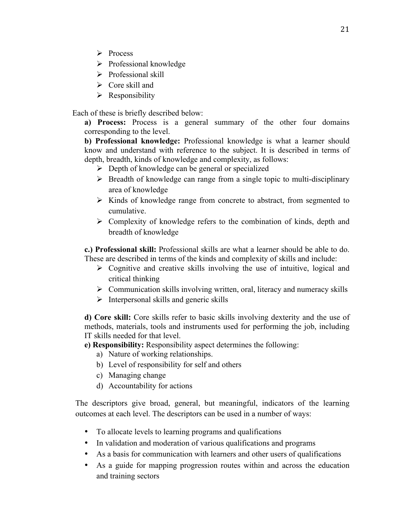- Ø Process
- $\triangleright$  Professional knowledge
- $\triangleright$  Professional skill
- $\triangleright$  Core skill and
- $\triangleright$  Responsibility

Each of these is briefly described below:

**a) Process:** Process is a general summary of the other four domains corresponding to the level.

**b) Professional knowledge:** Professional knowledge is what a learner should know and understand with reference to the subject. It is described in terms of depth, breadth, kinds of knowledge and complexity, as follows:

- $\triangleright$  Depth of knowledge can be general or specialized
- $\triangleright$  Breadth of knowledge can range from a single topic to multi-disciplinary area of knowledge
- $\triangleright$  Kinds of knowledge range from concrete to abstract, from segmented to cumulative.
- $\triangleright$  Complexity of knowledge refers to the combination of kinds, depth and breadth of knowledge

**c.) Professional skill:** Professional skills are what a learner should be able to do. These are described in terms of the kinds and complexity of skills and include:

- $\triangleright$  Cognitive and creative skills involving the use of intuitive, logical and critical thinking
- $\triangleright$  Communication skills involving written, oral, literacy and numeracy skills
- $\triangleright$  Interpersonal skills and generic skills

**d) Core skill:** Core skills refer to basic skills involving dexterity and the use of methods, materials, tools and instruments used for performing the job, including IT skills needed for that level.

**e) Responsibility:** Responsibility aspect determines the following:

- a) Nature of working relationships.
- b) Level of responsibility for self and others
- c) Managing change
- d) Accountability for actions

The descriptors give broad, general, but meaningful, indicators of the learning outcomes at each level. The descriptors can be used in a number of ways:

- To allocate levels to learning programs and qualifications
- In validation and moderation of various qualifications and programs
- As a basis for communication with learners and other users of qualifications
- As a guide for mapping progression routes within and across the education and training sectors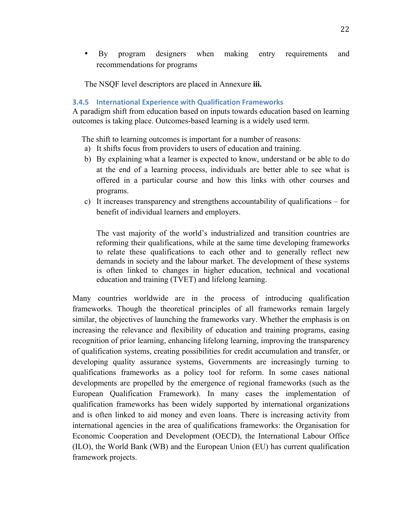• By program designers when making entry requirements and recommendations for programs

The NSQF level descriptors are placed in Annexure **iii.**

## **3.4.5 International Experience with Qualification Frameworks**

A paradigm shift from education based on inputs towards education based on learning outcomes is taking place. Outcomes-based learning is a widely used term.

The shift to learning outcomes is important for a number of reasons:

- a) It shifts focus from providers to users of education and training.
- b) By explaining what a learner is expected to know, understand or be able to do at the end of a learning process, individuals are better able to see what is offered in a particular course and how this links with other courses and programs.
- c) It increases transparency and strengthens accountability of qualifications for benefit of individual learners and employers.

The vast majority of the world's industrialized and transition countries are reforming their qualifications, while at the same time developing frameworks to relate these qualifications to each other and to generally reflect new demands in society and the labour market. The development of these systems is often linked to changes in higher education, technical and vocational education and training (TVET) and lifelong learning.

Many countries worldwide are in the process of introducing qualification frameworks. Though the theoretical principles of all frameworks remain largely similar, the objectives of launching the frameworks vary. Whether the emphasis is on increasing the relevance and flexibility of education and training programs, easing recognition of prior learning, enhancing lifelong learning, improving the transparency of qualification systems, creating possibilities for credit accumulation and transfer, or developing quality assurance systems, Governments are increasingly turning to qualifications frameworks as a policy tool for reform. In some cases national developments are propelled by the emergence of regional frameworks (such as the European Qualification Framework). In many cases the implementation of qualification frameworks has been widely supported by international organizations and is often linked to aid money and even loans. There is increasing activity from international agencies in the area of qualifications frameworks: the Organisation for Economic Cooperation and Development (OECD), the International Labour Office (ILO), the World Bank (WB) and the European Union (EU) has current qualification framework projects.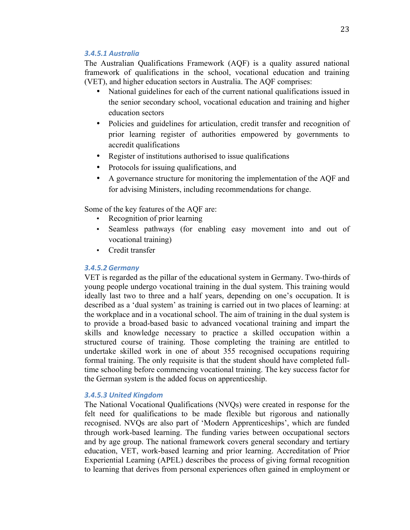#### *3.4.5.1 Australia*

The Australian Qualifications Framework (AQF) is a quality assured national framework of qualifications in the school, vocational education and training (VET), and higher education sectors in Australia. The AQF comprises:

- National guidelines for each of the current national qualifications issued in the senior secondary school, vocational education and training and higher education sectors
- Policies and guidelines for articulation, credit transfer and recognition of prior learning register of authorities empowered by governments to accredit qualifications
- Register of institutions authorised to issue qualifications
- Protocols for issuing qualifications, and
- A governance structure for monitoring the implementation of the AQF and for advising Ministers, including recommendations for change.

Some of the key features of the AQF are:

- Recognition of prior learning
- Seamless pathways (for enabling easy movement into and out of vocational training)
- Credit transfer

## *3.4.5.2 Germany*

VET is regarded as the pillar of the educational system in Germany. Two-thirds of young people undergo vocational training in the dual system. This training would ideally last two to three and a half years, depending on one's occupation. It is described as a 'dual system' as training is carried out in two places of learning: at the workplace and in a vocational school. The aim of training in the dual system is to provide a broad-based basic to advanced vocational training and impart the skills and knowledge necessary to practice a skilled occupation within a structured course of training. Those completing the training are entitled to undertake skilled work in one of about 355 recognised occupations requiring formal training. The only requisite is that the student should have completed fulltime schooling before commencing vocational training. The key success factor for the German system is the added focus on apprenticeship.

## *3.4.5.3 United Kingdom*

The National Vocational Qualifications (NVQs) were created in response for the felt need for qualifications to be made flexible but rigorous and nationally recognised. NVQs are also part of 'Modern Apprenticeships', which are funded through work-based learning. The funding varies between occupational sectors and by age group. The national framework covers general secondary and tertiary education, VET, work-based learning and prior learning. Accreditation of Prior Experiential Learning (APEL) describes the process of giving formal recognition to learning that derives from personal experiences often gained in employment or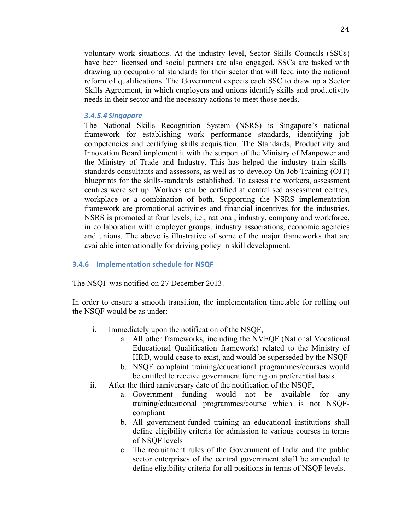voluntary work situations. At the industry level, Sector Skills Councils (SSCs) have been licensed and social partners are also engaged. SSCs are tasked with drawing up occupational standards for their sector that will feed into the national reform of qualifications. The Government expects each SSC to draw up a Sector Skills Agreement, in which employers and unions identify skills and productivity needs in their sector and the necessary actions to meet those needs.

#### *3.4.5.4 Singapore*

The National Skills Recognition System (NSRS) is Singapore's national framework for establishing work performance standards, identifying job competencies and certifying skills acquisition. The Standards, Productivity and Innovation Board implement it with the support of the Ministry of Manpower and the Ministry of Trade and Industry. This has helped the industry train skillsstandards consultants and assessors, as well as to develop On Job Training (OJT) blueprints for the skills-standards established. To assess the workers, assessment centres were set up. Workers can be certified at centralised assessment centres, workplace or a combination of both. Supporting the NSRS implementation framework are promotional activities and financial incentives for the industries. NSRS is promoted at four levels, i.e., national, industry, company and workforce, in collaboration with employer groups, industry associations, economic agencies and unions. The above is illustrative of some of the major frameworks that are available internationally for driving policy in skill development.

#### **3.4.6** Implementation schedule for NSQF

The NSQF was notified on 27 December 2013.

In order to ensure a smooth transition, the implementation timetable for rolling out the NSQF would be as under:

- i. Immediately upon the notification of the NSQF,
	- a. All other frameworks, including the NVEQF (National Vocational Educational Qualification framework) related to the Ministry of HRD, would cease to exist, and would be superseded by the NSQF
	- b. NSQF complaint training/educational programmes/courses would be entitled to receive government funding on preferential basis.
- ii. After the third anniversary date of the notification of the NSQF,
	- a. Government funding would not be available for any training/educational programmes/course which is not NSQFcompliant
	- b. All government-funded training an educational institutions shall define eligibility criteria for admission to various courses in terms of NSQF levels
	- c. The recruitment rules of the Government of India and the public sector enterprises of the central government shall be amended to define eligibility criteria for all positions in terms of NSQF levels.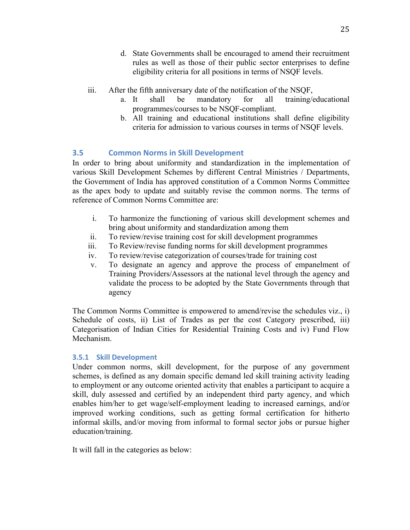- d. State Governments shall be encouraged to amend their recruitment rules as well as those of their public sector enterprises to define eligibility criteria for all positions in terms of NSQF levels.
- iii. After the fifth anniversary date of the notification of the NSQF,
	- a. It shall be mandatory for all training/educational programmes/courses to be NSQF-compliant.
	- b. All training and educational institutions shall define eligibility criteria for admission to various courses in terms of NSQF levels.

## **3.5 Common Norms in Skill Development**

In order to bring about uniformity and standardization in the implementation of various Skill Development Schemes by different Central Ministries / Departments, the Government of India has approved constitution of a Common Norms Committee as the apex body to update and suitably revise the common norms. The terms of reference of Common Norms Committee are:

- i. To harmonize the functioning of various skill development schemes and bring about uniformity and standardization among them
- ii. To review/revise training cost for skill development programmes
- iii. To Review/revise funding norms for skill development programmes
- iv. To review/revise categorization of courses/trade for training cost
- v. To designate an agency and approve the process of empanelment of Training Providers/Assessors at the national level through the agency and validate the process to be adopted by the State Governments through that agency

The Common Norms Committee is empowered to amend/revise the schedules viz., i) Schedule of costs, ii) List of Trades as per the cost Category prescribed, iii) Categorisation of Indian Cities for Residential Training Costs and iv) Fund Flow Mechanism.

## **3.5.1 Skill Development**

Under common norms, skill development, for the purpose of any government schemes, is defined as any domain specific demand led skill training activity leading to employment or any outcome oriented activity that enables a participant to acquire a skill, duly assessed and certified by an independent third party agency, and which enables him/her to get wage/self-employment leading to increased earnings, and/or improved working conditions, such as getting formal certification for hitherto informal skills, and/or moving from informal to formal sector jobs or pursue higher education/training.

It will fall in the categories as below: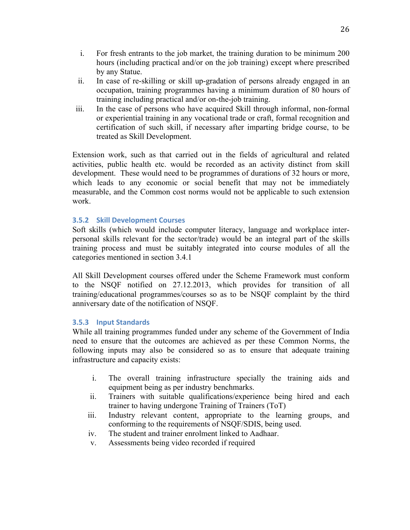- i. For fresh entrants to the job market, the training duration to be minimum 200 hours (including practical and/or on the job training) except where prescribed by any Statue.
- ii. In case of re-skilling or skill up-gradation of persons already engaged in an occupation, training programmes having a minimum duration of 80 hours of training including practical and/or on-the-job training.
- iii. In the case of persons who have acquired Skill through informal, non-formal or experiential training in any vocational trade or craft, formal recognition and certification of such skill, if necessary after imparting bridge course, to be treated as Skill Development.

Extension work, such as that carried out in the fields of agricultural and related activities, public health etc. would be recorded as an activity distinct from skill development. These would need to be programmes of durations of 32 hours or more, which leads to any economic or social benefit that may not be immediately measurable, and the Common cost norms would not be applicable to such extension work.

## **3.5.2 Skill Development Courses**

Soft skills (which would include computer literacy, language and workplace interpersonal skills relevant for the sector/trade) would be an integral part of the skills training process and must be suitably integrated into course modules of all the categories mentioned in section 3.4.1

All Skill Development courses offered under the Scheme Framework must conform to the NSQF notified on 27.12.2013, which provides for transition of all training/educational programmes/courses so as to be NSQF complaint by the third anniversary date of the notification of NSQF.

## **3.5.3 Input Standards**

While all training programmes funded under any scheme of the Government of India need to ensure that the outcomes are achieved as per these Common Norms, the following inputs may also be considered so as to ensure that adequate training infrastructure and capacity exists:

- i. The overall training infrastructure specially the training aids and equipment being as per industry benchmarks.
- ii. Trainers with suitable qualifications/experience being hired and each trainer to having undergone Training of Trainers (ToT)
- iii. Industry relevant content, appropriate to the learning groups, and conforming to the requirements of NSQF/SDIS, being used.
- iv. The student and trainer enrolment linked to Aadhaar.
- v. Assessments being video recorded if required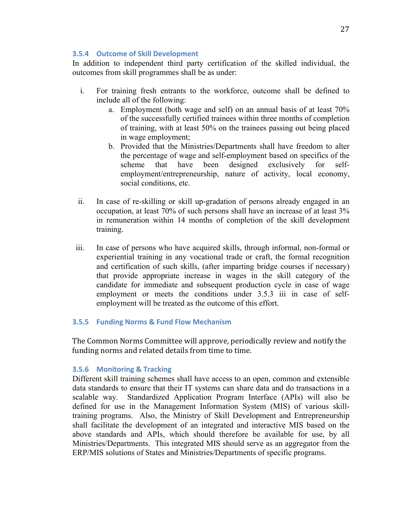### **3.5.4 Outcome of Skill Development**

In addition to independent third party certification of the skilled individual, the outcomes from skill programmes shall be as under:

- i. For training fresh entrants to the workforce, outcome shall be defined to include all of the following:
	- a. Employment (both wage and self) on an annual basis of at least 70% of the successfully certified trainees within three months of completion of training, with at least 50% on the trainees passing out being placed in wage employment;
	- b. Provided that the Ministries/Departments shall have freedom to alter the percentage of wage and self-employment based on specifics of the scheme that have been designed exclusively for selfemployment/entrepreneurship, nature of activity, local economy, social conditions, etc.
- ii. In case of re-skilling or skill up-gradation of persons already engaged in an occupation, at least 70% of such persons shall have an increase of at least 3% in remuneration within 14 months of completion of the skill development training.
- iii. In case of persons who have acquired skills, through informal, non-formal or experiential training in any vocational trade or craft, the formal recognition and certification of such skills, (after imparting bridge courses if necessary) that provide appropriate increase in wages in the skill category of the candidate for immediate and subsequent production cycle in case of wage employment or meets the conditions under 3.5.3 iii in case of selfemployment will be treated as the outcome of this effort.

## **3.5.5 Funding Norms & Fund Flow Mechanism**

The Common Norms Committee will approve, periodically review and notify the funding norms and related details from time to time.

## **3.5.6 Monitoring & Tracking**

Different skill training schemes shall have access to an open, common and extensible data standards to ensure that their IT systems can share data and do transactions in a scalable way. Standardized Application Program Interface (APIs) will also be defined for use in the Management Information System (MIS) of various skilltraining programs. Also, the Ministry of Skill Development and Entrepreneurship shall facilitate the development of an integrated and interactive MIS based on the above standards and APIs, which should therefore be available for use, by all Ministries/Departments. This integrated MIS should serve as an aggregator from the ERP/MIS solutions of States and Ministries/Departments of specific programs.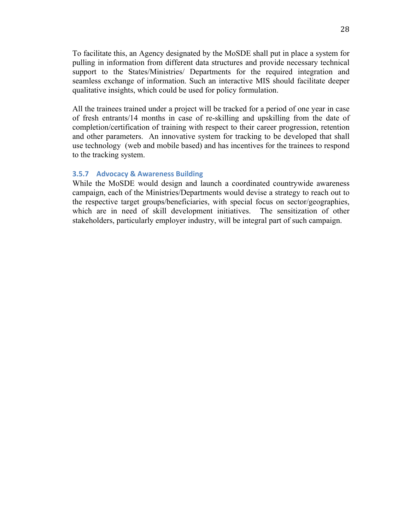To facilitate this, an Agency designated by the MoSDE shall put in place a system for pulling in information from different data structures and provide necessary technical support to the States/Ministries/ Departments for the required integration and seamless exchange of information. Such an interactive MIS should facilitate deeper qualitative insights, which could be used for policy formulation.

All the trainees trained under a project will be tracked for a period of one year in case of fresh entrants/14 months in case of re-skilling and upskilling from the date of completion/certification of training with respect to their career progression, retention and other parameters. An innovative system for tracking to be developed that shall use technology (web and mobile based) and has incentives for the trainees to respond to the tracking system.

#### **3.5.7 Advocacy & Awareness Building**

While the MoSDE would design and launch a coordinated countrywide awareness campaign, each of the Ministries/Departments would devise a strategy to reach out to the respective target groups/beneficiaries, with special focus on sector/geographies, which are in need of skill development initiatives. The sensitization of other stakeholders, particularly employer industry, will be integral part of such campaign.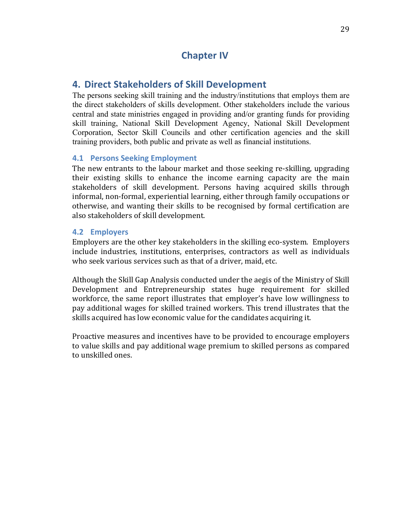# **4. Direct Stakeholders of Skill Development**

The persons seeking skill training and the industry/institutions that employs them are the direct stakeholders of skills development. Other stakeholders include the various central and state ministries engaged in providing and/or granting funds for providing skill training, National Skill Development Agency, National Skill Development Corporation, Sector Skill Councils and other certification agencies and the skill training providers, both public and private as well as financial institutions.

## **4.1 Persons Seeking Employment**

The new entrants to the labour market and those seeking re-skilling, upgrading their existing skills to enhance the income earning capacity are the main stakeholders of skill development. Persons having acquired skills through informal, non-formal, experiential learning, either through family occupations or otherwise, and wanting their skills to be recognised by formal certification are also stakeholders of skill development.

## **4.2 Employers**

Employers are the other key stakeholders in the skilling eco-system. Employers include industries, institutions, enterprises, contractors as well as individuals who seek various services such as that of a driver, maid, etc.

Although the Skill Gap Analysis conducted under the aegis of the Ministry of Skill Development and Entrepreneurship states huge requirement for skilled workforce, the same report illustrates that employer's have low willingness to pay additional wages for skilled trained workers. This trend illustrates that the skills acquired has low economic value for the candidates acquiring it.

Proactive measures and incentives have to be provided to encourage employers to value skills and pay additional wage premium to skilled persons as compared to unskilled ones.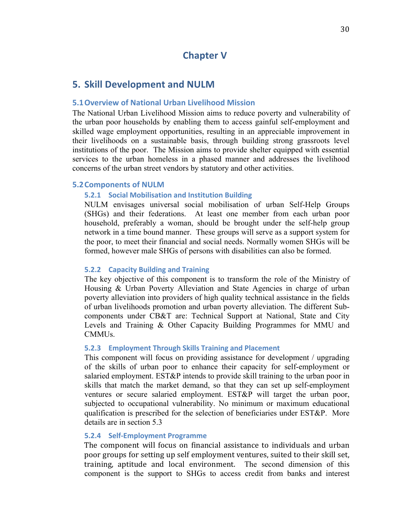## **Chapter V**

## **5. Skill Development and NULM**

#### **5.1Overview of National Urban Livelihood Mission**

The National Urban Livelihood Mission aims to reduce poverty and vulnerability of the urban poor households by enabling them to access gainful self-employment and skilled wage employment opportunities, resulting in an appreciable improvement in their livelihoods on a sustainable basis, through building strong grassroots level institutions of the poor. The Mission aims to provide shelter equipped with essential services to the urban homeless in a phased manner and addresses the livelihood concerns of the urban street vendors by statutory and other activities.

#### **5.2 Components of NULM**

#### **5.2.1 Social Mobilisation and Institution Building**

NULM envisages universal social mobilisation of urban Self-Help Groups (SHGs) and their federations. At least one member from each urban poor household, preferably a woman, should be brought under the self-help group network in a time bound manner. These groups will serve as a support system for the poor, to meet their financial and social needs. Normally women SHGs will be formed, however male SHGs of persons with disabilities can also be formed.

#### **5.2.2 Capacity Building and Training**

The key objective of this component is to transform the role of the Ministry of Housing & Urban Poverty Alleviation and State Agencies in charge of urban poverty alleviation into providers of high quality technical assistance in the fields of urban livelihoods promotion and urban poverty alleviation. The different Subcomponents under CB&T are: Technical Support at National, State and City Levels and Training & Other Capacity Building Programmes for MMU and CMMUs.

#### **5.2.3 Employment Through Skills Training and Placement**

This component will focus on providing assistance for development / upgrading of the skills of urban poor to enhance their capacity for self-employment or salaried employment. EST&P intends to provide skill training to the urban poor in skills that match the market demand, so that they can set up self-employment ventures or secure salaried employment. EST&P will target the urban poor, subjected to occupational vulnerability. No minimum or maximum educational qualification is prescribed for the selection of beneficiaries under  $EST&P$ . More details are in section 5.3

#### **5.2.4 Self-Employment Programme**

The component will focus on financial assistance to individuals and urban poor groups for setting up self employment ventures, suited to their skill set, training, aptitude and local environment. The second dimension of this component is the support to SHGs to access credit from banks and interest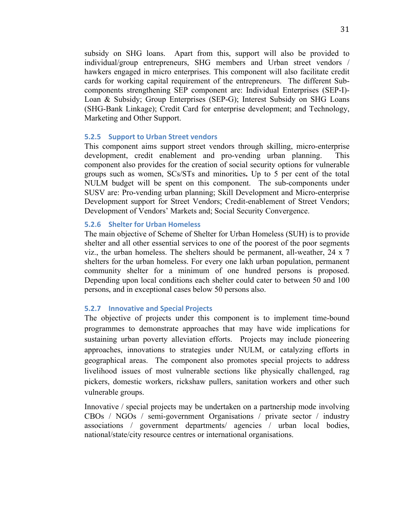subsidy on SHG loans. Apart from this, support will also be provided to individual/group entrepreneurs, SHG members and Urban street vendors / hawkers engaged in micro enterprises. This component will also facilitate credit cards for working capital requirement of the entrepreneurs. The different Subcomponents strengthening SEP component are: Individual Enterprises (SEP-I)- Loan & Subsidy; Group Enterprises (SEP-G); Interest Subsidy on SHG Loans (SHG-Bank Linkage); Credit Card for enterprise development; and Technology, Marketing and Other Support.

#### **5.2.5** Support to Urban Street vendors

This component aims support street vendors through skilling, micro-enterprise development, credit enablement and pro-vending urban planning. This component also provides for the creation of social security options for vulnerable groups such as women, SCs/STs and minorities**.** Up to 5 per cent of the total NULM budget will be spent on this component.The sub-components under SUSV are: Pro-vending urban planning; Skill Development and Micro-enterprise Development support for Street Vendors; Credit-enablement of Street Vendors; Development of Vendors' Markets and; Social Security Convergence.

#### **5.2.6** Shelter for Urban Homeless

The main objective of Scheme of Shelter for Urban Homeless (SUH) is to provide shelter and all other essential services to one of the poorest of the poor segments viz., the urban homeless. The shelters should be permanent, all-weather, 24 x 7 shelters for the urban homeless. For every one lakh urban population, permanent community shelter for a minimum of one hundred persons is proposed. Depending upon local conditions each shelter could cater to between 50 and 100 persons, and in exceptional cases below 50 persons also.

#### **5.2.7 Innovative and Special Projects**

The objective of projects under this component is to implement time-bound programmes to demonstrate approaches that may have wide implications for sustaining urban poverty alleviation efforts. Projects may include pioneering approaches, innovations to strategies under NULM, or catalyzing efforts in geographical areas. The component also promotes special projects to address livelihood issues of most vulnerable sections like physically challenged, rag pickers, domestic workers, rickshaw pullers, sanitation workers and other such vulnerable groups.

Innovative / special projects may be undertaken on a partnership mode involving CBOs / NGOs / semi-government Organisations / private sector / industry associations / government departments/ agencies / urban local bodies, national/state/city resource centres or international organisations.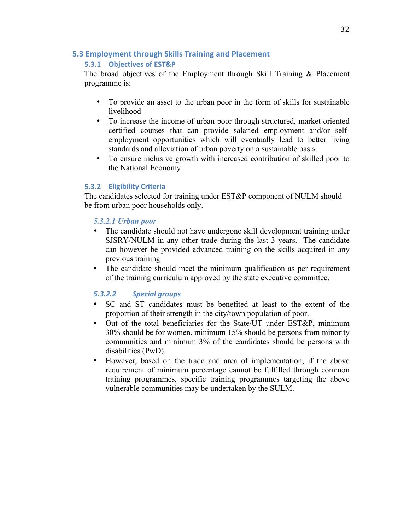## **5.3 Employment through Skills Training and Placement**

## **5.3.1 Objectives of EST&P**

The broad objectives of the Employment through Skill Training & Placement programme is:

- To provide an asset to the urban poor in the form of skills for sustainable livelihood
- To increase the income of urban poor through structured, market oriented certified courses that can provide salaried employment and/or selfemployment opportunities which will eventually lead to better living standards and alleviation of urban poverty on a sustainable basis
- To ensure inclusive growth with increased contribution of skilled poor to the National Economy

## **5.3.2 Eligibility Criteria**

The candidates selected for training under EST&P component of NULM should be from urban poor households only.

## *5.3.2.1 Urban poor*

- The candidate should not have undergone skill development training under SJSRY/NULM in any other trade during the last 3 years. The candidate can however be provided advanced training on the skills acquired in any previous training
- The candidate should meet the minimum qualification as per requirement of the training curriculum approved by the state executive committee.

## *5.3.2.2 Special groups*

- SC and ST candidates must be benefited at least to the extent of the proportion of their strength in the city/town population of poor.
- Out of the total beneficiaries for the State/UT under EST&P, minimum 30% should be for women, minimum 15% should be persons from minority communities and minimum 3% of the candidates should be persons with disabilities (PwD).
- However, based on the trade and area of implementation, if the above requirement of minimum percentage cannot be fulfilled through common training programmes, specific training programmes targeting the above vulnerable communities may be undertaken by the SULM.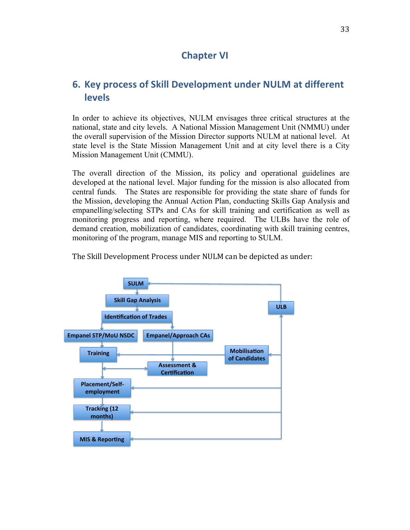# **Chapter VI**

# **6. Key process of Skill Development under NULM at different levels**

In order to achieve its objectives, NULM envisages three critical structures at the national, state and city levels. A National Mission Management Unit (NMMU) under the overall supervision of the Mission Director supports NULM at national level. At state level is the State Mission Management Unit and at city level there is a City Mission Management Unit (CMMU).

The overall direction of the Mission, its policy and operational guidelines are developed at the national level. Major funding for the mission is also allocated from central funds. The States are responsible for providing the state share of funds for the Mission, developing the Annual Action Plan, conducting Skills Gap Analysis and empanelling/selecting STPs and CAs for skill training and certification as well as monitoring progress and reporting, where required. The ULBs have the role of demand creation, mobilization of candidates, coordinating with skill training centres, monitoring of the program, manage MIS and reporting to SULM.

The Skill Development Process under NULM can be depicted as under:

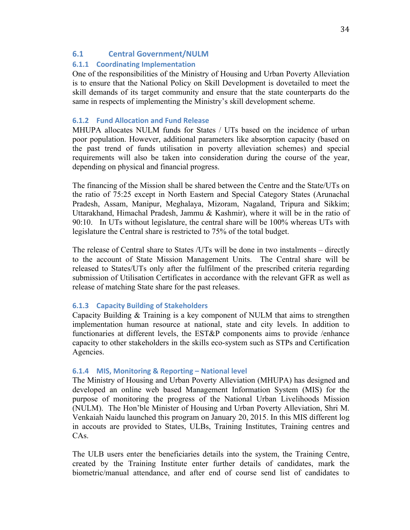## **6.1 Central Government/NULM**

## **6.1.1 Coordinating Implementation**

One of the responsibilities of the Ministry of Housing and Urban Poverty Alleviation is to ensure that the National Policy on Skill Development is dovetailed to meet the skill demands of its target community and ensure that the state counterparts do the same in respects of implementing the Ministry's skill development scheme.

### **6.1.2 Fund Allocation and Fund Release**

MHUPA allocates NULM funds for States / UTs based on the incidence of urban poor population. However, additional parameters like absorption capacity (based on the past trend of funds utilisation in poverty alleviation schemes) and special requirements will also be taken into consideration during the course of the year, depending on physical and financial progress.

The financing of the Mission shall be shared between the Centre and the State/UTs on the ratio of 75:25 except in North Eastern and Special Category States (Arunachal Pradesh, Assam, Manipur, Meghalaya, Mizoram, Nagaland, Tripura and Sikkim; Uttarakhand, Himachal Pradesh, Jammu & Kashmir), where it will be in the ratio of 90:10. In UTs without legislature, the central share will be 100% whereas UTs with legislature the Central share is restricted to 75% of the total budget.

The release of Central share to States /UTs will be done in two instalments – directly to the account of State Mission Management Units. The Central share will be released to States/UTs only after the fulfilment of the prescribed criteria regarding submission of Utilisation Certificates in accordance with the relevant GFR as well as release of matching State share for the past releases.

## **6.1.3 Capacity Building of Stakeholders**

Capacity Building & Training is a key component of NULM that aims to strengthen implementation human resource at national, state and city levels. In addition to functionaries at different levels, the EST&P components aims to provide /enhance capacity to other stakeholders in the skills eco-system such as STPs and Certification Agencies.

#### **6.1.4 MIS, Monitoring & Reporting – National level**

The Ministry of Housing and Urban Poverty Alleviation (MHUPA) has designed and developed an online web based Management Information System (MIS) for the purpose of monitoring the progress of the National Urban Livelihoods Mission (NULM). The Hon'ble Minister of Housing and Urban Poverty Alleviation, Shri M. Venkaiah Naidu launched this program on January 20, 2015. In this MIS different log in accouts are provided to States, ULBs, Training Institutes, Training centres and CA<sub>s</sub>.

The ULB users enter the beneficiaries details into the system, the Training Centre, created by the Training Institute enter further details of candidates, mark the biometric/manual attendance, and after end of course send list of candidates to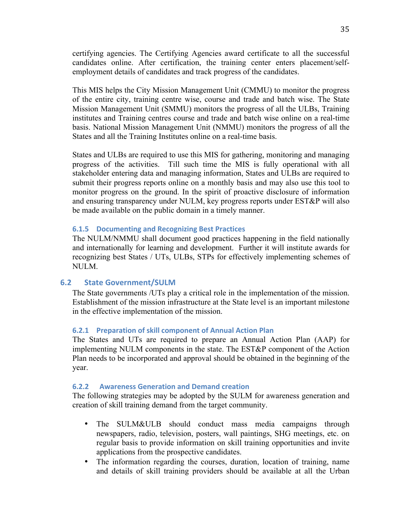certifying agencies. The Certifying Agencies award certificate to all the successful candidates online. After certification, the training center enters placement/selfemployment details of candidates and track progress of the candidates.

This MIS helps the City Mission Management Unit (CMMU) to monitor the progress of the entire city, training centre wise, course and trade and batch wise. The State Mission Management Unit (SMMU) monitors the progress of all the ULBs, Training institutes and Training centres course and trade and batch wise online on a real-time basis. National Mission Management Unit (NMMU) monitors the progress of all the States and all the Training Institutes online on a real-time basis.

States and ULBs are required to use this MIS for gathering, monitoring and managing progress of the activities. Till such time the MIS is fully operational with all stakeholder entering data and managing information, States and ULBs are required to submit their progress reports online on a monthly basis and may also use this tool to monitor progress on the ground. In the spirit of proactive disclosure of information and ensuring transparency under NULM, key progress reports under EST&P will also be made available on the public domain in a timely manner.

#### **6.1.5 Documenting and Recognizing Best Practices**

The NULM/NMMU shall document good practices happening in the field nationally and internationally for learning and development. Further it will institute awards for recognizing best States / UTs, ULBs, STPs for effectively implementing schemes of NULM.

#### **6.2 State Government/SULM**

The State governments /UTs play a critical role in the implementation of the mission. Establishment of the mission infrastructure at the State level is an important milestone in the effective implementation of the mission.

#### **6.2.1 Preparation of skill component of Annual Action Plan**

The States and UTs are required to prepare an Annual Action Plan (AAP) for implementing NULM components in the state. The EST&P component of the Action Plan needs to be incorporated and approval should be obtained in the beginning of the year.

## **6.2.2** Awareness Generation and Demand creation

The following strategies may be adopted by the SULM for awareness generation and creation of skill training demand from the target community.

- The SULM&ULB should conduct mass media campaigns through newspapers, radio, television, posters, wall paintings, SHG meetings, etc. on regular basis to provide information on skill training opportunities and invite applications from the prospective candidates.
- The information regarding the courses, duration, location of training, name and details of skill training providers should be available at all the Urban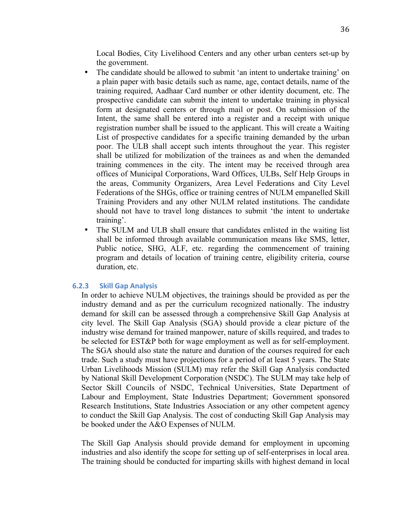Local Bodies, City Livelihood Centers and any other urban centers set-up by the government.

- The candidate should be allowed to submit 'an intent to undertake training' on a plain paper with basic details such as name, age, contact details, name of the training required, Aadhaar Card number or other identity document, etc. The prospective candidate can submit the intent to undertake training in physical form at designated centers or through mail or post. On submission of the Intent, the same shall be entered into a register and a receipt with unique registration number shall be issued to the applicant. This will create a Waiting List of prospective candidates for a specific training demanded by the urban poor. The ULB shall accept such intents throughout the year. This register shall be utilized for mobilization of the trainees as and when the demanded training commences in the city. The intent may be received through area offices of Municipal Corporations, Ward Offices, ULBs, Self Help Groups in the areas, Community Organizers, Area Level Federations and City Level Federations of the SHGs, office or training centres of NULM empanelled Skill Training Providers and any other NULM related institutions. The candidate should not have to travel long distances to submit 'the intent to undertake training'.
- The SULM and ULB shall ensure that candidates enlisted in the waiting list shall be informed through available communication means like SMS, letter, Public notice, SHG, ALF, etc. regarding the commencement of training program and details of location of training centre, eligibility criteria, course duration, etc.

#### **6.2.3 Skill Gap Analysis**

In order to achieve NULM objectives, the trainings should be provided as per the industry demand and as per the curriculum recognized nationally. The industry demand for skill can be assessed through a comprehensive Skill Gap Analysis at city level. The Skill Gap Analysis (SGA) should provide a clear picture of the industry wise demand for trained manpower, nature of skills required, and trades to be selected for EST&P both for wage employment as well as for self-employment. The SGA should also state the nature and duration of the courses required for each trade. Such a study must have projections for a period of at least 5 years. The State Urban Livelihoods Mission (SULM) may refer the Skill Gap Analysis conducted by National Skill Development Corporation (NSDC). The SULM may take help of Sector Skill Councils of NSDC, Technical Universities, State Department of Labour and Employment, State Industries Department; Government sponsored Research Institutions, State Industries Association or any other competent agency to conduct the Skill Gap Analysis. The cost of conducting Skill Gap Analysis may be booked under the A&O Expenses of NULM.

The Skill Gap Analysis should provide demand for employment in upcoming industries and also identify the scope for setting up of self-enterprises in local area. The training should be conducted for imparting skills with highest demand in local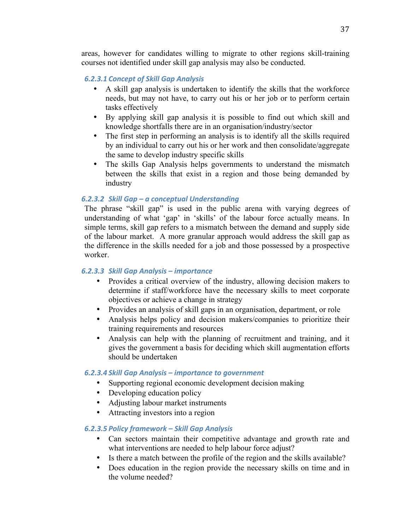areas, however for candidates willing to migrate to other regions skill-training courses not identified under skill gap analysis may also be conducted.

## *6.2.3.1 Concept of Skill Gap Analysis*

- A skill gap analysis is undertaken to identify the skills that the workforce needs, but may not have, to carry out his or her job or to perform certain tasks effectively
- By applying skill gap analysis it is possible to find out which skill and knowledge shortfalls there are in an organisation/industry/sector
- The first step in performing an analysis is to identify all the skills required by an individual to carry out his or her work and then consolidate/aggregate the same to develop industry specific skills
- The skills Gap Analysis helps governments to understand the mismatch between the skills that exist in a region and those being demanded by industry

## *6.2.3.2 Skill Gap – a conceptual Understanding*

The phrase "skill gap" is used in the public arena with varying degrees of understanding of what 'gap' in 'skills' of the labour force actually means. In simple terms, skill gap refers to a mismatch between the demand and supply side of the labour market. A more granular approach would address the skill gap as the difference in the skills needed for a job and those possessed by a prospective worker.

## *6.2.3.3 Skill Gap Analysis – importance*

- Provides a critical overview of the industry, allowing decision makers to determine if staff/workforce have the necessary skills to meet corporate objectives or achieve a change in strategy
- Provides an analysis of skill gaps in an organisation, department, or role
- Analysis helps policy and decision makers/companies to prioritize their training requirements and resources
- Analysis can help with the planning of recruitment and training, and it gives the government a basis for deciding which skill augmentation efforts should be undertaken

## *6.2.3.4 Skill Gap Analysis – importance to government*

- Supporting regional economic development decision making
- Developing education policy
- Adjusting labour market instruments
- Attracting investors into a region

## *6.2.3.5 Policy framework – Skill Gap Analysis*

- Can sectors maintain their competitive advantage and growth rate and what interventions are needed to help labour force adjust?
- Is there a match between the profile of the region and the skills available?
- Does education in the region provide the necessary skills on time and in the volume needed?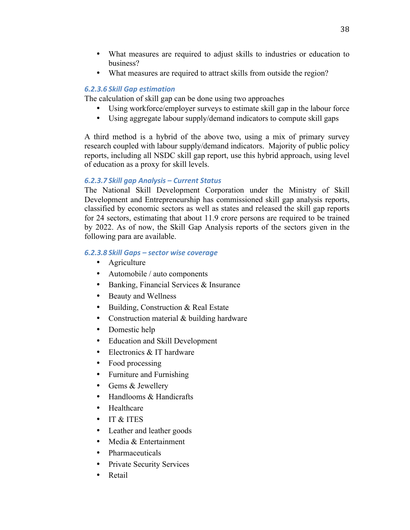- What measures are required to adjust skills to industries or education to business?
- What measures are required to attract skills from outside the region?

## *6.2.3.6 Skill Gap estimation*

The calculation of skill gap can be done using two approaches

- Using workforce/employer surveys to estimate skill gap in the labour force
- Using aggregate labour supply/demand indicators to compute skill gaps

A third method is a hybrid of the above two, using a mix of primary survey research coupled with labour supply/demand indicators. Majority of public policy reports, including all NSDC skill gap report, use this hybrid approach, using level of education as a proxy for skill levels.

## *6.2.3.7 Skill gap Analysis – Current Status*

The National Skill Development Corporation under the Ministry of Skill Development and Entrepreneurship has commissioned skill gap analysis reports, classified by economic sectors as well as states and released the skill gap reports for 24 sectors, estimating that about 11.9 crore persons are required to be trained by 2022. As of now, the Skill Gap Analysis reports of the sectors given in the following para are available.

## *6.2.3.8 Skill Gaps – sector wise coverage*

- Agriculture
- Automobile / auto components
- Banking, Financial Services & Insurance
- Beauty and Wellness
- Building, Construction & Real Estate
- Construction material  $&$  building hardware
- Domestic help
- Education and Skill Development
- Electronics & IT hardware
- Food processing
- Furniture and Furnishing
- Gems & Jewellery
- Handlooms & Handicrafts
- Healthcare
- IT & ITES
- Leather and leather goods
- Media & Entertainment
- Pharmaceuticals
- Private Security Services
- Retail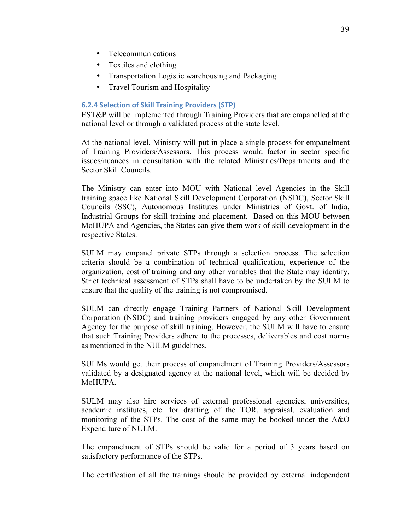- Telecommunications
- Textiles and clothing
- Transportation Logistic warehousing and Packaging
- Travel Tourism and Hospitality

## **6.2.4 Selection of Skill Training Providers (STP)**

EST&P will be implemented through Training Providers that are empanelled at the national level or through a validated process at the state level.

At the national level, Ministry will put in place a single process for empanelment of Training Providers/Assessors. This process would factor in sector specific issues/nuances in consultation with the related Ministries/Departments and the Sector Skill Councils.

The Ministry can enter into MOU with National level Agencies in the Skill training space like National Skill Development Corporation (NSDC), Sector Skill Councils (SSC), Autonomous Institutes under Ministries of Govt. of India, Industrial Groups for skill training and placement. Based on this MOU between MoHUPA and Agencies, the States can give them work of skill development in the respective States.

SULM may empanel private STPs through a selection process. The selection criteria should be a combination of technical qualification, experience of the organization, cost of training and any other variables that the State may identify. Strict technical assessment of STPs shall have to be undertaken by the SULM to ensure that the quality of the training is not compromised.

SULM can directly engage Training Partners of National Skill Development Corporation (NSDC) and training providers engaged by any other Government Agency for the purpose of skill training. However, the SULM will have to ensure that such Training Providers adhere to the processes, deliverables and cost norms as mentioned in the NULM guidelines.

SULMs would get their process of empanelment of Training Providers/Assessors validated by a designated agency at the national level, which will be decided by MoHUPA.

SULM may also hire services of external professional agencies, universities, academic institutes, etc. for drafting of the TOR, appraisal, evaluation and monitoring of the STPs. The cost of the same may be booked under the A&O Expenditure of NULM.

The empanelment of STPs should be valid for a period of 3 years based on satisfactory performance of the STPs.

The certification of all the trainings should be provided by external independent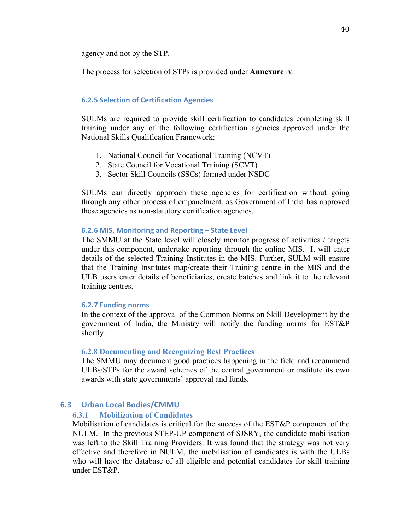agency and not by the STP.

The process for selection of STPs is provided under **Annexure** i**v**.

#### **6.2.5 Selection of Certification Agencies**

SULMs are required to provide skill certification to candidates completing skill training under any of the following certification agencies approved under the National Skills Qualification Framework:

- 1. National Council for Vocational Training (NCVT)
- 2. State Council for Vocational Training (SCVT)
- 3. Sector Skill Councils (SSCs) formed under NSDC

SULMs can directly approach these agencies for certification without going through any other process of empanelment, as Government of India has approved these agencies as non-statutory certification agencies.

#### **6.2.6 MIS, Monitoring and Reporting – State Level**

The SMMU at the State level will closely monitor progress of activities / targets under this component, undertake reporting through the online MIS. It will enter details of the selected Training Institutes in the MIS. Further, SULM will ensure that the Training Institutes map/create their Training centre in the MIS and the ULB users enter details of beneficiaries, create batches and link it to the relevant training centres.

#### **6.2.7 Funding norms**

In the context of the approval of the Common Norms on Skill Development by the government of India, the Ministry will notify the funding norms for EST&P shortly.

#### **6.2.8 Documenting and Recognizing Best Practices**

The SMMU may document good practices happening in the field and recommend ULBs/STPs for the award schemes of the central government or institute its own awards with state governments' approval and funds.

## **6.3 Urban Local Bodies/CMMU**

#### **6.3.1 Mobilization of Candidates**

Mobilisation of candidates is critical for the success of the EST&P component of the NULM. In the previous STEP-UP component of SJSRY, the candidate mobilisation was left to the Skill Training Providers. It was found that the strategy was not very effective and therefore in NULM, the mobilisation of candidates is with the ULBs who will have the database of all eligible and potential candidates for skill training under EST&P.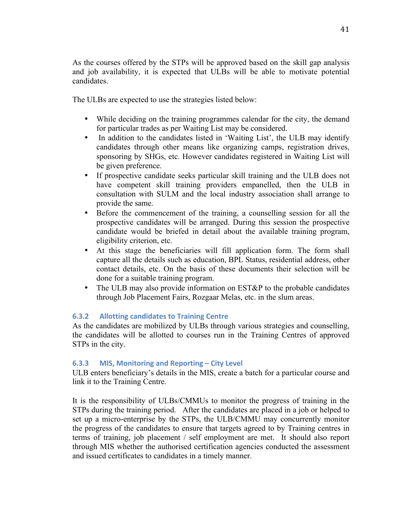As the courses offered by the STPs will be approved based on the skill gap analysis and job availability, it is expected that ULBs will be able to motivate potential candidates.

The ULBs are expected to use the strategies listed below:

- While deciding on the training programmes calendar for the city, the demand for particular trades as per Waiting List may be considered.
- In addition to the candidates listed in 'Waiting List', the ULB may identify candidates through other means like organizing camps, registration drives, sponsoring by SHGs, etc. However candidates registered in Waiting List will be given preference.
- If prospective candidate seeks particular skill training and the ULB does not have competent skill training providers empanelled, then the ULB in consultation with SULM and the local industry association shall arrange to provide the same.
- Before the commencement of the training, a counselling session for all the prospective candidates will be arranged. During this session the prospective candidate would be briefed in detail about the available training program, eligibility criterion, etc.
- At this stage the beneficiaries will fill application form. The form shall capture all the details such as education, BPL Status, residential address, other contact details, etc. On the basis of these documents their selection will be done for a suitable training program.
- The ULB may also provide information on EST&P to the probable candidates through Job Placement Fairs, Rozgaar Melas, etc. in the slum areas.

## **6.3.2** Allotting candidates to Training Centre

As the candidates are mobilized by ULBs through various strategies and counselling, the candidates will be allotted to courses run in the Training Centres of approved STPs in the city.

## **6.3.3 MIS, Monitoring and Reporting – City Level**

ULB enters beneficiary's details in the MIS, create a batch for a particular course and link it to the Training Centre.

It is the responsibility of ULBs/CMMUs to monitor the progress of training in the STPs during the training period. After the candidates are placed in a job or helped to set up a micro-enterprise by the STPs, the ULB/CMMU may concurrently monitor the progress of the candidates to ensure that targets agreed to by Training centres in terms of training, job placement / self employment are met. It should also report through MIS whether the authorised certification agencies conducted the assessment and issued certificates to candidates in a timely manner.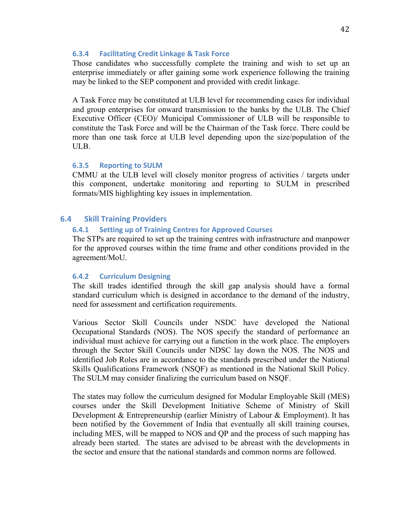### **6.3.4 Facilitating Credit Linkage & Task Force**

Those candidates who successfully complete the training and wish to set up an enterprise immediately or after gaining some work experience following the training may be linked to the SEP component and provided with credit linkage.

A Task Force may be constituted at ULB level for recommending cases for individual and group enterprises for onward transmission to the banks by the ULB. The Chief Executive Officer (CEO)/ Municipal Commissioner of ULB will be responsible to constitute the Task Force and will be the Chairman of the Task force. There could be more than one task force at ULB level depending upon the size/population of the ULB.

## **6.3.5 Reporting to SULM**

CMMU at the ULB level will closely monitor progress of activities / targets under this component, undertake monitoring and reporting to SULM in prescribed formats/MIS highlighting key issues in implementation.

## **6.4 Skill Training Providers**

### **6.4.1 Setting up of Training Centres for Approved Courses**

The STPs are required to set up the training centres with infrastructure and manpower for the approved courses within the time frame and other conditions provided in the agreement/MoU.

## **6.4.2 Curriculum Designing**

The skill trades identified through the skill gap analysis should have a formal standard curriculum which is designed in accordance to the demand of the industry, need for assessment and certification requirements.

Various Sector Skill Councils under NSDC have developed the National Occupational Standards (NOS). The NOS specify the standard of performance an individual must achieve for carrying out a function in the work place. The employers through the Sector Skill Councils under NDSC lay down the NOS. The NOS and identified Job Roles are in accordance to the standards prescribed under the National Skills Qualifications Framework (NSQF) as mentioned in the National Skill Policy. The SULM may consider finalizing the curriculum based on NSQF.

The states may follow the curriculum designed for Modular Employable Skill (MES) courses under the Skill Development Initiative Scheme of Ministry of Skill Development & Entrepreneurship (earlier Ministry of Labour & Employment). It has been notified by the Government of India that eventually all skill training courses, including MES, will be mapped to NOS and QP and the process of such mapping has already been started. The states are advised to be abreast with the developments in the sector and ensure that the national standards and common norms are followed.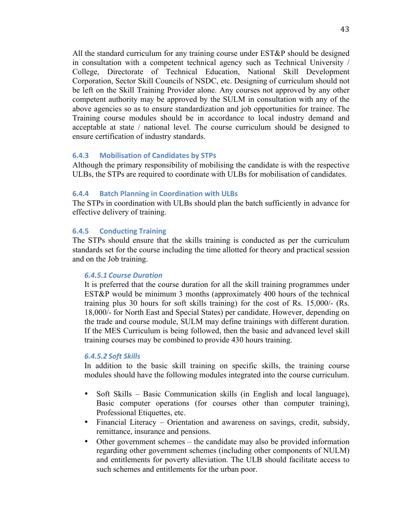All the standard curriculum for any training course under EST&P should be designed in consultation with a competent technical agency such as Technical University / College, Directorate of Technical Education, National Skill Development Corporation, Sector Skill Councils of NSDC, etc. Designing of curriculum should not be left on the Skill Training Provider alone. Any courses not approved by any other competent authority may be approved by the SULM in consultation with any of the above agencies so as to ensure standardization and job opportunities for trainee. The Training course modules should be in accordance to local industry demand and acceptable at state / national level. The course curriculum should be designed to ensure certification of industry standards.

### **6.4.3 Mobilisation of Candidates by STPs**

Although the primary responsibility of mobilising the candidate is with the respective ULBs, the STPs are required to coordinate with ULBs for mobilisation of candidates.

### **6.4.4 Batch Planning in Coordination with ULBs**

The STPs in coordination with ULBs should plan the batch sufficiently in advance for effective delivery of training.

### **6.4.5 Conducting Training**

The STPs should ensure that the skills training is conducted as per the curriculum standards set for the course including the time allotted for theory and practical session and on the Job training.

#### *6.4.5.1 Course Duration*

It is preferred that the course duration for all the skill training programmes under EST&P would be minimum 3 months (approximately 400 hours of the technical training plus 30 hours for soft skills training) for the cost of Rs. 15,000/- (Rs. 18,000/- for North East and Special States) per candidate. However, depending on the trade and course module, SULM may define trainings with different duration. If the MES Curriculum is being followed, then the basic and advanced level skill training courses may be combined to provide 430 hours training.

#### *6.4.5.2 Soft Skills*

In addition to the basic skill training on specific skills, the training course modules should have the following modules integrated into the course curriculum.

- Soft Skills Basic Communication skills (in English and local language), Basic computer operations (for courses other than computer training), Professional Etiquettes, etc.
- Financial Literacy Orientation and awareness on savings, credit, subsidy, remittance, insurance and pensions.
- Other government schemes the candidate may also be provided information regarding other government schemes (including other components of NULM) and entitlements for poverty alleviation. The ULB should facilitate access to such schemes and entitlements for the urban poor.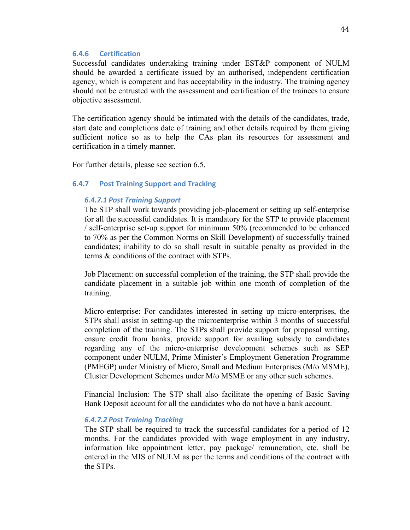#### **6.4.6 Certification**

Successful candidates undertaking training under EST&P component of NULM should be awarded a certificate issued by an authorised, independent certification agency, which is competent and has acceptability in the industry. The training agency should not be entrusted with the assessment and certification of the trainees to ensure objective assessment.

The certification agency should be intimated with the details of the candidates, trade, start date and completions date of training and other details required by them giving sufficient notice so as to help the CAs plan its resources for assessment and certification in a timely manner.

For further details, please see section 6.5.

## **6.4.7 Post Training Support and Tracking**

### *6.4.7.1 Post Training Support*

The STP shall work towards providing job-placement or setting up self-enterprise for all the successful candidates. It is mandatory for the STP to provide placement / self-enterprise set-up support for minimum 50% (recommended to be enhanced to 70% as per the Common Norms on Skill Development) of successfully trained candidates; inability to do so shall result in suitable penalty as provided in the terms & conditions of the contract with STPs.

Job Placement: on successful completion of the training, the STP shall provide the candidate placement in a suitable job within one month of completion of the training.

Micro-enterprise: For candidates interested in setting up micro-enterprises, the STPs shall assist in setting-up the microenterprise within 3 months of successful completion of the training. The STPs shall provide support for proposal writing, ensure credit from banks, provide support for availing subsidy to candidates regarding any of the micro-enterprise development schemes such as SEP component under NULM, Prime Minister's Employment Generation Programme (PMEGP) under Ministry of Micro, Small and Medium Enterprises (M/o MSME), Cluster Development Schemes under M/o MSME or any other such schemes.

Financial Inclusion: The STP shall also facilitate the opening of Basic Saving Bank Deposit account for all the candidates who do not have a bank account.

#### *6.4.7.2 Post Training Tracking*

The STP shall be required to track the successful candidates for a period of 12 months. For the candidates provided with wage employment in any industry, information like appointment letter, pay package/ remuneration, etc. shall be entered in the MIS of NULM as per the terms and conditions of the contract with the STPs.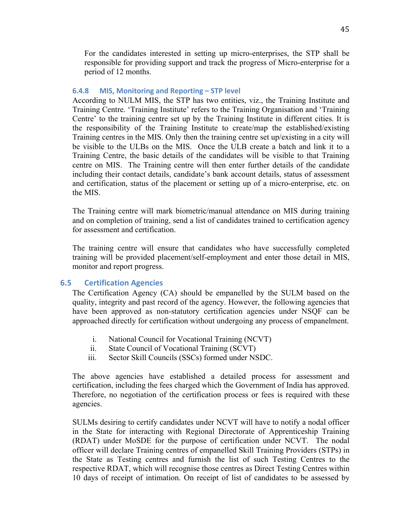For the candidates interested in setting up micro-enterprises, the STP shall be responsible for providing support and track the progress of Micro-enterprise for a period of 12 months.

#### **6.4.8 MIS, Monitoring and Reporting – STP level**

According to NULM MIS, the STP has two entities, viz., the Training Institute and Training Centre. 'Training Institute' refers to the Training Organisation and 'Training Centre' to the training centre set up by the Training Institute in different cities. It is the responsibility of the Training Institute to create/map the established/existing Training centres in the MIS. Only then the training centre set up/existing in a city will be visible to the ULBs on the MIS. Once the ULB create a batch and link it to a Training Centre, the basic details of the candidates will be visible to that Training centre on MIS. The Training centre will then enter further details of the candidate including their contact details, candidate's bank account details, status of assessment and certification, status of the placement or setting up of a micro-enterprise, etc. on the MIS.

The Training centre will mark biometric/manual attendance on MIS during training and on completion of training, send a list of candidates trained to certification agency for assessment and certification.

The training centre will ensure that candidates who have successfully completed training will be provided placement/self-employment and enter those detail in MIS, monitor and report progress.

### **6.5 Certification Agencies**

The Certification Agency (CA) should be empanelled by the SULM based on the quality, integrity and past record of the agency. However, the following agencies that have been approved as non-statutory certification agencies under NSQF can be approached directly for certification without undergoing any process of empanelment.

- i. National Council for Vocational Training (NCVT)
- ii. State Council of Vocational Training (SCVT)
- iii. Sector Skill Councils (SSCs) formed under NSDC.

The above agencies have established a detailed process for assessment and certification, including the fees charged which the Government of India has approved. Therefore, no negotiation of the certification process or fees is required with these agencies.

SULMs desiring to certify candidates under NCVT will have to notify a nodal officer in the State for interacting with Regional Directorate of Apprenticeship Training (RDAT) under MoSDE for the purpose of certification under NCVT. The nodal officer will declare Training centres of empanelled Skill Training Providers (STPs) in the State as Testing centres and furnish the list of such Testing Centres to the respective RDAT, which will recognise those centres as Direct Testing Centres within 10 days of receipt of intimation. On receipt of list of candidates to be assessed by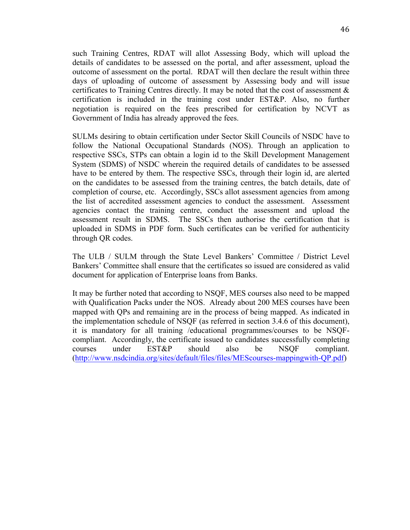such Training Centres, RDAT will allot Assessing Body, which will upload the details of candidates to be assessed on the portal, and after assessment, upload the outcome of assessment on the portal. RDAT will then declare the result within three days of uploading of outcome of assessment by Assessing body and will issue certificates to Training Centres directly. It may be noted that the cost of assessment  $\&$ certification is included in the training cost under EST&P. Also, no further negotiation is required on the fees prescribed for certification by NCVT as Government of India has already approved the fees.

SULMs desiring to obtain certification under Sector Skill Councils of NSDC have to follow the National Occupational Standards (NOS). Through an application to respective SSCs, STPs can obtain a login id to the Skill Development Management System (SDMS) of NSDC wherein the required details of candidates to be assessed have to be entered by them. The respective SSCs, through their login id, are alerted on the candidates to be assessed from the training centres, the batch details, date of completion of course, etc. Accordingly, SSCs allot assessment agencies from among the list of accredited assessment agencies to conduct the assessment. Assessment agencies contact the training centre, conduct the assessment and upload the assessment result in SDMS. The SSCs then authorise the certification that is uploaded in SDMS in PDF form. Such certificates can be verified for authenticity through QR codes.

The ULB / SULM through the State Level Bankers' Committee / District Level Bankers' Committee shall ensure that the certificates so issued are considered as valid document for application of Enterprise loans from Banks.

It may be further noted that according to NSQF, MES courses also need to be mapped with Qualification Packs under the NOS. Already about 200 MES courses have been mapped with QPs and remaining are in the process of being mapped. As indicated in the implementation schedule of NSQF (as referred in section 3.4.6 of this document), it is mandatory for all training /educational programmes/courses to be NSQFcompliant. Accordingly, the certificate issued to candidates successfully completing courses under EST&P should also be NSQF compliant. (http://www.nsdcindia.org/sites/default/files/files/MEScourses-mappingwith-QP.pdf)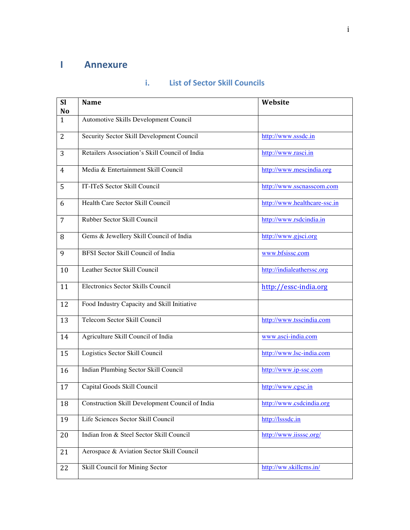# **I Annexure**

| <b>SI</b><br>N <sub>o</sub> | <b>Name</b>                                     | Website                      |
|-----------------------------|-------------------------------------------------|------------------------------|
| 1                           | Automotive Skills Development Council           |                              |
| 2                           | Security Sector Skill Development Council       | http://www.sssdc.in          |
| 3                           | Retailers Association's Skill Council of India  | http://www.rasci.in          |
| 4                           | Media & Entertainment Skill Council             | http://www.mescindia.org     |
| 5                           | IT-ITeS Sector Skill Council                    | http://www.sscnasscom.com    |
| 6                           | Health Care Sector Skill Council                | http://www.healthcare-ssc.in |
| $\overline{7}$              | Rubber Sector Skill Council                     | http://www.rsdcindia.in      |
| 8                           | Gems & Jewellery Skill Council of India         | http://www.gjsci.org         |
| 9                           | <b>BFSI Sector Skill Council of India</b>       | www.bfsissc.com              |
| 10                          | Leather Sector Skill Council                    | http://indialeatherssc.org   |
| 11                          | Electronics Sector Skills Council               | http://essc-india.org        |
| 12                          | Food Industry Capacity and Skill Initiative     |                              |
| 13                          | Telecom Sector Skill Council                    | http://www.tsscindia.com     |
| 14                          | Agriculture Skill Council of India              | www.asci-india.com           |
| 15                          | Logistics Sector Skill Council                  | http://www.lsc-india.com     |
| 16                          | Indian Plumbing Sector Skill Council            | http://www.ip-ssc.com        |
| 17                          | Capital Goods Skill Council                     | http://www.cgsc.in           |
| 18                          | Construction Skill Development Council of India | http://www.csdcindia.org     |
| 19                          | Life Sciences Sector Skill Council              | http://lsssdc.in             |
| 20                          | Indian Iron & Steel Sector Skill Council        | http://www.iisssc.org/       |
| 21                          | Aerospace & Aviation Sector Skill Council       |                              |
| 22                          | Skill Council for Mining Sector                 | http://ww.skillcms.in/       |

## **i. List of Sector Skill Councils**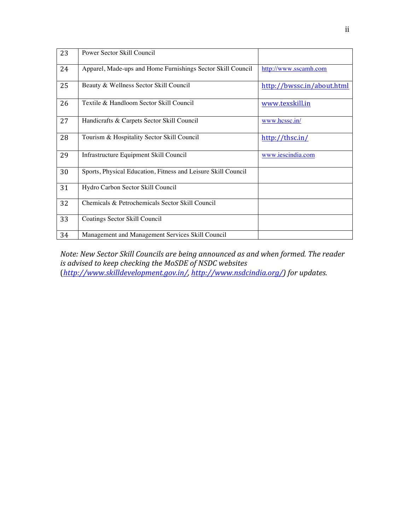| 23 | Power Sector Skill Council                                    |                            |
|----|---------------------------------------------------------------|----------------------------|
| 24 | Apparel, Made-ups and Home Furnishings Sector Skill Council   | http://www.sscamh.com      |
| 25 | Beauty & Wellness Sector Skill Council                        | http://bwssc.in/about.html |
| 26 | Textile & Handloom Sector Skill Council                       | www.texskill.in            |
| 27 | Handicrafts & Carpets Sector Skill Council                    | www.hcssc.in/              |
| 28 | Tourism & Hospitality Sector Skill Council                    | $\frac{http://thsc.in/}{$  |
| 29 | Infrastructure Equipment Skill Council                        | www.iescindia.com          |
| 30 | Sports, Physical Education, Fitness and Leisure Skill Council |                            |
| 31 | Hydro Carbon Sector Skill Council                             |                            |
| 32 | Chemicals & Petrochemicals Sector Skill Council               |                            |
| 33 | Coatings Sector Skill Council                                 |                            |
| 34 | Management and Management Services Skill Council              |                            |

*Note: New Sector Skill Councils are being announced as and when formed. The reader is* advised to keep checking the MoSDE of NSDC websites (*http://www.skilldevelopment.gov.in/, http://www.nsdcindia.org/) for updates.*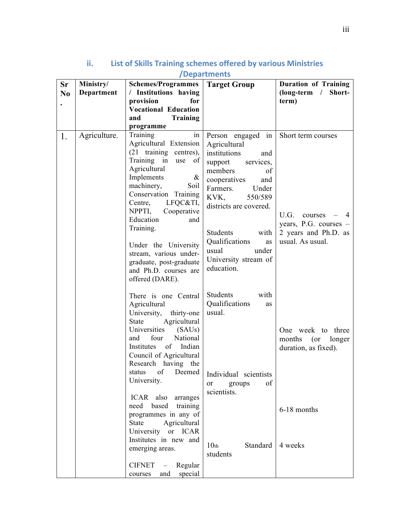| <b>Sr</b>      | Ministry/    | <b>Schemes/Programmes</b>                                                                                                                                                                                                                                                                   | <b>Target Group</b>                                                                                                                                                                        | <b>Duration of Training</b>                                         |  |
|----------------|--------------|---------------------------------------------------------------------------------------------------------------------------------------------------------------------------------------------------------------------------------------------------------------------------------------------|--------------------------------------------------------------------------------------------------------------------------------------------------------------------------------------------|---------------------------------------------------------------------|--|
| N <sub>0</sub> | Department   | / Institutions having                                                                                                                                                                                                                                                                       |                                                                                                                                                                                            | $long-term$ /<br>Short-                                             |  |
| $\bullet$      |              | provision<br>for                                                                                                                                                                                                                                                                            |                                                                                                                                                                                            | term)                                                               |  |
|                |              | <b>Vocational Education</b>                                                                                                                                                                                                                                                                 |                                                                                                                                                                                            |                                                                     |  |
|                |              | <b>Training</b><br>and                                                                                                                                                                                                                                                                      |                                                                                                                                                                                            |                                                                     |  |
|                |              | programme                                                                                                                                                                                                                                                                                   |                                                                                                                                                                                            |                                                                     |  |
| 1.             | Agriculture. | Training<br>in<br>Agricultural Extension<br>(21 training centres),<br>Training in use<br>of<br>Agricultural<br>$\&$<br>Implements<br>machinery,<br>Soil<br>Conservation Training<br>LFQC&TI,<br>Centre,<br>NPPTI,<br>Cooperative<br>Education<br>and                                        | Person engaged in<br>Agricultural<br>institutions<br>and<br>support<br>services,<br>members<br>of<br>cooperatives<br>and<br>Farmers.<br>Under<br>KVK,<br>550/589<br>districts are covered. | Short term courses<br>U.G.<br>courses<br>4                          |  |
|                |              | Training.<br>Under the University<br>stream, various under-<br>graduate, post-graduate<br>and Ph.D. courses are<br>offered (DARE).                                                                                                                                                          | Students<br>with<br>Qualifications<br>as<br>usual<br>under<br>University stream of<br>education.                                                                                           | years, P.G. courses $-$<br>2 years and Ph.D. as<br>usual. As usual. |  |
|                |              | There is one Central<br>Agricultural<br>University,<br>thirty-one<br>Agricultural<br>State<br>Universities<br>(SAUs)<br>four<br>National<br>and<br>of Indian<br>Institutes<br>Council of Agricultural<br>Research having the<br>of Deemed<br>status<br>University.<br>ICAR also<br>arranges | Students<br>with<br>Qualifications<br>as<br>usual.<br>Individual scientists<br>of<br><sub>or</sub><br>groups<br>scientists.                                                                | One week to three<br>months (or<br>longer<br>duration, as fixed).   |  |
|                |              | based<br>training<br>need<br>programmes in any of<br><b>State</b><br>Agricultural<br>University or ICAR<br>Institutes in new and<br>emerging areas.                                                                                                                                         | Standard<br>10 <sub>th</sub>                                                                                                                                                               | 6-18 months<br>4 weeks                                              |  |
|                |              | <b>CIFNET</b><br>Regular<br>$\sim$<br>special<br>and<br>courses                                                                                                                                                                                                                             | students                                                                                                                                                                                   |                                                                     |  |

# **ii.** List of Skills Training schemes offered by various Ministries **/Departments**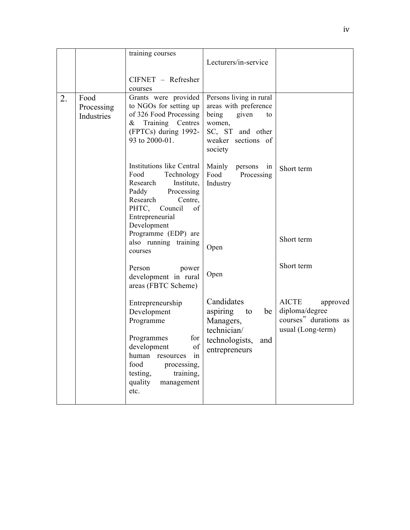|    |                                  | training courses<br>CIFNET - Refresher                                                                                                                                                        | Lecturers/in-service                                                                                                                    |                                                                                          |
|----|----------------------------------|-----------------------------------------------------------------------------------------------------------------------------------------------------------------------------------------------|-----------------------------------------------------------------------------------------------------------------------------------------|------------------------------------------------------------------------------------------|
| 2. | Food<br>Processing<br>Industries | courses<br>Grants were provided<br>to NGOs for setting up<br>of 326 Food Processing<br>Training Centres<br>$\&$<br>(FPTCs) during 1992-<br>93 to 2000-01.                                     | Persons living in rural<br>areas with preference<br>being<br>given<br>to<br>women,<br>SC, ST and other<br>weaker sections of<br>society |                                                                                          |
|    |                                  | Institutions like Central<br>Food<br>Technology<br>Institute,<br>Research<br>Paddy<br>Processing<br>Research<br>Centre,<br>PHTC, Council<br>of<br>Entrepreneurial<br>Development              | Mainly persons in<br>Food<br>Processing<br>Industry                                                                                     | Short term                                                                               |
|    |                                  | Programme (EDP) are<br>also running training<br>courses                                                                                                                                       | Open                                                                                                                                    | Short term                                                                               |
|    |                                  | Person<br>power<br>development in rural<br>areas (FBTC Scheme)                                                                                                                                | Open                                                                                                                                    | Short term                                                                               |
|    |                                  | Entrepreneurship<br>Development<br>Programme<br>Programmes<br>for<br>of<br>development<br>human resources in<br>food<br>processing,<br>testing,<br>training,<br>quality<br>management<br>etc. | Candidates<br>aspiring<br>to<br>be<br>Managers,<br>technician/<br>technologists,<br>and<br>entrepreneurs                                | <b>AICTE</b><br>approved<br>diploma/degree<br>courses" durations as<br>usual (Long-term) |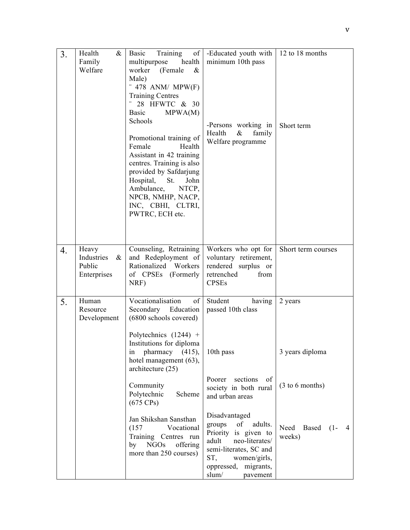| 3. | Health<br>&<br>Family<br>Welfare                     | Basic<br>Training<br>$\sigma$ f<br>multipurpose<br>health<br>worker (Female<br>$\&$<br>Male)<br>$-478$ ANM/ MPW(F)<br><b>Training Centres</b><br>28 HFWTC & 30<br>Basic<br>MPWA(M)<br>Schools<br>Promotional training of<br>Female<br>Health<br>Assistant in 42 training<br>centres. Training is also<br>provided by Safdarjung<br>Hospital, St.<br>John<br>Ambulance,<br>NTCP,<br>NPCB, NMHP, NACP,<br>INC, CBHI, CLTRI,<br>PWTRC, ECH etc. | -Educated youth with<br>minimum 10th pass<br>-Persons working in<br>Health<br>family<br>$\&$<br>Welfare programme                                                                                            | 12 to 18 months<br>Short term                       |  |
|----|------------------------------------------------------|----------------------------------------------------------------------------------------------------------------------------------------------------------------------------------------------------------------------------------------------------------------------------------------------------------------------------------------------------------------------------------------------------------------------------------------------|--------------------------------------------------------------------------------------------------------------------------------------------------------------------------------------------------------------|-----------------------------------------------------|--|
| 4. | Heavy<br>Industries<br>$\&$<br>Public<br>Enterprises | Counseling, Retraining<br>and Redeployment of<br>Rationalized Workers<br>of CPSEs (Formerly<br>NRF)                                                                                                                                                                                                                                                                                                                                          | Workers who opt for<br>voluntary retirement,<br>rendered surplus or<br>retrenched<br>from<br><b>CPSEs</b>                                                                                                    | Short term courses                                  |  |
| 5. | Human<br>Resource<br>Development                     | Vocationalisation<br>of<br>Secondary Education<br>(6800 schools covered)<br>Polytechnics $(1244)$ +<br>Institutions for diploma<br>pharmacy<br>(415),<br>1n<br>hotel management (63),<br>architecture (25)<br>Community                                                                                                                                                                                                                      | Student<br>having<br>passed 10th class<br>10th pass<br>Poorer sections<br>of<br>society in both rural                                                                                                        | 2 years<br>3 years diploma<br>(3 to 6 months)       |  |
|    |                                                      | Polytechnic<br>Scheme<br>$(675 \text{ CPs})$<br>Jan Shikshan Sansthan<br>(157)<br>Vocational<br>Training Centres run<br>by NGOs<br>offering<br>more than 250 courses)                                                                                                                                                                                                                                                                        | and urban areas<br>Disadvantaged<br>groups<br>of<br>adults.<br>Priority is given to<br>neo-literates/<br>adult<br>semi-literates, SC and<br>women/girls,<br>ST,<br>oppressed, migrants,<br>slum/<br>pavement | Need<br>Based<br>$(1 -$<br>$\overline{4}$<br>weeks) |  |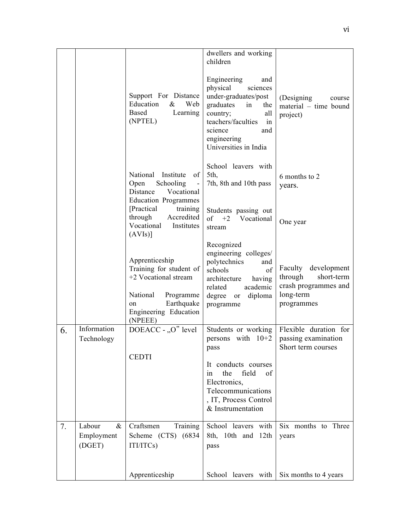|    |                                        |                                                                                                                                                    | dwellers and working<br>children                                                                                                                                                                      |                                                                                                    |
|----|----------------------------------------|----------------------------------------------------------------------------------------------------------------------------------------------------|-------------------------------------------------------------------------------------------------------------------------------------------------------------------------------------------------------|----------------------------------------------------------------------------------------------------|
|    |                                        | Support For Distance<br>Education<br>&<br>Web<br>Based<br>Learning<br>(NPTEL)                                                                      | Engineering<br>and<br>physical<br>sciences<br>under-graduates/post<br>graduates<br>in<br>the<br>country;<br>all<br>teachers/faculties<br>in<br>science<br>and<br>engineering<br>Universities in India | (Designing<br>course<br>material – time bound<br>project)                                          |
|    |                                        | National<br>Institute<br>of<br>Open<br>Schooling<br>Vocational<br>Distance<br><b>Education Programmes</b>                                          | School leavers with<br>5th,<br>7th, 8th and 10th pass                                                                                                                                                 | 6 months to 2<br>years.                                                                            |
|    |                                        | [Practical]<br>training<br>Accredited<br>through<br>Vocational Institutes<br>(AVIS)                                                                | Students passing out<br>of $+2$ Vocational<br>stream                                                                                                                                                  | One year                                                                                           |
|    |                                        | Apprenticeship<br>Training for student of<br>+2 Vocational stream<br>National<br>Programme<br>Earthquake<br>on<br>Engineering Education<br>(NPEEE) | Recognized<br>engineering colleges/<br>polytechnics<br>and<br>of<br>schools<br>having<br>architecture<br>academic<br>related<br>degree or<br>diploma<br>programme                                     | Faculty<br>development<br>through<br>short-term<br>crash programmes and<br>long-term<br>programmes |
| 6. | Information<br>Technology              | DOEACC - "O" level<br><b>CEDTI</b>                                                                                                                 | Students or working<br>persons with $10+2$<br>pass<br>It conducts courses                                                                                                                             | Flexible duration for<br>passing examination<br>Short term courses                                 |
|    |                                        |                                                                                                                                                    | field<br>the<br>of<br>1n<br>Electronics,<br>Telecommunications<br>, IT, Process Control<br>& Instrumentation                                                                                          |                                                                                                    |
| 7. | Labour<br>$\&$<br>Employment<br>(DGET) | Craftsmen<br>Training<br>Scheme (CTS) (6834)<br>ITI/ITCs)                                                                                          | School leavers with<br>8th, 10th and 12th<br>pass                                                                                                                                                     | Six months to Three<br>years                                                                       |
|    |                                        | Apprenticeship                                                                                                                                     | School leavers with                                                                                                                                                                                   | Six months to 4 years                                                                              |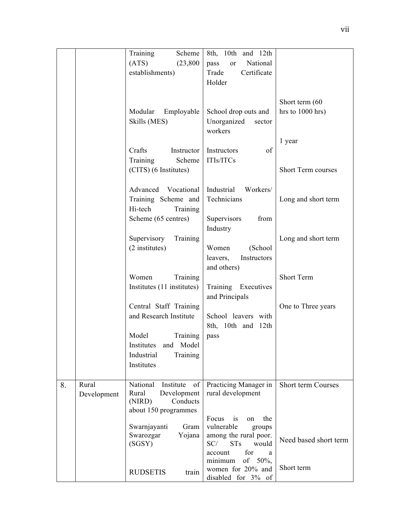|    |             | Training<br>Scheme          | 8th, 10th and 12th                               |                       |
|----|-------------|-----------------------------|--------------------------------------------------|-----------------------|
|    |             | (ATS)<br>(23, 800)          | National<br>pass<br><sub>or</sub>                |                       |
|    |             | establishments)             | Trade<br>Certificate                             |                       |
|    |             |                             |                                                  |                       |
|    |             |                             | Holder                                           |                       |
|    |             |                             |                                                  |                       |
|    |             |                             |                                                  | Short term (60        |
|    |             | Modular<br>Employable       | School drop outs and                             | hrs to 1000 hrs)      |
|    |             | Skills (MES)                | Unorganized<br>sector                            |                       |
|    |             |                             | workers                                          |                       |
|    |             |                             |                                                  | 1 year                |
|    |             | Crafts<br>Instructor        | Instructors<br>of                                |                       |
|    |             | Training<br>Scheme          | ITIs/ITCs                                        |                       |
|    |             | (CITS) (6 Institutes)       |                                                  | Short Term courses    |
|    |             |                             |                                                  |                       |
|    |             | Advanced Vocational         | Industrial<br>Workers/                           |                       |
|    |             | Training Scheme and         | Technicians                                      | Long and short term   |
|    |             | Hi-tech<br>Training         |                                                  |                       |
|    |             | Scheme (65 centres)         | Supervisors<br>from                              |                       |
|    |             |                             | Industry                                         |                       |
|    |             | Supervisory<br>Training     |                                                  | Long and short term   |
|    |             | (2 institutes)              | Women<br>(School                                 |                       |
|    |             |                             | leavers,<br>Instructors                          |                       |
|    |             |                             | and others)                                      |                       |
|    |             | Training<br>Women           |                                                  | Short Term            |
|    |             | Institutes (11 institutes)  | Training Executives                              |                       |
|    |             |                             | and Principals                                   |                       |
|    |             | Central Staff Training      |                                                  | One to Three years    |
|    |             | and Research Institute      | School leavers with                              |                       |
|    |             |                             | 8th, 10th and 12th                               |                       |
|    |             | Model<br>Training           | pass                                             |                       |
|    |             | Institutes and Model        |                                                  |                       |
|    |             | Industrial<br>Training      |                                                  |                       |
|    |             | Institutes                  |                                                  |                       |
|    |             |                             |                                                  |                       |
| 8. | Rural       | National<br>Institute<br>of | Practicing Manager in                            | Short term Courses    |
|    | Development | Rural<br>Development        | rural development                                |                       |
|    |             | Conducts<br>(NIRD)          |                                                  |                       |
|    |             | about 150 programmes        |                                                  |                       |
|    |             | Swarnjayanti<br>Gram        | Focus<br>the<br>is<br>on<br>vulnerable<br>groups |                       |
|    |             | Swarozgar<br>Yojana         | among the rural poor.                            |                       |
|    |             | (SGSY)                      | SC/<br><b>STs</b><br>would                       | Need based short term |
|    |             |                             | for<br>account<br>a                              |                       |
|    |             |                             | of $50\%$ ,<br>minimum                           |                       |
|    |             | <b>RUDSETIS</b><br>train    | women for 20% and                                | Short term            |
|    |             |                             | disabled for 3% of                               |                       |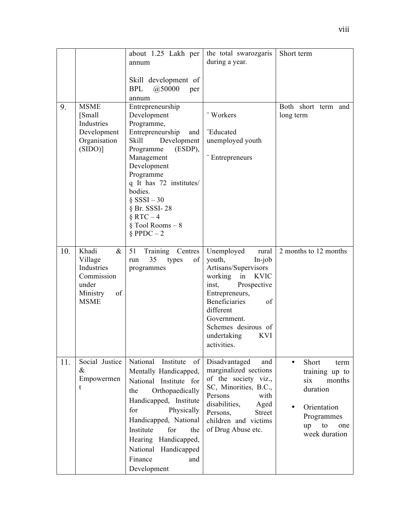|     |                                                                                                | about 1.25 Lakh per<br>annum                                                                                                                                                                                                                                                                          | the total swarozgaris<br>during a year.                                                                                                                                                                                                                           | Short term                                                                                                                                              |
|-----|------------------------------------------------------------------------------------------------|-------------------------------------------------------------------------------------------------------------------------------------------------------------------------------------------------------------------------------------------------------------------------------------------------------|-------------------------------------------------------------------------------------------------------------------------------------------------------------------------------------------------------------------------------------------------------------------|---------------------------------------------------------------------------------------------------------------------------------------------------------|
|     |                                                                                                | Skill development of<br>@50000<br>BPL<br>per<br>annum                                                                                                                                                                                                                                                 |                                                                                                                                                                                                                                                                   |                                                                                                                                                         |
| 9.  | <b>MSME</b><br>[Small]<br>Industries<br>Development<br>Organisation<br>$(SIDO)$ ]              | Entrepreneurship<br>Development<br>Programme,<br>Entrepreneurship<br>and<br>Development<br><b>Skill</b><br>Programme<br>(ESDP),<br>Management<br>Development<br>Programme<br>q It has 72 institutes/<br>bodies.<br>§ $SSSI - 30$<br>$§$ Br. SSSI-28<br>§ RTC $-4$<br>§ Tool Rooms $-8$<br>§ PPDC $-2$ | "Workers<br>"Educated<br>unemployed youth<br>Entrepreneurs                                                                                                                                                                                                        | Both short term and<br>long term                                                                                                                        |
| 10. | Khadi<br>$\&$<br>Village<br>Industries<br>Commission<br>under<br>Ministry<br>of<br><b>MSME</b> | 51<br>Training<br>Centres<br>35<br>of<br>types<br>run<br>programmes                                                                                                                                                                                                                                   | Unemployed<br>rural<br>youth,<br>$In-job$<br>Artisans/Supervisors<br>working<br><b>KVIC</b><br>in<br>Prospective<br>inst,<br>Entrepreneurs,<br><b>Beneficiaries</b><br>of<br>different<br>Government.<br>Schemes desirous of<br>undertaking<br>KVI<br>activities. | 2 months to 12 months                                                                                                                                   |
| 11. | Social Justice<br>&<br>Empowermen<br>t                                                         | National Institute<br>of<br>Mentally Handicapped,<br>National Institute for<br>Orthopaedically<br>the<br>Handicapped, Institute<br>Physically<br>for<br>Handicapped, National<br>Institute<br>for<br>the<br>Hearing Handicapped,<br>National Handicapped<br>Finance<br>and<br>Development             | Disadvantaged<br>and<br>marginalized sections<br>of the society viz.,<br>SC, Minorities, B.C.,<br>Persons<br>with<br>disabilities,<br>Aged<br>Persons,<br><b>Street</b><br>children and victims<br>of Drug Abuse etc.                                             | Short<br>$\bullet$<br>term<br>training up to<br>six<br>months<br>duration<br>Orientation<br>$\bullet$<br>Programmes<br>up<br>to<br>one<br>week duration |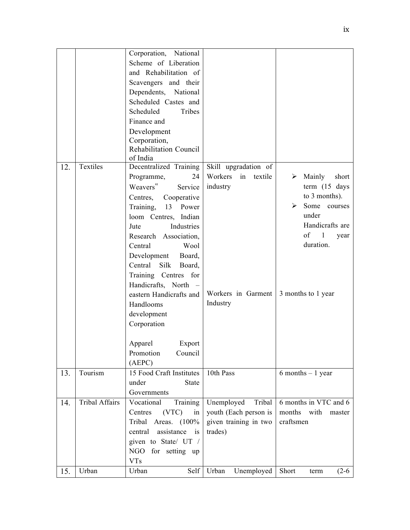|     |                       | Corporation, National                    |                          |                          |
|-----|-----------------------|------------------------------------------|--------------------------|--------------------------|
|     |                       | Scheme of Liberation                     |                          |                          |
|     |                       | and Rehabilitation of                    |                          |                          |
|     |                       | Scavengers and their                     |                          |                          |
|     |                       | Dependents, National                     |                          |                          |
|     |                       | Scheduled Castes and                     |                          |                          |
|     |                       | Tribes<br>Scheduled                      |                          |                          |
|     |                       | Finance and                              |                          |                          |
|     |                       | Development                              |                          |                          |
|     |                       | Corporation,                             |                          |                          |
|     |                       | Rehabilitation Council                   |                          |                          |
|     |                       | of India                                 |                          |                          |
| 12. | Textiles              | Decentralized Training                   | Skill upgradation of     |                          |
|     |                       | Programme,<br>24                         | Workers<br>textile<br>in | Mainly<br>short<br>➤     |
|     |                       | Weavers"<br>Service                      | industry                 | term (15 days            |
|     |                       | Centres,<br>Cooperative                  |                          | to 3 months).            |
|     |                       | Training, 13 Power                       |                          | Some<br>➤<br>courses     |
|     |                       | loom Centres, Indian                     |                          | under                    |
|     |                       | Industries<br>Jute                       |                          | Handicrafts are          |
|     |                       | Research Association,                    |                          | $of \quad 1$<br>year     |
|     |                       | Central<br>Wool                          |                          | duration.                |
|     |                       | Development Board,                       |                          |                          |
|     |                       | Central<br>Silk<br>Board,                |                          |                          |
|     |                       | Training Centres for                     |                          |                          |
|     |                       | Handicrafts, North<br>$\hspace{0.1cm} -$ |                          |                          |
|     |                       | eastern Handicrafts and                  | Workers in Garment       | 3 months to 1 year       |
|     |                       | Handlooms                                | Industry                 |                          |
|     |                       | development                              |                          |                          |
|     |                       | Corporation                              |                          |                          |
|     |                       |                                          |                          |                          |
|     |                       |                                          |                          |                          |
|     |                       | Apparel<br>Export                        |                          |                          |
|     |                       | Promotion<br>Council                     |                          |                          |
|     | Tourism               | (AEPC)<br>15 Food Craft Institutes       | 10th Pass                | $6$ months $-1$ year     |
| 13. |                       | under                                    |                          |                          |
|     |                       | <b>State</b><br>Governments              |                          |                          |
|     | <b>Tribal Affairs</b> |                                          |                          |                          |
| 14. |                       | Vocational<br>Training                   | Unemployed<br>Tribal     | 6 months in VTC and 6    |
|     |                       | Centres<br>(VTC)<br>in                   | youth (Each person is    | months<br>with<br>master |
|     |                       | Tribal Areas. (100%                      | given training in two    | craftsmen                |
|     |                       | assistance is<br>central                 | trades)                  |                          |
|     |                       | given to State/ UT /                     |                          |                          |
|     |                       | NGO for setting up                       |                          |                          |
|     |                       | <b>VTs</b>                               |                          |                          |
| 15. | Urban                 | Urban<br>Self                            | Urban<br>Unemployed      | Short<br>$(2-6)$<br>term |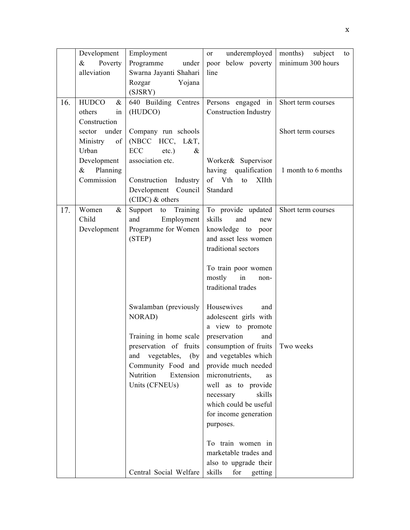|     | Development          | Employment                | underemployed<br>or             | months)<br>subject<br>to |
|-----|----------------------|---------------------------|---------------------------------|--------------------------|
|     | $\&$<br>Poverty      | Programme<br>under        | poor below poverty              | minimum 300 hours        |
|     | alleviation          | Swarna Jayanti Shahari    | line                            |                          |
|     |                      | Rozgar<br>Yojana          |                                 |                          |
|     |                      | (SJSRY)                   |                                 |                          |
| 16. | <b>HUDCO</b><br>$\&$ | 640 Building Centres      | Persons engaged in              | Short term courses       |
|     | others<br>in         | (HUDCO)                   | <b>Construction Industry</b>    |                          |
|     | Construction         |                           |                                 |                          |
|     | sector under         | Company run schools       |                                 | Short term courses       |
|     | Ministry<br>of       | (NBCC HCC, L&T,           |                                 |                          |
|     | Urban                | ECC<br>$etc.$ )<br>$\&$   |                                 |                          |
|     | Development          | association etc.          | Worker& Supervisor              |                          |
|     | $\&$<br>Planning     |                           | having qualification            | 1 month to 6 months      |
|     | Commission           | Construction Industry     | of Vth<br>to XIIth              |                          |
|     |                      | Development Council       | Standard                        |                          |
|     |                      | $(CIDC)$ & others         |                                 |                          |
| 17. | Women<br>$\&$        | Support<br>to<br>Training | To provide updated              | Short term courses       |
|     | Child                | Employment<br>and         | skills<br>and<br>new            |                          |
|     | Development          | Programme for Women       | knowledge to poor               |                          |
|     |                      | (STEP)                    | and asset less women            |                          |
|     |                      |                           | traditional sectors             |                          |
|     |                      |                           |                                 |                          |
|     |                      |                           | To train poor women             |                          |
|     |                      |                           | mostly<br>in<br>non-            |                          |
|     |                      |                           | traditional trades              |                          |
|     |                      | Swalamban (previously     | Housewives<br>and               |                          |
|     |                      | NORAD)                    | adolescent girls with           |                          |
|     |                      |                           | a view to promote               |                          |
|     |                      | Training in home scale    | preservation<br>and             |                          |
|     |                      | preservation of fruits    | consumption of fruits Two weeks |                          |
|     |                      | and vegetables,<br>(by)   | and vegetables which            |                          |
|     |                      | Community Food and        | provide much needed             |                          |
|     |                      | Nutrition<br>Extension    | micronutrients,<br>as           |                          |
|     |                      | Units (CFNEUs)            | well as to provide              |                          |
|     |                      |                           | skills<br>necessary             |                          |
|     |                      |                           | which could be useful           |                          |
|     |                      |                           | for income generation           |                          |
|     |                      |                           | purposes.                       |                          |
|     |                      |                           | To train women in               |                          |
|     |                      |                           | marketable trades and           |                          |
|     |                      |                           | also to upgrade their           |                          |
|     |                      | Central Social Welfare    | skills<br>for<br>getting        |                          |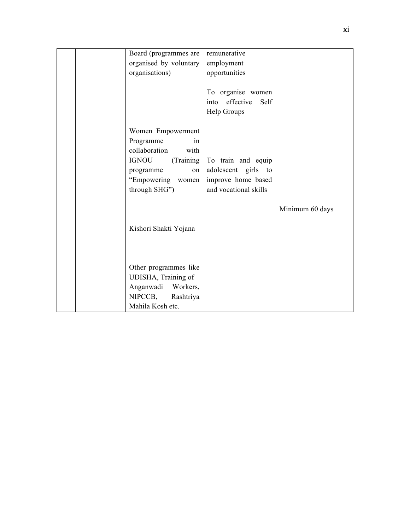|  | Board (programmes are<br>organised by voluntary                                                                                                        | remunerative<br>employment                                                               |                 |
|--|--------------------------------------------------------------------------------------------------------------------------------------------------------|------------------------------------------------------------------------------------------|-----------------|
|  | organisations)                                                                                                                                         | opportunities                                                                            |                 |
|  |                                                                                                                                                        | To organise women<br>effective<br>Self<br>into<br>Help Groups                            |                 |
|  | Women Empowerment<br>Programme<br>in<br>collaboration<br>with<br><b>IGNOU</b><br>(Training<br>programme<br>on<br>"Empowering<br>women<br>through SHG") | To train and equip<br>adolescent girls to<br>improve home based<br>and vocational skills |                 |
|  |                                                                                                                                                        |                                                                                          | Minimum 60 days |
|  | Kishori Shakti Yojana                                                                                                                                  |                                                                                          |                 |
|  | Other programmes like<br>UDISHA, Training of<br>Anganwadi Workers,<br>NIPCCB,<br>Rashtriya<br>Mahila Kosh etc.                                         |                                                                                          |                 |
|  |                                                                                                                                                        |                                                                                          |                 |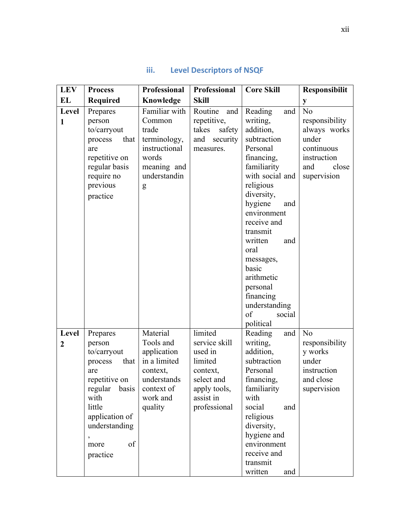| <b>LEV</b>              | <b>Process</b>                                                                                                                                                                          | Professional                                                                                                         | Professional                                                                                                          | <b>Core Skill</b>                                                                                                                                                                                                                                                                                                                              | Responsibilit                                                                                                         |
|-------------------------|-----------------------------------------------------------------------------------------------------------------------------------------------------------------------------------------|----------------------------------------------------------------------------------------------------------------------|-----------------------------------------------------------------------------------------------------------------------|------------------------------------------------------------------------------------------------------------------------------------------------------------------------------------------------------------------------------------------------------------------------------------------------------------------------------------------------|-----------------------------------------------------------------------------------------------------------------------|
| EL                      | <b>Required</b>                                                                                                                                                                         | Knowledge                                                                                                            | <b>Skill</b>                                                                                                          |                                                                                                                                                                                                                                                                                                                                                | y                                                                                                                     |
| Level<br>$\mathbf{1}$   | Prepares<br>person<br>to/carryout<br>that<br>process<br>are<br>repetitive on<br>regular basis<br>require no<br>previous<br>practice                                                     | Familiar with<br>Common<br>trade<br>terminology,<br>instructional<br>words<br>meaning and<br>understandin<br>g       | Routine<br>and<br>repetitive,<br>safety<br>takes<br>and<br>security<br>measures.                                      | Reading<br>and<br>writing,<br>addition,<br>subtraction<br>Personal<br>financing,<br>familiarity<br>with social and<br>religious<br>diversity,<br>hygiene<br>and<br>environment<br>receive and<br>transmit<br>written<br>and<br>oral<br>messages,<br>basic<br>arithmetic<br>personal<br>financing<br>understanding<br>of<br>social<br>political | N <sub>o</sub><br>responsibility<br>always works<br>under<br>continuous<br>instruction<br>and<br>close<br>supervision |
| Level<br>$\overline{2}$ | Prepares<br>person<br>to/carryout<br>that<br>process<br>are<br>repetitive on<br>regular<br>basis<br>with<br>little<br>application of<br>understanding<br>$\,$<br>of<br>more<br>practice | Material<br>Tools and<br>application<br>in a limited<br>context,<br>understands<br>context of<br>work and<br>quality | limited<br>service skill<br>used in<br>limited<br>context,<br>select and<br>apply tools,<br>assist in<br>professional | Reading<br>and<br>writing,<br>addition,<br>subtraction<br>Personal<br>financing,<br>familiarity<br>with<br>social<br>and<br>religious<br>diversity,<br>hygiene and<br>environment<br>receive and<br>transmit<br>written<br>and                                                                                                                 | No<br>responsibility<br>y works<br>under<br>instruction<br>and close<br>supervision                                   |

## **iii.** Level Descriptors of NSQF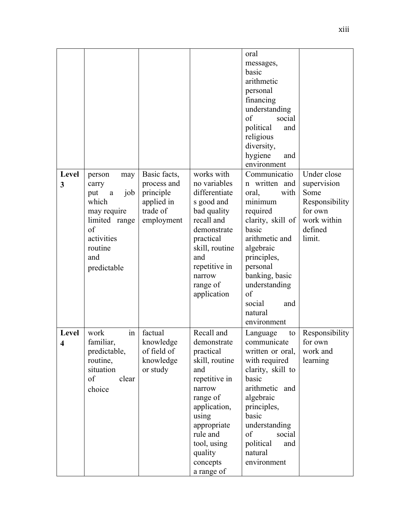| Level<br>3                       | person<br>may<br>carry<br>job<br>put<br>$\rm{a}$<br>which<br>may require<br>limited range<br>of<br>activities<br>routine<br>and<br>predictable | Basic facts,<br>process and<br>principle<br>applied in<br>trade of<br>employment | works with<br>no variables<br>differentiate<br>s good and<br>bad quality<br>recall and<br>demonstrate<br>practical<br>skill, routine<br>and<br>repetitive in<br>narrow<br>range of<br>application              | oral<br>messages,<br>basic<br>arithmetic<br>personal<br>financing<br>understanding<br>of<br>social<br>political<br>and<br>religious<br>diversity,<br>hygiene<br>and<br>environment<br>Communicatio<br>n written and<br>with<br>oral,<br>minimum<br>required<br>clarity, skill of<br>basic<br>arithmetic and<br>algebraic<br>principles,<br>personal<br>banking, basic<br>understanding<br>of<br>social<br>and<br>natural<br>environment | Under close<br>supervision<br>Some<br>Responsibility<br>for own<br>work within<br>defined<br>limit. |
|----------------------------------|------------------------------------------------------------------------------------------------------------------------------------------------|----------------------------------------------------------------------------------|----------------------------------------------------------------------------------------------------------------------------------------------------------------------------------------------------------------|-----------------------------------------------------------------------------------------------------------------------------------------------------------------------------------------------------------------------------------------------------------------------------------------------------------------------------------------------------------------------------------------------------------------------------------------|-----------------------------------------------------------------------------------------------------|
| Level<br>$\overline{\mathbf{4}}$ | work<br>in<br>familiar,<br>predictable,<br>routine,<br>situation<br>of<br>clear<br>choice                                                      | factual<br>knowledge<br>of field of<br>knowledge<br>or study                     | Recall and<br>demonstrate<br>practical<br>skill, routine<br>and<br>repetitive in<br>narrow<br>range of<br>application,<br>using<br>appropriate<br>rule and<br>tool, using<br>quality<br>concepts<br>a range of | Language<br>to<br>communicate<br>written or oral,<br>with required<br>clarity, skill to<br>basic<br>arithmetic and<br>algebraic<br>principles,<br>basic<br>understanding<br>of<br>social<br>political<br>and<br>natural<br>environment                                                                                                                                                                                                  | Responsibility<br>for own<br>work and<br>learning                                                   |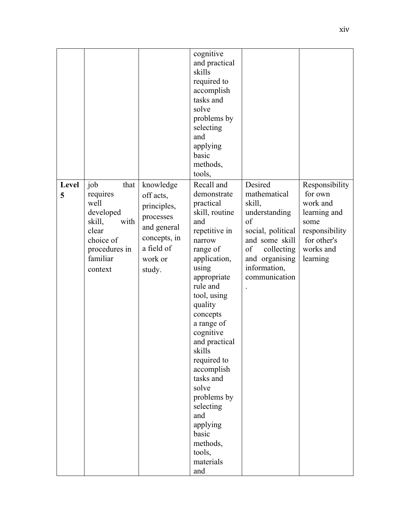|            |                                                                                                                              |                                                                                                                      | cognitive<br>and practical<br>skills<br>required to<br>accomplish<br>tasks and<br>solve<br>problems by<br>selecting<br>and<br>applying<br>basic<br>methods,<br>tools,                                                                                                                                                                                                                                       |                                                                                                                                                                        |                                                                                                                         |
|------------|------------------------------------------------------------------------------------------------------------------------------|----------------------------------------------------------------------------------------------------------------------|-------------------------------------------------------------------------------------------------------------------------------------------------------------------------------------------------------------------------------------------------------------------------------------------------------------------------------------------------------------------------------------------------------------|------------------------------------------------------------------------------------------------------------------------------------------------------------------------|-------------------------------------------------------------------------------------------------------------------------|
| Level<br>5 | job<br>that<br>requires<br>well<br>developed<br>skill,<br>with<br>clear<br>choice of<br>procedures in<br>familiar<br>context | knowledge<br>off acts,<br>principles,<br>processes<br>and general<br>concepts, in<br>a field of<br>work or<br>study. | Recall and<br>demonstrate<br>practical<br>skill, routine<br>and<br>repetitive in<br>narrow<br>range of<br>application,<br>using<br>appropriate<br>rule and<br>tool, using<br>quality<br>concepts<br>a range of<br>cognitive<br>and practical<br>skills<br>required to<br>accomplish<br>tasks and<br>solve<br>problems by<br>selecting<br>and<br>applying<br>basic<br>methods,<br>tools,<br>materials<br>and | Desired<br>mathematical<br>skill,<br>understanding<br>of<br>social, political<br>and some skill<br>of<br>collecting<br>and organising<br>information,<br>communication | Responsibility<br>for own<br>work and<br>learning and<br>some<br>responsibility<br>for other's<br>works and<br>learning |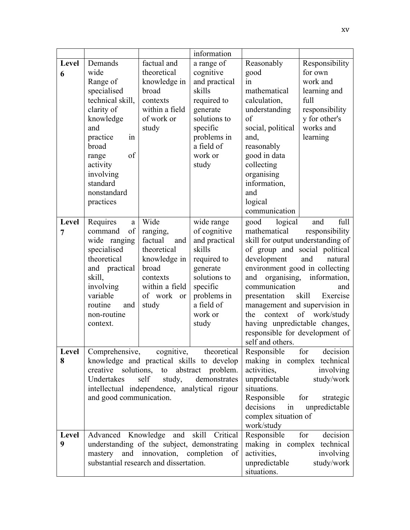|            |                                                                                                                                                                                                                                                                               |                                                                                                                                 | information                                                                                                                                                   |                                                                                                                                                                                                                                                                                                                                                         |                                                                                                              |
|------------|-------------------------------------------------------------------------------------------------------------------------------------------------------------------------------------------------------------------------------------------------------------------------------|---------------------------------------------------------------------------------------------------------------------------------|---------------------------------------------------------------------------------------------------------------------------------------------------------------|---------------------------------------------------------------------------------------------------------------------------------------------------------------------------------------------------------------------------------------------------------------------------------------------------------------------------------------------------------|--------------------------------------------------------------------------------------------------------------|
| Level      | Demands                                                                                                                                                                                                                                                                       | factual and                                                                                                                     | a range of                                                                                                                                                    | Reasonably                                                                                                                                                                                                                                                                                                                                              | Responsibility                                                                                               |
| 6          | wide<br>Range of<br>specialised<br>technical skill,<br>clarity of<br>knowledge<br>and<br>in<br>practice<br>broad<br>of<br>range<br>activity<br>involving<br>standard<br>nonstandard<br>practices                                                                              | theoretical<br>knowledge in<br>broad<br>contexts<br>within a field<br>of work or<br>study                                       | cognitive<br>and practical<br>skills<br>required to<br>generate<br>solutions to<br>specific<br>problems in<br>a field of<br>work or<br>study                  | good<br>in<br>mathematical<br>calculation,<br>understanding<br>of<br>social, political<br>and,<br>reasonably<br>good in data<br>collecting<br>organising<br>information,<br>and<br>logical<br>communication                                                                                                                                             | for own<br>work and<br>learning and<br>full<br>responsibility<br>y for other's<br>works and<br>learning      |
| Level<br>7 | Requires<br>a<br>$% \left( \left( \mathcal{A},\mathcal{A}\right) \right) =\left( \mathcal{A},\mathcal{A}\right)$ of<br>command<br>wide ranging<br>specialised<br>theoretical<br>and practical<br>skill,<br>involving<br>variable<br>routine<br>and<br>non-routine<br>context. | Wide<br>ranging,<br>factual<br>and<br>theoretical<br>knowledge in<br>broad<br>contexts<br>within a field<br>of work or<br>study | wide range<br>of cognitive<br>and practical<br>skills<br>required to<br>generate<br>solutions to<br>specific<br>problems in<br>a field of<br>work or<br>study | logical<br>good<br>mathematical<br>skill for output understanding of<br>of group and social political<br>development<br>environment good in collecting<br>organising,<br>and<br>communication<br>presentation<br>management and supervision in<br>context<br>the<br>having unpredictable changes,<br>responsible for development of<br>self and others. | full<br>and<br>responsibility<br>and<br>natural<br>information,<br>and<br>skill<br>Exercise<br>of work/study |
| Level<br>8 | Comprehensive, cognitive, theoretical<br>knowledge and practical skills to develop<br>creative solutions, to abstract problem.<br>self study,<br>Undertakes<br>demonstrates<br>intellectual independence, analytical rigour<br>and good communication.                        |                                                                                                                                 |                                                                                                                                                               | Responsible<br>for<br>decision<br>making in complex technical<br>activities,<br>involving<br>unpredictable<br>study/work<br>situations.<br>Responsible<br>for<br>strategic<br>decisions in<br>unpredictable<br>complex situation of<br>work/study                                                                                                       |                                                                                                              |
| Level<br>9 | Advanced Knowledge and skill Critical<br>understanding of the subject, demonstrating<br>mastery and innovation, completion<br>of<br>substantial research and dissertation.                                                                                                    |                                                                                                                                 |                                                                                                                                                               | Responsible<br>making in complex technical<br>activities,<br>unpredictable<br>situations.                                                                                                                                                                                                                                                               | decision<br>for<br>involving<br>study/work                                                                   |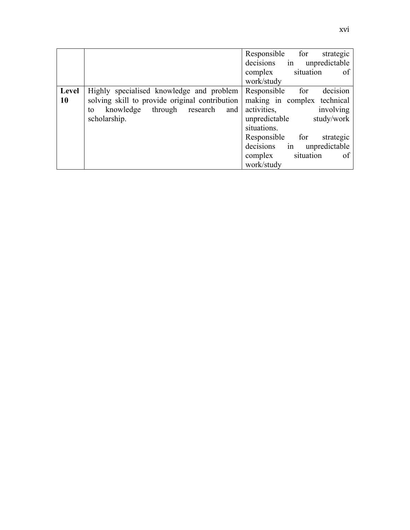|       |                                                          | Responsible for<br>strategic |
|-------|----------------------------------------------------------|------------------------------|
|       |                                                          | decisions in unpredictable   |
|       |                                                          | situation<br>complex<br>of   |
|       |                                                          | work/study                   |
| Level | Highly specialised knowledge and problem Responsible for | decision                     |
| 10    | solving skill to provide original contribution           | making in complex technical  |
|       | knowledge through research<br>and  <br>to                | involving<br>activities,     |
|       | scholarship.                                             | study/work<br>unpredictable  |
|       |                                                          | situations.                  |
|       |                                                          | Responsible for<br>strategic |
|       |                                                          | decisions in unpredictable   |
|       |                                                          | situation<br>complex<br>of   |
|       |                                                          | work/study                   |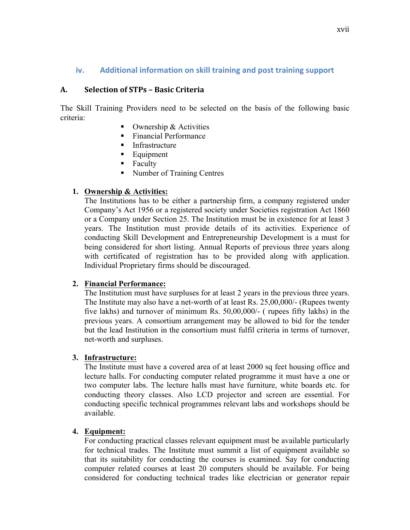## **iv.** Additional information on skill training and post training support

## **A. Selection of STPs – Basic Criteria**

The Skill Training Providers need to be selected on the basis of the following basic criteria:

- Ownership  $&$  Activities
- Financial Performance
- **Infrastructure**
- Equipment
- Faculty
- Number of Training Centres

## **1. Ownership & Activities:**

The Institutions has to be either a partnership firm, a company registered under Company's Act 1956 or a registered society under Societies registration Act 1860 or a Company under Section 25. The Institution must be in existence for at least 3 years. The Institution must provide details of its activities. Experience of conducting Skill Development and Entrepreneurship Development is a must for being considered for short listing. Annual Reports of previous three years along with certificated of registration has to be provided along with application. Individual Proprietary firms should be discouraged.

## **2. Financial Performance:**

The Institution must have surpluses for at least 2 years in the previous three years. The Institute may also have a net-worth of at least Rs. 25,00,000/- (Rupees twenty five lakhs) and turnover of minimum Rs. 50,00,000/- ( rupees fifty lakhs) in the previous years. A consortium arrangement may be allowed to bid for the tender but the lead Institution in the consortium must fulfil criteria in terms of turnover, net-worth and surpluses.

## **3. Infrastructure:**

The Institute must have a covered area of at least 2000 sq feet housing office and lecture halls. For conducting computer related programme it must have a one or two computer labs. The lecture halls must have furniture, white boards etc. for conducting theory classes. Also LCD projector and screen are essential. For conducting specific technical programmes relevant labs and workshops should be available.

## **4. Equipment:**

For conducting practical classes relevant equipment must be available particularly for technical trades. The Institute must summit a list of equipment available so that its suitability for conducting the courses is examined. Say for conducting computer related courses at least 20 computers should be available. For being considered for conducting technical trades like electrician or generator repair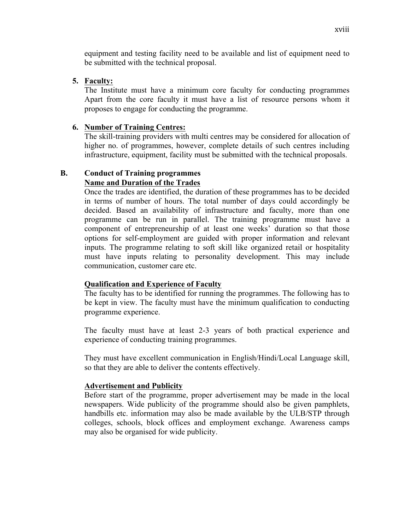equipment and testing facility need to be available and list of equipment need to be submitted with the technical proposal.

### **5. Faculty:**

The Institute must have a minimum core faculty for conducting programmes Apart from the core faculty it must have a list of resource persons whom it proposes to engage for conducting the programme.

### **6. Number of Training Centres:**

The skill-training providers with multi centres may be considered for allocation of higher no. of programmes, however, complete details of such centres including infrastructure, equipment, facility must be submitted with the technical proposals.

### **B. Conduct of Training programmes Name and Duration of the Trades**

Once the trades are identified, the duration of these programmes has to be decided in terms of number of hours. The total number of days could accordingly be decided. Based an availability of infrastructure and faculty, more than one programme can be run in parallel. The training programme must have a component of entrepreneurship of at least one weeks' duration so that those options for self-employment are guided with proper information and relevant inputs. The programme relating to soft skill like organized retail or hospitality must have inputs relating to personality development. This may include communication, customer care etc.

### **Qualification and Experience of Faculty**

The faculty has to be identified for running the programmes. The following has to be kept in view. The faculty must have the minimum qualification to conducting programme experience.

The faculty must have at least 2-3 years of both practical experience and experience of conducting training programmes.

They must have excellent communication in English/Hindi/Local Language skill, so that they are able to deliver the contents effectively.

### **Advertisement and Publicity**

Before start of the programme, proper advertisement may be made in the local newspapers. Wide publicity of the programme should also be given pamphlets, handbills etc. information may also be made available by the ULB/STP through colleges, schools, block offices and employment exchange. Awareness camps may also be organised for wide publicity.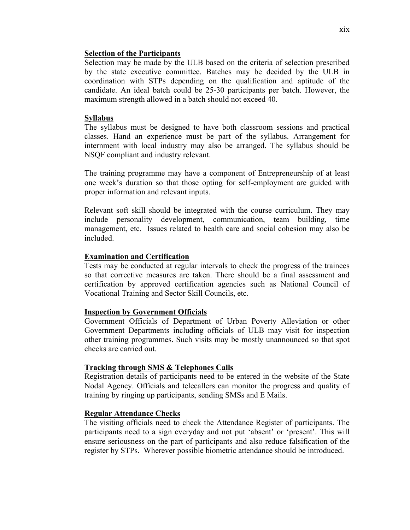### **Selection of the Participants**

Selection may be made by the ULB based on the criteria of selection prescribed by the state executive committee. Batches may be decided by the ULB in coordination with STPs depending on the qualification and aptitude of the candidate. An ideal batch could be 25-30 participants per batch. However, the maximum strength allowed in a batch should not exceed 40.

### **Syllabus**

The syllabus must be designed to have both classroom sessions and practical classes. Hand an experience must be part of the syllabus. Arrangement for internment with local industry may also be arranged. The syllabus should be NSQF compliant and industry relevant.

The training programme may have a component of Entrepreneurship of at least one week's duration so that those opting for self-employment are guided with proper information and relevant inputs.

Relevant soft skill should be integrated with the course curriculum. They may include personality development, communication, team building, time management, etc. Issues related to health care and social cohesion may also be included.

### **Examination and Certification**

Tests may be conducted at regular intervals to check the progress of the trainees so that corrective measures are taken. There should be a final assessment and certification by approved certification agencies such as National Council of Vocational Training and Sector Skill Councils, etc.

### **Inspection by Government Officials**

Government Officials of Department of Urban Poverty Alleviation or other Government Departments including officials of ULB may visit for inspection other training programmes. Such visits may be mostly unannounced so that spot checks are carried out.

### **Tracking through SMS & Telephones Calls**

Registration details of participants need to be entered in the website of the State Nodal Agency. Officials and telecallers can monitor the progress and quality of training by ringing up participants, sending SMSs and E Mails.

### **Regular Attendance Checks**

The visiting officials need to check the Attendance Register of participants. The participants need to a sign everyday and not put 'absent' or 'present'. This will ensure seriousness on the part of participants and also reduce falsification of the register by STPs. Wherever possible biometric attendance should be introduced.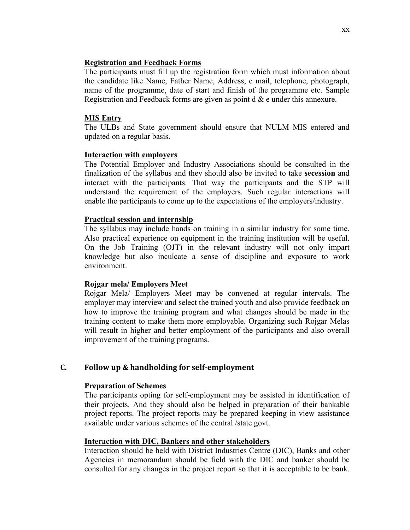### **Registration and Feedback Forms**

The participants must fill up the registration form which must information about the candidate like Name, Father Name, Address, e mail, telephone, photograph, name of the programme, date of start and finish of the programme etc. Sample Registration and Feedback forms are given as point  $d \& e$  under this annexure.

### **MIS Entry**

The ULBs and State government should ensure that NULM MIS entered and updated on a regular basis.

### **Interaction with employers**

The Potential Employer and Industry Associations should be consulted in the finalization of the syllabus and they should also be invited to take **secession** and interact with the participants. That way the participants and the STP will understand the requirement of the employers. Such regular interactions will enable the participants to come up to the expectations of the employers/industry.

## **Practical session and internship**

The syllabus may include hands on training in a similar industry for some time. Also practical experience on equipment in the training institution will be useful. On the Job Training (OJT) in the relevant industry will not only impart knowledge but also inculcate a sense of discipline and exposure to work environment.

# **Rojgar mela/ Employers Meet**

Rojgar Mela/ Employers Meet may be convened at regular intervals. The employer may interview and select the trained youth and also provide feedback on how to improve the training program and what changes should be made in the training content to make them more employable. Organizing such Rojgar Melas will result in higher and better employment of the participants and also overall improvement of the training programs.

# **C. Follow up & handholding for self-employment**

# **Preparation of Schemes**

The participants opting for self-employment may be assisted in identification of their projects. And they should also be helped in preparation of their bankable project reports. The project reports may be prepared keeping in view assistance available under various schemes of the central /state govt.

# **Interaction with DIC, Bankers and other stakeholders**

Interaction should be held with District Industries Centre (DIC), Banks and other Agencies in memorandum should be field with the DIC and banker should be consulted for any changes in the project report so that it is acceptable to be bank.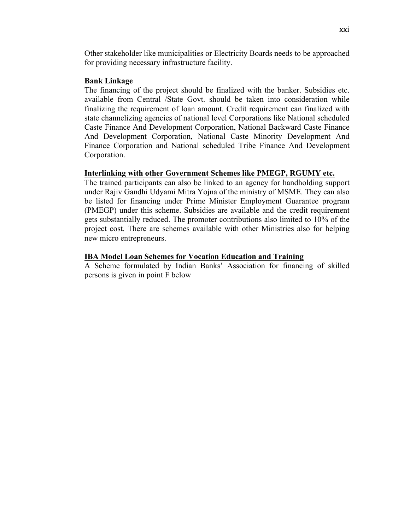Other stakeholder like municipalities or Electricity Boards needs to be approached for providing necessary infrastructure facility.

### **Bank Linkage**

The financing of the project should be finalized with the banker. Subsidies etc. available from Central /State Govt. should be taken into consideration while finalizing the requirement of loan amount. Credit requirement can finalized with state channelizing agencies of national level Corporations like National scheduled Caste Finance And Development Corporation, National Backward Caste Finance And Development Corporation, National Caste Minority Development And Finance Corporation and National scheduled Tribe Finance And Development Corporation.

### **Interlinking with other Government Schemes like PMEGP, RGUMY etc.**

The trained participants can also be linked to an agency for handholding support under Rajiv Gandhi Udyami Mitra Yojna of the ministry of MSME. They can also be listed for financing under Prime Minister Employment Guarantee program (PMEGP) under this scheme. Subsidies are available and the credit requirement gets substantially reduced. The promoter contributions also limited to 10% of the project cost. There are schemes available with other Ministries also for helping new micro entrepreneurs.

### **IBA Model Loan Schemes for Vocation Education and Training**

A Scheme formulated by Indian Banks' Association for financing of skilled persons is given in point F below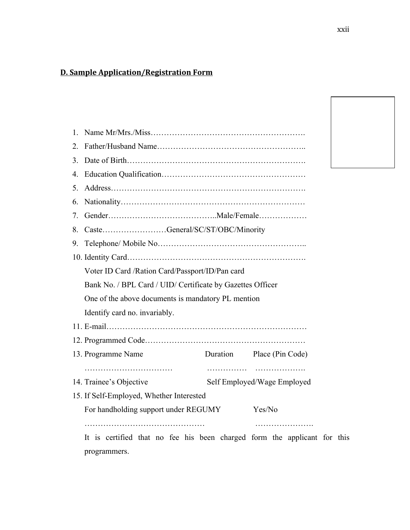# **D. Sample Application/Registration Form**

| $\mathbf{1}$   |                                                                          |                             |                           |  |  |  |  |  |
|----------------|--------------------------------------------------------------------------|-----------------------------|---------------------------|--|--|--|--|--|
| 2.             |                                                                          |                             |                           |  |  |  |  |  |
| 3 <sub>1</sub> |                                                                          |                             |                           |  |  |  |  |  |
| 4.             |                                                                          |                             |                           |  |  |  |  |  |
| 5.             |                                                                          |                             |                           |  |  |  |  |  |
| 6.             |                                                                          |                             |                           |  |  |  |  |  |
| $7_{\cdot}$    |                                                                          |                             |                           |  |  |  |  |  |
| 8.             | CasteGeneral/SC/ST/OBC/Minority                                          |                             |                           |  |  |  |  |  |
| 9.             |                                                                          |                             |                           |  |  |  |  |  |
|                |                                                                          |                             |                           |  |  |  |  |  |
|                | Voter ID Card / Ration Card/Passport/ID/Pan card                         |                             |                           |  |  |  |  |  |
|                | Bank No. / BPL Card / UID/ Certificate by Gazettes Officer               |                             |                           |  |  |  |  |  |
|                | One of the above documents is mandatory PL mention                       |                             |                           |  |  |  |  |  |
|                | Identify card no. invariably.                                            |                             |                           |  |  |  |  |  |
|                |                                                                          |                             |                           |  |  |  |  |  |
|                |                                                                          |                             |                           |  |  |  |  |  |
|                | 13. Programme Name                                                       |                             | Duration Place (Pin Code) |  |  |  |  |  |
|                | 14. Trainee's Objective                                                  | Self Employed/Wage Employed |                           |  |  |  |  |  |
|                | 15. If Self-Employed, Whether Interested                                 |                             |                           |  |  |  |  |  |
|                | For handholding support under REGUMY                                     |                             | Yes/No                    |  |  |  |  |  |
|                | It is certified that no fee his been charged form the applicant for this |                             |                           |  |  |  |  |  |

programmers.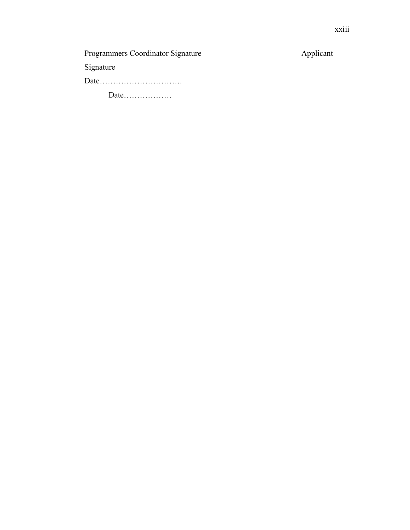# Programmers Coordinator Signature Applicant

Signature

Date………………………….

Date………………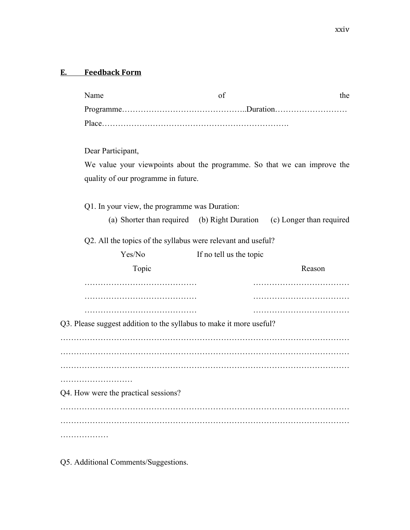| Name                                                         |                                                                          | of                      | the    |  |  |  |  |  |
|--------------------------------------------------------------|--------------------------------------------------------------------------|-------------------------|--------|--|--|--|--|--|
|                                                              |                                                                          |                         |        |  |  |  |  |  |
|                                                              |                                                                          |                         |        |  |  |  |  |  |
|                                                              | Dear Participant,                                                        |                         |        |  |  |  |  |  |
|                                                              | We value your viewpoints about the programme. So that we can improve the |                         |        |  |  |  |  |  |
|                                                              | quality of our programme in future.                                      |                         |        |  |  |  |  |  |
|                                                              | Q1. In your view, the programme was Duration:                            |                         |        |  |  |  |  |  |
|                                                              | (a) Shorter than required (b) Right Duration (c) Longer than required    |                         |        |  |  |  |  |  |
| Q2. All the topics of the syllabus were relevant and useful? |                                                                          |                         |        |  |  |  |  |  |
|                                                              | Yes/No                                                                   | If no tell us the topic |        |  |  |  |  |  |
|                                                              |                                                                          |                         |        |  |  |  |  |  |
|                                                              | Topic                                                                    |                         | Reason |  |  |  |  |  |
|                                                              |                                                                          |                         |        |  |  |  |  |  |
|                                                              |                                                                          |                         |        |  |  |  |  |  |
|                                                              |                                                                          |                         |        |  |  |  |  |  |
|                                                              | Q3. Please suggest addition to the syllabus to make it more useful?      |                         |        |  |  |  |  |  |
|                                                              |                                                                          |                         |        |  |  |  |  |  |
|                                                              |                                                                          |                         |        |  |  |  |  |  |
|                                                              |                                                                          |                         |        |  |  |  |  |  |
|                                                              |                                                                          |                         |        |  |  |  |  |  |
|                                                              | Q4. How were the practical sessions?                                     |                         |        |  |  |  |  |  |
|                                                              |                                                                          |                         |        |  |  |  |  |  |

Q5. Additional Comments/Suggestions.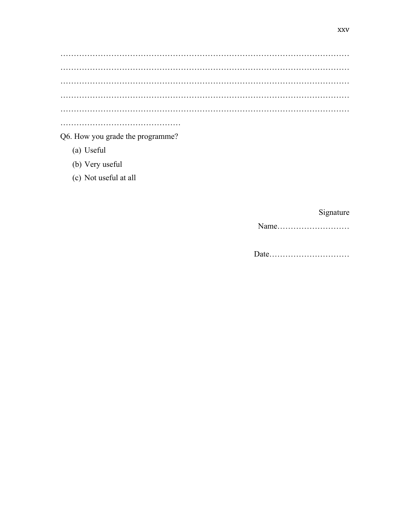### Q6. How you grade the programme?

- (a) Useful
- (b) Very useful
- (c) Not useful at all

# Signature

Date.................................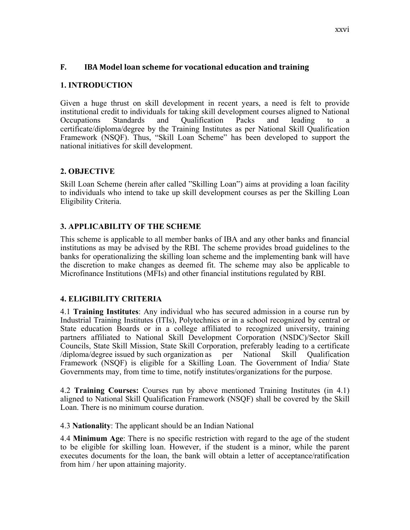### **F. IBA** Model loan scheme for vocational education and training

### **1. INTRODUCTION**

Given a huge thrust on skill development in recent years, a need is felt to provide institutional credit to individuals for taking skill development courses aligned to National Occupations Standards and Qualification Packs and leading to a certificate/diploma/degree by the Training Institutes as per National Skill Qualification Framework (NSQF). Thus, "Skill Loan Scheme" has been developed to support the national initiatives for skill development.

### **2. OBJECTIVE**

Skill Loan Scheme (herein after called "Skilling Loan") aims at providing a loan facility to individuals who intend to take up skill development courses as per the Skilling Loan Eligibility Criteria.

### **3. APPLICABILITY OF THE SCHEME**

This scheme is applicable to all member banks of IBA and any other banks and financial institutions as may be advised by the RBI. The scheme provides broad guidelines to the banks for operationalizing the skilling loan scheme and the implementing bank will have the discretion to make changes as deemed fit. The scheme may also be applicable to Microfinance Institutions (MFIs) and other financial institutions regulated by RBI.

### **4. ELIGIBILITY CRITERIA**

4.1 **Training Institutes**: Any individual who has secured admission in a course run by Industrial Training Institutes (ITIs), Polytechnics or in a school recognized by central or State education Boards or in a college affiliated to recognized university, training partners affiliated to National Skill Development Corporation (NSDC)/Sector Skill Councils, State Skill Mission, State Skill Corporation, preferably leading to a certificate /diploma/degree issued by such organization as per National Skill Qualification Framework (NSQF) is eligible for a Skilling Loan. The Government of India/ State Governments may, from time to time, notify institutes/organizations for the purpose.

4.2 **Training Courses:** Courses run by above mentioned Training Institutes (in 4.1) aligned to National Skill Qualification Framework (NSQF) shall be covered by the Skill Loan. There is no minimum course duration.

4.3 **Nationality**: The applicant should be an Indian National

4.4 **Minimum Age**: There is no specific restriction with regard to the age of the student to be eligible for skilling loan. However, if the student is a minor, while the parent executes documents for the loan, the bank will obtain a letter of acceptance/ratification from him / her upon attaining majority.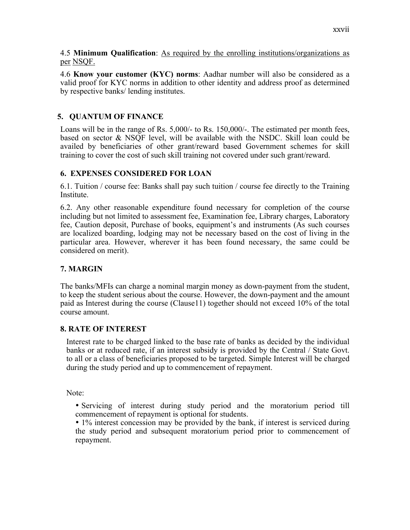4.5 **Minimum Qualification**: As required by the enrolling institutions/organizations as per NSQF.

4.6 **Know your customer (KYC) norms**: Aadhar number will also be considered as a valid proof for KYC norms in addition to other identity and address proof as determined by respective banks/ lending institutes.

### **5. QUANTUM OF FINANCE**

Loans will be in the range of Rs. 5,000/- to Rs. 150,000/-. The estimated per month fees, based on sector & NSQF level, will be available with the NSDC. Skill loan could be availed by beneficiaries of other grant/reward based Government schemes for skill training to cover the cost of such skill training not covered under such grant/reward.

### **6. EXPENSES CONSIDERED FOR LOAN**

6.1. Tuition / course fee: Banks shall pay such tuition / course fee directly to the Training Institute.

6.2. Any other reasonable expenditure found necessary for completion of the course including but not limited to assessment fee, Examination fee, Library charges, Laboratory fee, Caution deposit, Purchase of books, equipment's and instruments (As such courses are localized boarding, lodging may not be necessary based on the cost of living in the particular area. However, wherever it has been found necessary, the same could be considered on merit).

### **7. MARGIN**

The banks/MFIs can charge a nominal margin money as down-payment from the student, to keep the student serious about the course. However, the down-payment and the amount paid as Interest during the course (Clause11) together should not exceed 10% of the total course amount.

### **8. RATE OF INTEREST**

Interest rate to be charged linked to the base rate of banks as decided by the individual banks or at reduced rate, if an interest subsidy is provided by the Central / State Govt. to all or a class of beneficiaries proposed to be targeted. Simple Interest will be charged during the study period and up to commencement of repayment.

Note:

• Servicing of interest during study period and the moratorium period till commencement of repayment is optional for students.

• 1% interest concession may be provided by the bank, if interest is serviced during the study period and subsequent moratorium period prior to commencement of repayment.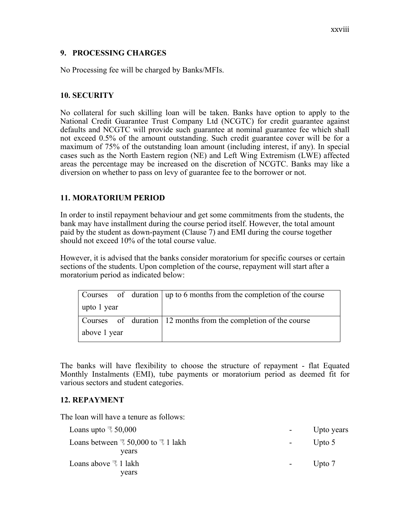### **9. PROCESSING CHARGES**

No Processing fee will be charged by Banks/MFIs.

### **10. SECURITY**

No collateral for such skilling loan will be taken. Banks have option to apply to the National Credit Guarantee Trust Company Ltd (NCGTC) for credit guarantee against defaults and NCGTC will provide such guarantee at nominal guarantee fee which shall not exceed 0.5% of the amount outstanding. Such credit guarantee cover will be for a maximum of 75% of the outstanding loan amount (including interest, if any). In special cases such as the North Eastern region (NE) and Left Wing Extremism (LWE) affected areas the percentage may be increased on the discretion of NCGTC. Banks may like a diversion on whether to pass on levy of guarantee fee to the borrower or not.

### **11. MORATORIUM PERIOD**

In order to instil repayment behaviour and get some commitments from the students, the bank may have installment during the course period itself. However, the total amount paid by the student as down-payment (Clause 7) and EMI during the course together should not exceed 10% of the total course value.

However, it is advised that the banks consider moratorium for specific courses or certain sections of the students. Upon completion of the course, repayment will start after a moratorium period as indicated below:

|              |  |  | Courses of duration   up to 6 months from the completion of the course |
|--------------|--|--|------------------------------------------------------------------------|
| upto 1 year  |  |  |                                                                        |
|              |  |  | Courses of duration 12 months from the completion of the course        |
| above 1 year |  |  |                                                                        |

The banks will have flexibility to choose the structure of repayment - flat Equated Monthly Instalments (EMI), tube payments or moratorium period as deemed fit for various sectors and student categories.

### **12. REPAYMENT**

The loan will have a tenure as follows:

| Loans upto $\overline{3}$ 50,000                                   |            | Upto years |
|--------------------------------------------------------------------|------------|------------|
| Loans between $\overline{\tau}$ 50,000 to $\overline{\tau}$ 1 lakh | $\sim 100$ | Upto $5$   |
| years                                                              |            |            |
| Loans above $\bar{d}$ 1 lakh                                       | $\sim 100$ | Upto 7     |
| years                                                              |            |            |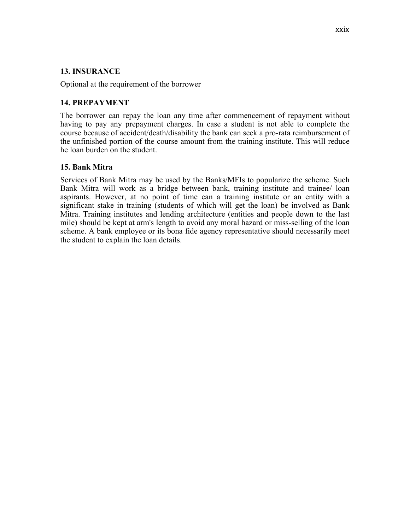### **13. INSURANCE**

Optional at the requirement of the borrower

### **14. PREPAYMENT**

The borrower can repay the loan any time after commencement of repayment without having to pay any prepayment charges. In case a student is not able to complete the course because of accident/death/disability the bank can seek a pro-rata reimbursement of the unfinished portion of the course amount from the training institute. This will reduce he loan burden on the student.

### **15. Bank Mitra**

Services of Bank Mitra may be used by the Banks/MFIs to popularize the scheme. Such Bank Mitra will work as a bridge between bank, training institute and trainee/ loan aspirants. However, at no point of time can a training institute or an entity with a significant stake in training (students of which will get the loan) be involved as Bank Mitra. Training institutes and lending architecture (entities and people down to the last mile) should be kept at arm's length to avoid any moral hazard or miss-selling of the loan scheme. A bank employee or its bona fide agency representative should necessarily meet the student to explain the loan details.